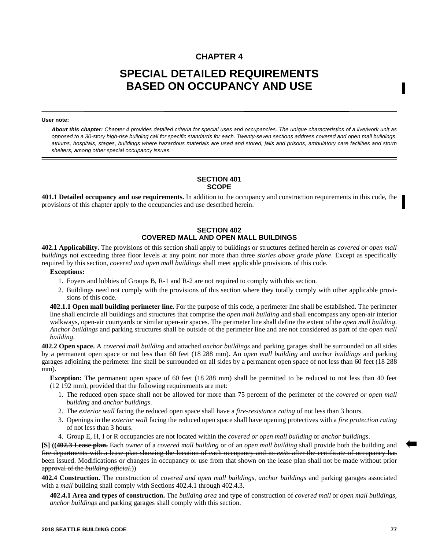# **CHAPTER 4**

# **SPECIAL DETAILED REQUIREMENTS BASED ON OCCUPANCY AND USE**

#### **User note:**

*About this chapter: Chapter 4 provides detailed criteria for special uses and occupancies. The unique characteristics of a live/work unit as opposed to a 30-story high-rise building call for specific standards for each. Twenty-seven sections address covered and open mall buildings, atriums, hospitals, stages, buildings where hazardous materials are used and stored, jails and prisons, ambulatory care facilities and storm shelters, among other special occupancy issues.*

# **SECTION 401 SCOPE**

**401.1 Detailed occupancy and use requirements.** In addition to the occupancy and construction requirements in this code, the provisions of this chapter apply to the occupancies and use described herein.

# **SECTION 402 COVERED MALL AND OPEN MALL BUILDINGS**

**402.1 Applicability.** The provisions of this section shall apply to buildings or structures defined herein as *covered or open mall buildings* not exceeding three floor levels at any point nor more than three *stories above grade plane*. Except as specifically required by this section, *covered and open mall buildings* shall meet applicable provisions of this code.

#### **Exceptions:**

- 1. Foyers and lobbies of Groups B, R-1 and R-2 are not required to comply with this section.
- 2. Buildings need not comply with the provisions of this section where they totally comply with other applicable provisions of this code.

**402.1.1 Open mall building perimeter line.** For the purpose of this code, a perimeter line shall be established. The perimeter line shall encircle all buildings and structures that comprise the *open mall building* and shall encompass any open-air interior walkways, open-air courtyards or similar open-air spaces. The perimeter line shall define the extent of the *open mall building*. *Anchor buildings* and parking structures shall be outside of the perimeter line and are not considered as part of the *open mall building*.

**402.2 Open space.** A *covered mall building* and attached *anchor buildings* and parking garages shall be surrounded on all sides by a permanent open space or not less than 60 feet (18 288 mm). An *open mall building* and *anchor buildings* and parking garages adjoining the perimeter line shall be surrounded on all sides by a permanent open space of not less than 60 feet (18 288 mm).

**Exception:** The permanent open space of 60 feet (18 288 mm) shall be permitted to be reduced to not less than 40 feet (12 192 mm), provided that the following requirements are met:

- 1. The reduced open space shall not be allowed for more than 75 percent of the perimeter of the *covered or open mall building* and *anchor buildings*.
- 2. The *exterior wall* facing the reduced open space shall have a *fire-resistance rating* of not less than 3 hours.
- 3. Openings in the *exterior wall* facing the reduced open space shall have opening protectives with a *fire protection rating* of not less than 3 hours.
- 4. Group E, H, I or R occupancies are not located within the *covered or open mall building* or *anchor buildings*.

**[S] ((402.3 Lease plan.** Each *owner* of a *covered mall building* or of an *open mall building* shall provide both the building and fire departments with a lease plan showing the location of each occupancy and its *exits* after the certificate of occupancy has been issued. Modifications or changes in occupancy or use from that shown on the lease plan shall not be made without prior approval of the *building official*.))

**402.4 Construction.** The construction of *covered and open mall buildings*, *anchor buildings* and parking garages associated with a *mall* building shall comply with Sections 402.4.1 through 402.4.3.

**402.4.1 Area and types of construction.** The *building area* and type of construction of *covered mall* or *open mall buildings, anchor buildings* and parking garages shall comply with this section.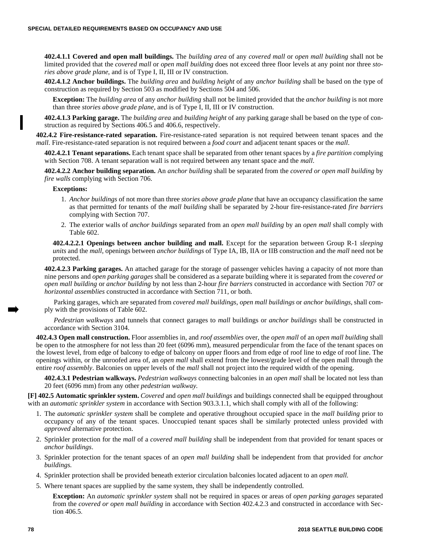**402.4.1.1 Covered and open mall buildings.** The *building area* of any *covered mall* or *open mall building* shall not be limited provided that the *covered mall* or *open mall building* does not exceed three floor levels at any point nor three *stories above grade plane*, and is of Type I, II, III or IV construction.

**402.4.1.2 Anchor buildings.** The *building area* and *building height* of any *anchor building* shall be based on the type of construction as required by Section 503 as modified by Sections 504 and 506.

**Exception:** The *building area* of any *anchor building* shall not be limited provided that the *anchor building* is not more than three *stories above grade plane*, and is of Type I, II, III or IV construction.

**402.4.1.3 Parking garage.** The *building area* and *building height* of any parking garage shall be based on the type of construction as required by Sections 406.5 and 406.6, respectively.

**402.4.2 Fire-resistance-rated separation.** Fire-resistance-rated separation is not required between tenant spaces and the *mall*. Fire-resistance-rated separation is not required between a *food court* and adjacent tenant spaces or the *mall*.

**402.4.2.1 Tenant separations.** Each tenant space shall be separated from other tenant spaces by a *fire partition c*omplying with Section 708. A tenant separation wall is not required between any tenant space and the *mall*.

**402.4.2.2 Anchor building separation.** An *anchor building* shall be separated from the *covered or open mall building* by *fire walls* complying with Section 706.

#### **Exceptions:**

- 1. *Anchor buildings* of not more than three *stories above grade plane* that have an occupancy classification the same as that permitted for tenants of the *mall building* shall be separated by 2-hour fire-resistance-rated *fire barriers* complying with Section 707.
- 2. The exterior walls of *anchor buildings* separated from an *open mall building* by an *open mall* shall comply with Table 602.

**402.4.2.2.1 Openings between anchor building and mall.** Except for the separation between Group R-1 *sleeping units* and the *mall*, openings between *anchor buildings* of Type IA, IB, IIA or IIB construction and the *mall* need not be protected.

**402.4.2.3 Parking garages.** An attached garage for the storage of passenger vehicles having a capacity of not more than nine persons and *open parking garages* shall be considered as a separate building where it is separated from the *covered or open mall building* or *anchor building* by not less than 2-hour *fire barriers* constructed in accordance with Section 707 or *horizontal assemblies* constructed in accordance with Section 711, or both.

Parking garages, which are separated from *covered mall buildings*, *open mall buildings* or *anchor buildings,* shall comply with the provisions of Table 602.

*Pedestrian walkways* and tunnels that connect garages to *mall* buildings or *anchor buildings* shall be constructed in accordance with Section 3104.

**402.4.3 Open mall construction.** Floor assemblies in, and *roof assemblies* over, the *open mall* of an *open mall building* shall be open to the atmosphere for not less than 20 feet (6096 mm), measured perpendicular from the face of the tenant spaces on the lowest level, from edge of balcony to edge of balcony on upper floors and from edge of roof line to edge of roof line. The openings within, or the unroofed area of, an *open mall* shall extend from the lowest/grade level of the open mall through the entire *roof assembly*. Balconies on upper levels of the *mall* shall not project into the required width of the opening.

**402.4.3.1 Pedestrian walkways.** *Pedestrian walkways* connecting balconies in an *open mall* shall be located not less than 20 feet (6096 mm) from any other *pedestrian walkway.*

**[F] 402.5 Automatic sprinkler system.** *Covered* and *open mall buildings* and buildings connected shall be equipped throughout with an *automatic sprinkler system* in accordance with Section 903.3.1.1, which shall comply with all of the following:

- 1. The *automatic sprinkler system* shall be complete and operative throughout occupied space in the *mall building* prior to occupancy of any of the tenant spaces. Unoccupied tenant spaces shall be similarly protected unless provided with *approved* alternative protection.
- 2. Sprinkler protection for the *mall* of a *covered mall building* shall be independent from that provided for tenant spaces or *anchor buildings*.
- 3. Sprinkler protection for the tenant spaces of an *open mall building* shall be independent from that provided for *anchor buildings.*
- 4. Sprinkler protection shall be provided beneath exterior circulation balconies located adjacent to an *open mall.*
- 5. Where tenant spaces are supplied by the same system, they shall be independently controlled.

**Exception:** An *automatic sprinkler system* shall not be required in spaces or areas of *open parking garages* separated from the *covered or open mall building* in accordance with Section 402.4.2.3 and constructed in accordance with Section 406.5.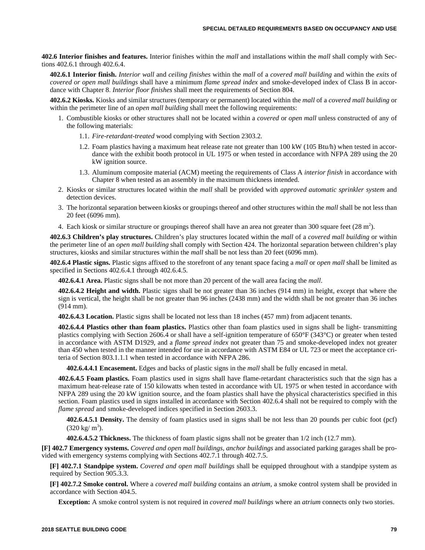**402.6 Interior finishes and features.** Interior finishes within the *mall* and installations within the *mall* shall comply with Sections 402.6.1 through 402.6.4.

**402.6.1 Interior finish.** *Interior wall* and *ceiling finishes* within the *mall* of a *covered mall building* and within the *exits* of *covered or open mall buildings* shall have a minimum *flame spread index* and smoke-developed index of Class B in accordance with Chapter 8. *Interior floor finishes* shall meet the requirements of Section 804.

**402.6.2 Kiosks.** Kiosks and similar structures (temporary or permanent) located within the *mall* of a *covered mall building* or within the perimeter line of an *open mall building* shall meet the following requirements:

- 1. Combustible kiosks or other structures shall not be located within a *covered* or *open mall* unless constructed of any of the following materials:
	- 1.1. *Fire-retardant-treated* wood complying with Section 2303.2.
	- 1.2. Foam plastics having a maximum heat release rate not greater than 100 kW (105 Btu/h) when tested in accordance with the exhibit booth protocol in UL 1975 or when tested in accordance with NFPA 289 using the 20 kW ignition source.
	- 1.3. Aluminum composite material (ACM) meeting the requirements of Class A *interior finish* in accordance with Chapter 8 when tested as an assembly in the maximum thickness intended.
- 2. Kiosks or similar structures located within the *mall* shall be provided with *approved automatic sprinkler system* and detection devices.
- 3. The horizontal separation between kiosks or groupings thereof and other structures within the *mall* shall be not less than 20 feet (6096 mm).
- 4. Each kiosk or similar structure or groupings thereof shall have an area not greater than 300 square feet  $(28 \text{ m}^2)$ .

**402.6.3 Children's play structures.** Children's play structures located within the *mall* of a *covered mall building* or within the perimeter line of an *open mall building* shall comply with Section 424. The horizontal separation between children's play structures, kiosks and similar structures within the *mall* shall be not less than 20 feet (6096 mm).

**402.6.4 Plastic signs.** Plastic signs affixed to the storefront of any tenant space facing a *mall* or *open mall* shall be limited as specified in Sections 402.6.4.1 through 402.6.4.5.

**402.6.4.1 Area.** Plastic signs shall be not more than 20 percent of the wall area facing the *mall*.

**402.6.4.2 Height and width.** Plastic signs shall be not greater than 36 inches (914 mm) in height, except that where the sign is vertical, the height shall be not greater than 96 inches (2438 mm) and the width shall be not greater than 36 inches (914 mm).

**402.6.4.3 Location.** Plastic signs shall be located not less than 18 inches (457 mm) from adjacent tenants.

**402.6.4.4 Plastics other than foam plastics.** Plastics other than foam plastics used in signs shall be light- transmitting plastics complying with Section 2606.4 or shall have a self-ignition temperature of 650°F (343°C) or greater when tested in accordance with ASTM D1929, and a *flame spread index* not greater than 75 and smoke-developed index not greater than 450 when tested in the manner intended for use in accordance with ASTM E84 or UL 723 or meet the acceptance criteria of Section 803.1.1.1 when tested in accordance with NFPA 286.

**402.6.4.4.1 Encasement.** Edges and backs of plastic signs in the *mall* shall be fully encased in metal.

**402.6.4.5 Foam plastics.** Foam plastics used in signs shall have flame-retardant characteristics such that the sign has a maximum heat-release rate of 150 kilowatts when tested in accordance with UL 1975 or when tested in accordance with NFPA 289 using the 20 kW ignition source, and the foam plastics shall have the physical characteristics specified in this section. Foam plastics used in signs installed in accordance with Section 402.6.4 shall not be required to comply with the *flame spread* and smoke-developed indices specified in Section 2603.3.

**402.6.4.5.1 Density.** The density of foam plastics used in signs shall be not less than 20 pounds per cubic foot (pcf)  $(320 \text{ kg/m}^3)$ .

**402.6.4.5.2 Thickness.** The thickness of foam plastic signs shall not be greater than 1/2 inch (12.7 mm).

**[F] 402.7 Emergency systems.** *Covered and open mall buildings*, *anchor buildings* and associated parking garages shall be provided with emergency systems complying with Sections 402.7.1 through 402.7.5.

**[F] 402.7.1 Standpipe system.** *Covered and open mall buildings* shall be equipped throughout with a standpipe system as required by Section 905.3.3.

**[F] 402.7.2 Smoke control.** Where a *covered mall building* contains an *atrium*, a smoke control system shall be provided in accordance with Section 404.5.

**Exception:** A smoke control system is not required in *covered mall buildings* where an *atrium* connects only two stories.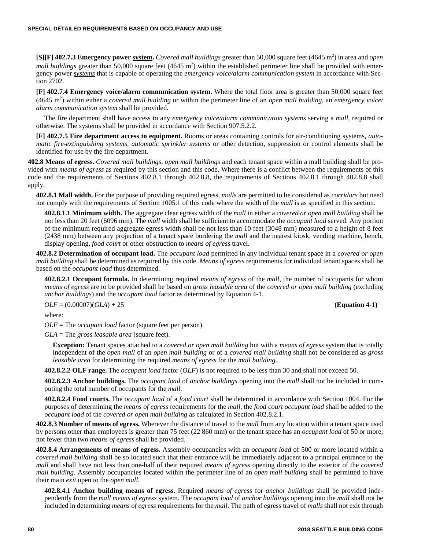**[S][F] 402.7.3 Emergency power system.** *Covered mall buildings* greater than 50,000 square feet (4645 m<sup>2</sup> ) in area and *open* mall buildings greater than 50,000 square feet (4645 m<sup>2</sup>) within the established perimeter line shall be provided with emergency power *systems* that is capable of operating the *emergency voice/alarm communication system* in accordance with Section 2702.

**[F] 402.7.4 Emergency voice/alarm communication system.** Where the total floor area is greater than 50,000 square feet (4645 m<sup>2</sup> ) within either a *covered mall building* or within the perimeter line of an *open mall building*, an *emergency voice/ alarm communication system* shall be provided.

The fire department shall have access to any *emergency voice/alarm communication systems* serving a *mall*, required or otherwise. The systems shall be provided in accordance with Section 907.5.2.2.

**[F] 402.7.5 Fire department access to equipment.** Rooms or areas containing controls for air-conditioning systems, *automatic fire-extinguishing systems, automatic sprinkler systems* or other detection, suppression or control elements shall be identified for use by the fire department.

**402.8 Means of egress.** *Covered mall buildings, open mall buildings* and each tenant space within a mall building shall be provided with *means of egress* as required by this section and this code. Where there is a conflict between the requirements of this code and the requirements of Sections 402.8.1 through 402.8.8, the requirements of Sections 402.8.1 through 402.8.8 shall apply.

**402.8.1 Mall width.** For the purpose of providing required egress, *malls* are permitted to be considered as *corridors* but need not comply with the requirements of Section 1005.1 of this code where the width of the *mall* is as specified in this section.

**402.8.1.1 Minimum width.** The aggregate clear egress width of the *mall* in either a *covered or open mall building* shall be not less than 20 feet (6096 mm). The *mall* width shall be sufficient to accommodate the *occupant load* served. Any portion of the minimum required aggregate egress width shall be not less than 10 feet (3048 mm) measured to a height of 8 feet (2438 mm) between any projection of a tenant space bordering the *mall* and the nearest kiosk, vending machine, bench, display opening, *food court* or other obstruction to *means of egress* travel.

**402.8.2 Determination of occupant load.** The *occupant load* permitted in any individual tenant space in a *covered or open mall building* shall be determined as required by this code. *Means of egress* requirements for individual tenant spaces shall be based on the *occupant load* thus determined.

**402.8.2.1 Occupant formula.** In determining required *means of egress* of the *mall*, the number of occupants for whom *means of egress* are to be provided shall be based on *gross leasable area* of the *covered or open mall building* (excluding *anchor buildings*) and the *occupant load* factor as determined by Equation 4-1.

*OLF* = (0.00007)(*GLA*) + 25 **(Equation 4-1)**

where:

*OLF* = The *occupant load* factor (square feet per person).

*GLA* = The *gross leasable area* (square feet).

**Exception:** Tenant spaces attached to a *covered or open mall building* but with a *means of egress* system that is totally independent of the *open mall* of an *open mall building* or of a *covered mall building* shall not be considered as *gross leasable area* for determining the required *means of egress* for the *mall building*.

**402.8.2.2 OLF range.** The *occupant load* factor (*OLF*) is not required to be less than 30 and shall not exceed 50.

**402.8.2.3 Anchor buildings.** The *occupant load* of *anchor buildings* opening into the *mall* shall not be included in computing the total number of occupants for the *mall*.

**402.8.2.4 Food courts.** The *occupant load* of a *food court* shall be determined in accordance with Section 1004. For the purposes of determining the *means of egress* requirements for the *mall*, the *food court occupant load* shall be added to the *occupant load* of the *covered or open mall building* as calculated in Section 402.8.2.1.

**402.8.3 Number of means of egress.** Wherever the distance of travel to the *mall* from any location within a tenant space used by persons other than employees is greater than 75 feet (22 860 mm) or the tenant space has an *occupant load* of 50 or more, not fewer than two *means of egress* shall be provided.

**402.8.4 Arrangements of means of egress.** Assembly occupancies with an *occupant load* of 500 or more located within a *covered mall building* shall be so located such that their entrance will be immediately adjacent to a principal entrance to the *mall* and shall have not less than one-half of their required *means of egress* opening directly to the exterior of the *covered mall building*. Assembly occupancies located within the perimeter line of an *open mall building* shall be permitted to have their main *exit* open to the *open mall*.

**402.8.4.1 Anchor building means of egress.** Required *means of egress* for *anchor buildings* shall be provided independently from the *mall means of egress* system. The *occupant load* of *anchor buildings* opening into the *mall* shall not be included in determining *means of egress* requirements for the *mall*. The path of egress travel of *malls* shall not exit through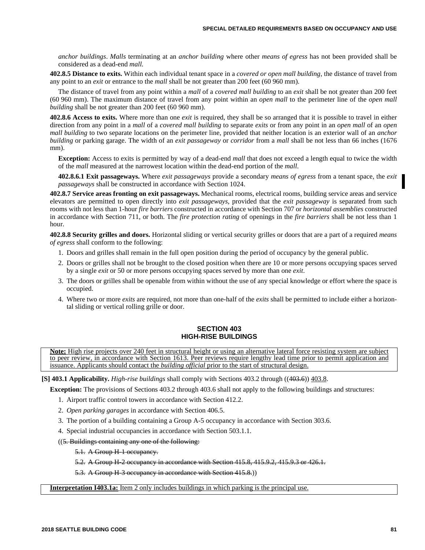*anchor buildings*. *Malls* terminating at an *anchor building* where other *means of egress* has not been provided shall be considered as a dead-end *mall.*

**402.8.5 Distance to exits.** Within each individual tenant space in a *covered or open mall building*, the distance of travel from any point to an *exit* or entrance to the *mall* shall be not greater than 200 feet (60 960 mm).

The distance of travel from any point within a *mall* of a *covered mall building* to an *exit* shall be not greater than 200 feet (60 960 mm). The maximum distance of travel from any point within an *open mall* to the perimeter line of the *open mall building* shall be not greater than 200 feet (60 960 mm).

**402.8.6 Access to exits.** Where more than one *exit* is required, they shall be so arranged that it is possible to travel in either direction from any point in a *mall* of a *covered mall building* to separate *exits* or from any point in an *open mall* of an *open mall building* to two separate locations on the perimeter line, provided that neither location is an exterior wall of an *anchor building* or parking garage. The width of an *exit passageway* or *corridor* from a *mall* shall be not less than 66 inches (1676 mm).

**Exception:** Access to exits is permitted by way of a dead-end *mall* that does not exceed a length equal to twice the width of the *mall* measured at the narrowest location within the dead-end portion of the *mall*.

**402.8.6.1 Exit passageways.** Where *exit passageways* provide a secondary *means of egress* from a tenant space, the *exit passageways* shall be constructed in accordance with Section 1024.

**402.8.7 Service areas fronting on exit passageways.** Mechanical rooms, electrical rooms, building service areas and service elevators are permitted to open directly into *exit passageways*, provided that the *exit passageway* is separated from such rooms with not less than 1-hour *fire barriers* constructed in accordance with Section 707 or *horizontal assemblies* constructed in accordance with Section 711, or both. The *fire protection rating* of openings in the *fire barriers* shall be not less than 1 hour.

**402.8.8 Security grilles and doors.** Horizontal sliding or vertical security grilles or doors that are a part of a required *means of egress* shall conform to the following:

- 1. Doors and grilles shall remain in the full open position during the period of occupancy by the general public.
- 2. Doors or grilles shall not be brought to the closed position when there are 10 or more persons occupying spaces served by a single *exit* or 50 or more persons occupying spaces served by more than one *exit*.
- 3. The doors or grilles shall be openable from within without the use of any special knowledge or effort where the space is occupied.
- 4. Where two or more *exits* are required, not more than one-half of the *exits* shall be permitted to include either a horizontal sliding or vertical rolling grille or door.

#### **SECTION 403 HIGH-RISE BUILDINGS**

**Note:** High rise projects over 240 feet in structural height or using an alternative lateral force resisting system are subject to peer review, in accordance with Section 1613. Peer reviews require lengthy lead time prior to permit application and issuance. Applicants should contact the *building official* prior to the start of structural design.

**[S] 403.1 Applicability.** *High-rise buildings* shall comply with Sections 403.2 through ((403.6)) 403.8.

**Exception:** The provisions of Sections 403.2 through 403.6 shall not apply to the following buildings and structures:

- 1. Airport traffic control towers in accordance with Section 412.2.
- 2. *Open parking garages* in accordance with Section 406.5.
- 3. The portion of a building containing a Group A-5 occupancy in accordance with Section 303.6.
- 4. Special industrial occupancies in accordance with Section 503.1.1.

((5. Buildings containing any one of the following:

5.1. A Group H-1 occupancy.

5.2. A Group H-2 occupancy in accordance with Section 415.8, 415.9.2, 415.9.3 or 426.1.

5.3. A Group H-3 occupancy in accordance with Section 415.8.))

**Interpretation I403.1a:** Item 2 only includes buildings in which parking is the principal use.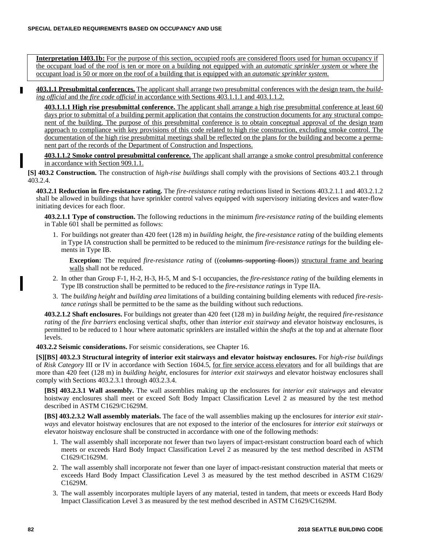**Interpretation I403.1b:** For the purpose of this section, occupied roofs are considered floors used for human occupancy if the occupant load of the roof is ten or more on a building not equipped with an *automatic sprinkler system* or where the occupant load is 50 or more on the roof of a building that is equipped with an *automatic sprinkler system*.

**403.1.1 Presubmittal conferences.** The applicant shall arrange two presubmittal conferences with the design team, the *building official* and the *fire code official* in accordance with Sections 403.1.1.1 and 403.1.1.2.

**403.1.1.1 High rise presubmittal conference.** The applicant shall arrange a high rise presubmittal conference at least 60 days prior to submittal of a building permit application that contains the construction documents for any structural component of the building. The purpose of this presubmittal conference is to obtain conceptual approval of the design team approach to compliance with key provisions of this code related to high rise construction, excluding smoke control. The documentation of the high rise presubmittal meetings shall be reflected on the plans for the building and become a permanent part of the records of the Department of Construction and Inspections.

**403.1.1.2 Smoke control presubmittal conference.** The applicant shall arrange a smoke control presubmittal conference in accordance with Section 909.1.1.

**[S] 403.2 Construction.** The construction of *high-rise buildings* shall comply with the provisions of Sections 403.2.1 through 403.2.4.

**403.2.1 Reduction in fire-resistance rating.** The *fire-resistance rating* reductions listed in Sections 403.2.1.1 and 403.2.1.2 shall be allowed in buildings that have sprinkler control valves equipped with supervisory initiating devices and water-flow initiating devices for each floor.

**403.2.1.1 Type of construction.** The following reductions in the minimum *fire-resistance rating* of the building elements in Table 601 shall be permitted as follows:

1. For buildings not greater than 420 feet (128 m) in *building height*, the *fire-resistance rating* of the building elements in Type IA construction shall be permitted to be reduced to the minimum *fire-resistance ratings* for the building elements in Type IB.

**Exception:** The required *fire-resistance rating* of ((columns supporting floors)) structural frame and bearing walls shall not be reduced.

- 2. In other than Group F-1, H-2, H-3, H-5, M and S-1 occupancies, the *fire-resistance rating* of the building elements in Type IB construction shall be permitted to be reduced to the *fire-resistance ratings* in Type IIA.
- 3. The *building height* and *building area* limitations of a building containing building elements with reduced *fire-resistance ratings* shall be permitted to be the same as the building without such reductions.

**403.2.1.2 Shaft enclosures.** For buildings not greater than 420 feet (128 m) in *building height*, the required *fire-resistance rating* of the *fire barriers* enclosing vertical *shafts*, other than *interior exit stairway* and elevator hoistway enclosures, is permitted to be reduced to 1 hour where automatic sprinklers are installed within the *shafts* at the top and at alternate floor levels.

**403.2.2 Seismic considerations.** For seismic considerations, see Chapter 16.

**[S][BS] 403.2.3 Structural integrity of interior exit stairways and elevator hoistway enclosures.** For *high-rise buildings* of *Risk Category* III or IV in accordance with Section 1604.5, for fire service access elevators and for all buildings that are more than 420 feet (128 m) in *building height*, enclosures for *interior exit stairways* and elevator hoistway enclosures shall comply with Sections 403.2.3.1 through 403.2.3.4.

**[BS] 403.2.3.1 Wall assembly.** The wall assemblies making up the enclosures for *interior exit stairways* and elevator hoistway enclosures shall meet or exceed Soft Body Impact Classification Level 2 as measured by the test method described in ASTM C1629/C1629M.

**[BS] 403.2.3.2 Wall assembly materials.** The face of the wall assemblies making up the enclosures for *interior exit stairways* and elevator hoistway enclosures that are not exposed to the interior of the enclosures for *interior exit stairways* or elevator hoistway enclosure shall be constructed in accordance with one of the following methods:

- 1. The wall assembly shall incorporate not fewer than two layers of impact-resistant construction board each of which meets or exceeds Hard Body Impact Classification Level 2 as measured by the test method described in ASTM C1629/C1629M.
- 2. The wall assembly shall incorporate not fewer than one layer of impact-resistant construction material that meets or exceeds Hard Body Impact Classification Level 3 as measured by the test method described in ASTM C1629/ C1629M.
- 3. The wall assembly incorporates multiple layers of any material, tested in tandem, that meets or exceeds Hard Body Impact Classification Level 3 as measured by the test method described in ASTM C1629/C1629M.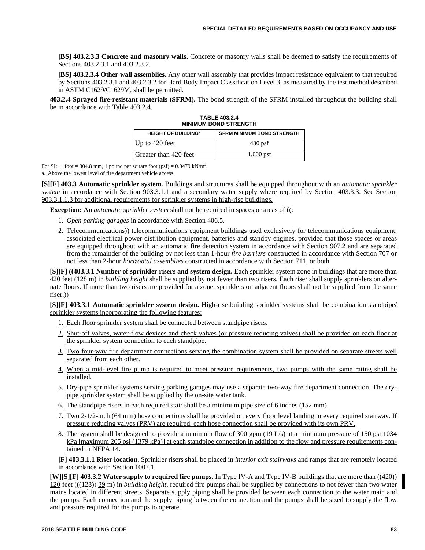**[BS] 403.2.3.3 Concrete and masonry walls.** Concrete or masonry walls shall be deemed to satisfy the requirements of Sections 403.2.3.1 and 403.2.3.2.

**[BS] 403.2.3.4 Other wall assemblies.** Any other wall assembly that provides impact resistance equivalent to that required by Sections 403.2.3.1 and 403.2.3.2 for Hard Body Impact Classification Level 3, as measured by the test method described in ASTM C1629/C1629M, shall be permitted.

**403.2.4 Sprayed fire-resistant materials (SFRM).** The bond strength of the SFRM installed throughout the building shall be in accordance with Table 403.2.4.

| <b>MINIMUM BOND STRENGTH</b>          |                                   |  |  |  |  |
|---------------------------------------|-----------------------------------|--|--|--|--|
| <b>HEIGHT OF BUILDING<sup>a</sup></b> | <b>SFRM MINIMUM BOND STRENGTH</b> |  |  |  |  |
| Up to 420 feet                        | $430$ psf                         |  |  |  |  |
| Greater than 420 feet                 | $1,000$ psf                       |  |  |  |  |

**TABLE 403.2.4 MINIMUM BOND STRENGTH**

For SI: 1 foot = 304.8 mm, 1 pound per square foot (psf) =  $0.0479$  kN/m<sup>2</sup>.

a. Above the lowest level of fire department vehicle access.

**[S][F] 403.3 Automatic sprinkler system.** Buildings and structures shall be equipped throughout with an *automatic sprinkler system* in accordance with Section 903.3.1.1 and a secondary water supply where required by Section 403.3.3. See Section 903.3.1.1.3 for additional requirements for sprinkler systems in high-rise buildings.

**Exception:** An *automatic sprinkler system* shall not be required in spaces or areas of (( $\div$ 

- 1. *Open parking garages* in accordance with Section 406.5.
- 2. Telecommunications)) telecommunications equipment buildings used exclusively for telecommunications equipment, associated electrical power distribution equipment, batteries and standby engines, provided that those spaces or areas are equipped throughout with an automatic fire detection system in accordance with Section 907.2 and are separated from the remainder of the building by not less than 1-hour *fire barriers* constructed in accordance with Section 707 or not less than 2-hour *horizontal assemblies* constructed in accordance with Section 711, or both.

**[S][F] ((403.3.1 Number of sprinkler risers and system design.** Each sprinkler system zone in buildings that are more than 420 feet (128 m) in *building height* shall be supplied by not fewer than two risers. Each riser shall supply sprinklers on alternate floors. If more than two risers are provided for a zone, sprinklers on adjacent floors shall not be supplied from the same riser.))

**[S][F] 403.3.1 Automatic sprinkler system design.** High-rise building sprinkler systems shall be combination standpipe/ sprinkler systems incorporating the following features:

- 1. Each floor sprinkler system shall be connected between standpipe risers.
- 2. Shut-off valves, water-flow devices and check valves (or pressure reducing valves) shall be provided on each floor at the sprinkler system connection to each standpipe.
- 3. Two four-way fire department connections serving the combination system shall be provided on separate streets well separated from each other.
- 4, When a mid-level fire pump is required to meet pressure requirements, two pumps with the same rating shall be installed.
- 5. Dry-pipe sprinkler systems serving parking garages may use a separate two-way fire department connection. The drypipe sprinkler system shall be supplied by the on-site water tank.
- 6. The standpipe risers in each required stair shall be a minimum pipe size of 6 inches (152 mm).
- 7. Two 2-1/2-inch (64 mm) hose connections shall be provided on every floor level landing in every required stairway. If pressure reducing valves (PRV) are required, each hose connection shall be provided with its own PRV.
- 8. The system shall be designed to provide a minimum flow of 300 gpm (19 L/s) at a minimum pressure of 150 psi 1034 kPa [maximum 205 psi (1379 kPa)] at each standpipe connection in addition to the flow and pressure requirements contained in NFPA 14.

**[F] 403.3.1.1 Riser location.** Sprinkler risers shall be placed in *interior exit stairways* and ramps that are remotely located in accordance with Section 1007.1.

**[W][S][F] 403.3.2 Water supply to required fire pumps.** In Type IV-A and Type IV-B buildings that are more than ((420)) 120 feet (((128)) 39 m) in *building height*, required fire pumps shall be supplied by connections to not fewer than two water mains located in different streets. Separate supply piping shall be provided between each connection to the water main and the pumps. Each connection and the supply piping between the connection and the pumps shall be sized to supply the flow and pressure required for the pumps to operate.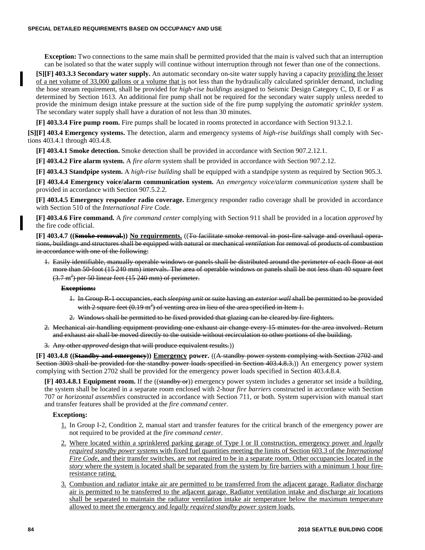**Exception:** Two connections to the same main shall be permitted provided that the main is valved such that an interruption can be isolated so that the water supply will continue without interruption through not fewer than one of the connections.

**[S][F] 403.3.3 Secondary water supply.** An automatic secondary on-site water supply having a capacity providing the lesser of a net volume of 33,000 gallons or a volume that is not less than the hydraulically calculated sprinkler demand, including the hose stream requirement, shall be provided for *high-rise buildings* assigned to Seismic Design Category C, D, E or F as determined by Section 1613. An additional fire pump shall not be required for the secondary water supply unless needed to provide the minimum design intake pressure at the suction side of the fire pump supplying the *automatic sprinkler system*. The secondary water supply shall have a duration of not less than 30 minutes.

**[F] 403.3.4 Fire pump room.** Fire pumps shall be located in rooms protected in accordance with Section 913.2.1.

**[S][F] 403.4 Emergency systems.** The detection, alarm and emergency systems of *high-rise buildings* shall comply with Sections 403.4.1 through 403.4.8.

**[F] 403.4.1 Smoke detection.** Smoke detection shall be provided in accordance with Section 907.2.12.1.

**[F] 403.4.2 Fire alarm system.** A *fire alarm* system shall be provided in accordance with Section 907.2.12.

**[F] 403.4.3 Standpipe system.** A *high-rise building* shall be equipped with a standpipe system as required by Section 905.3.

**[F] 403.4.4 Emergency voice/alarm communication system.** An *emergency voice/alarm communication system* shall be provided in accordance with Section 907.5.2.2.

**[F] 403.4.5 Emergency responder radio coverage.** Emergency responder radio coverage shall be provided in accordance with Section 510 of the *International Fire Code*.

**[F] 403.4.6 Fire command.** A *fire command center* complying with Section 911 shall be provided in a location *approved* by the fire code official.

**[F] 403.4.7 ((Smoke removal.)) No requirements.** ((To facilitate smoke removal in post-fire salvage and overhaul operations, buildings and structures shall be equipped with natural or mechanical *ventilation* for removal of products of combustion in accordance with one of the following:

1. Easily identifiable, manually operable windows or panels shall be distributed around the perimeter of each floor at not more than 50 foot (15 240 mm) intervals. The area of operable windows or panels shall be not less than 40 square feet  $(3.7 \text{ m}^2)$  per 50 linear feet (15 240 mm) of perimeter.

#### **Exceptions:**

- 1. In Group R-1 occupancies, each *sleeping unit* or suite having an *exterior wall* shall be permitted to be provided with 2 square feet  $(0.19 \text{ m}^2)$  of venting area in lieu of the area specified in Item 1.
- 2. Windows shall be permitted to be fixed provided that glazing can be cleared by fire fighters.
- 2. Mechanical air-handling equipment providing one exhaust air change every 15 minutes for the area involved. Return and exhaust air shall be moved directly to the outside without recirculation to other portions of the building.
- 3. Any other *approved* design that will produce equivalent results.))

**[F] 403.4.8 ((Standby and emergency)) Emergency power.** ((A standby power system complying with Section 2702 and Section 3003 shall be provided for the standby power loads specified in Section 403.4.8.3.)) An emergency power system complying with Section 2702 shall be provided for the emergency power loads specified in Section 403.4.8.4.

**[F] 403.4.8.1 Equipment room.** If the ((standby or)) emergency power system includes a generator set inside a building, the system shall be located in a separate room enclosed with 2-hour *fire barriers* constructed in accordance with Section 707 or *horizontal assemblies* constructed in accordance with Section 711, or both. System supervision with manual start and transfer features shall be provided at the *fire command center.*

#### **Exceptions:**

- 1. In Group I-2, Condition 2, manual start and transfer features for the critical branch of the emergency power are not required to be provided at the *fire command center*.
- 2. Where located within a sprinklered parking garage of Type I or II construction, emergency power and *legally required standby power systems* with fixed fuel quantities meeting the limits of Section 603.3 of the *International Fire Code*, and their transfer switches, are not required to be in a separate room. Other occupancies located in the *story* where the system is located shall be separated from the system by fire barriers with a minimum 1 hour fireresistance rating.
- 3. Combustion and radiator intake air are permitted to be transferred from the adjacent garage. Radiator discharge air is permitted to be transferred to the adjacent garage. Radiator ventilation intake and discharge air locations shall be separated to maintain the radiator ventilation intake air temperature below the maximum temperature allowed to meet the emergency and *legally required standby power system* loads.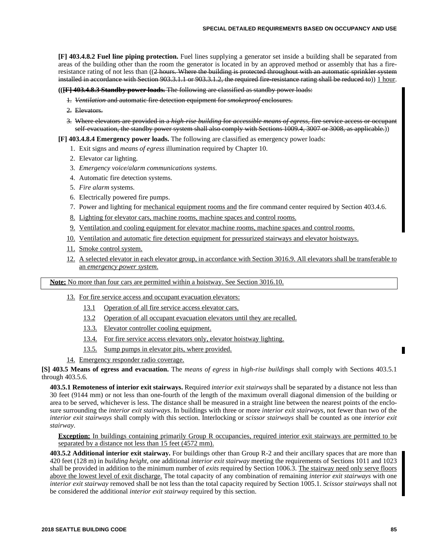**[F] 403.4.8.2 Fuel line piping protection.** Fuel lines supplying a generator set inside a building shall be separated from areas of the building other than the room the generator is located in by an approved method or assembly that has a fireresistance rating of not less than ((2 hours. Where the building is protected throughout with an automatic sprinkler system installed in accordance with Section 903.3.1.1 or 903.3.1.2, the required fire-resistance rating shall be reduced to)) 1 hour.

**(([F] 403.4.8.3 Standby power loads.** The following are classified as standby power loads:

- 1. *Ventilation* and automatic fire detection equipment for *smokeproof* enclosures.
- 2. Elevators.
- 3. Where elevators are provided in a *high-rise building* for *accessible means of egress*, fire service access or occupant self-evacuation, the standby power system shall also comply with Sections 1009.4, 3007 or 3008, as applicable.)

**[F] 403.4.8.4 Emergency power loads.** The following are classified as emergency power loads:

- 1. Exit signs and *means of egress* illumination required by Chapter 10.
- 2. Elevator car lighting.
- 3. *Emergency voice/alarm communications systems*.
- 4. Automatic fire detection systems.
- 5. *Fire alarm* systems.
- 6. Electrically powered fire pumps.
- 7. Power and lighting for mechanical equipment rooms and the fire command center required by Section 403.4.6.
- 8. Lighting for elevator cars, machine rooms, machine spaces and control rooms.
- 9. Ventilation and cooling equipment for elevator machine rooms, machine spaces and control rooms.
- 10. Ventilation and automatic fire detection equipment for pressurized stairways and elevator hoistways.
- 11. Smoke control system.
- 12. A selected elevator in each elevator group, in accordance with Section 3016.9. All elevators shall be transferable to an *emergency power system*.

# **Note:** No more than four cars are permitted within a hoistway. See Section 3016.10.

# 13. For fire service access and occupant evacuation elevators:

- 13.1 Operation of all fire service access elevator cars.
- 13.2 Operation of all occupant evacuation elevators until they are recalled.
- 13.3. Elevator controller cooling equipment.
- 13.4. For fire service access elevators only, elevator hoistway lighting.
- 13.5. Sump pumps in elevator pits, where provided.
- 14. Emergency responder radio coverage.

**[S] 403.5 Means of egress and evacuation.** The *means of egress* in *high-rise buildings* shall comply with Sections 403.5.1 through 403.5.6.

**403.5.1 Remoteness of interior exit stairways.** Required *interior exit stairways* shall be separated by a distance not less than 30 feet (9144 mm) or not less than one-fourth of the length of the maximum overall diagonal dimension of the building or area to be served, whichever is less. The distance shall be measured in a straight line between the nearest points of the enclosure surrounding the *interior exit stairways*. In buildings with three or more *interior exit stairways,* not fewer than two of the *interior exit stairways* shall comply with this section. Interlocking or *scissor stairways* shall be counted as one *interior exit stairway.*

**Exception:** In buildings containing primarily Group R occupancies, required interior exit stairways are permitted to be separated by a distance not less than 15 feet (4572 mm).

**403.5.2 Additional interior exit stairway.** For buildings other than Group R-2 and their ancillary spaces that are more than 420 feet (128 m) in *building height*, one additional *interior exit stairway* meeting the requirements of Sections 1011 and 1023 shall be provided in addition to the minimum number of *exits* required by Section 1006.3. The stairway need only serve floors above the lowest level of exit discharge. The total capacity of any combination of remaining *interior exit stairways* with one *interior exit stairway* removed shall be not less than the total capacity required by Section 1005.1. *Scissor stairways* shall not be considered the additional *interior exit stairway* required by this section.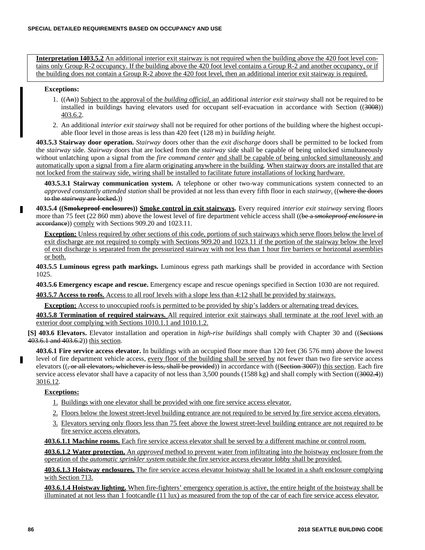**Interpretation I403.5.2** An additional interior exit stairway is not required when the building above the 420 foot level contains only Group R-2 occupancy. If the building above the 420 foot level contains a Group R-2 and another occupancy, or if the building does not contain a Group R-2 above the 420 foot level, then an additional interior exit stairway is required.

#### **Exceptions:**

- 1. ((An)) Subject to the approval of the *building official*, an additional *interior exit stairway* shall not be required to be installed in buildings having elevators used for occupant self-evacuation in accordance with Section ((3008)) 403.6.2.
- 2. An additional *interior exit stairway* shall not be required for other portions of the building where the highest occupiable floor level in those areas is less than 420 feet (128 m) in *building height.*

**403.5.3 Stairway door operation.** *Stairway* doors other than the *exit discharge* doors shall be permitted to be locked from the *stairway* side. *Stairway* doors that are locked from the *stairway* side shall be capable of being unlocked simultaneously without unlatching upon a signal from the *fire command center* and shall be capable of being unlocked simultaneously and automatically upon a signal from a fire alarm originating anywhere in the building*.* When stairway doors are installed that are not locked from the stairway side, wiring shall be installed to facilitate future installations of locking hardware.

**403.5.3.1 Stairway communication system.** A telephone or other two-way communications system connected to an *approved constantly attended station* shall be provided at not less than every fifth floor in each *stairway.* ((where the doors to the *stairway* are locked.))

**403.5.4 ((Smokeproof enclosures)) Smoke control in exit stairways.** Every required *interior exit stairway* serving floors more than 75 feet (22 860 mm) above the lowest level of fire department vehicle access shall ((be a *smokeproof enclosure* in accordance)) comply with Sections 909.20 and 1023.11.

**Exception:** Unless required by other sections of this code, portions of such stairways which serve floors below the level of exit discharge are not required to comply with Sections 909.20 and 1023.11 if the portion of the stairway below the level of exit discharge is separated from the pressurized stairway with not less than 1 hour fire barriers or horizontal assemblies or both.

**403.5.5 Luminous egress path markings.** Luminous egress path markings shall be provided in accordance with Section 1025.

**403.5.6 Emergency escape and rescue.** Emergency escape and rescue openings specified in Section 1030 are not required.

**403.5.7 Access to roofs.** Access to all roof levels with a slope less than 4:12 shall be provided by stairways.

**Exception:** Access to unoccupied roofs is permitted to be provided by ship's ladders or alternating tread devices.

**403.5.8 Termination of required stairways.** All required interior exit stairways shall terminate at the roof level with an exterior door complying with Sections 1010.1.1 and 1010.1.2.

**[S] 403.6 Elevators.** Elevator installation and operation in *high-rise buildings* shall comply with Chapter 30 and ((Sections 403.6.1 and 403.6.2)) this section.

**403.6.1 Fire service access elevator.** In buildings with an occupied floor more than 120 feet (36 576 mm) above the lowest level of fire department vehicle access, every floor of the building shall be served by not fewer than two fire service access elevators ((<del>, or all elevators, whichever is less, shall be provided</del>)) in accordance with ((Section 3007)) this section. Each fire service access elevator shall have a capacity of not less than 3,500 pounds (1588 kg) and shall comply with Section ((3002.4)) 3016.12.

# **Exceptions:**

- 1. Buildings with one elevator shall be provided with one fire service access elevator.
- 2. Floors below the lowest street-level building entrance are not required to be served by fire service access elevators.
- 3. Elevators serving only floors less than 75 feet above the lowest street-level building entrance are not required to be fire service access elevators.

**403.6.1.1 Machine rooms.** Each fire service access elevator shall be served by a different machine or control room.

**403.6.1.2 Water protection.** An *approved* method to prevent water from infiltrating into the hoistway enclosure from the operation of the *automatic sprinkler system* outside the fire service access elevator lobby shall be provided.

**403.6.1.3 Hoistway enclosures.** The fire service access elevator hoistway shall be located in a shaft enclosure complying with Section 713.

**403.6.1.4 Hoistway lighting.** When fire-fighters' emergency operation is active, the entire height of the hoistway shall be illuminated at not less than 1 footcandle (11 lux) as measured from the top of the car of each fire service access elevator.

Г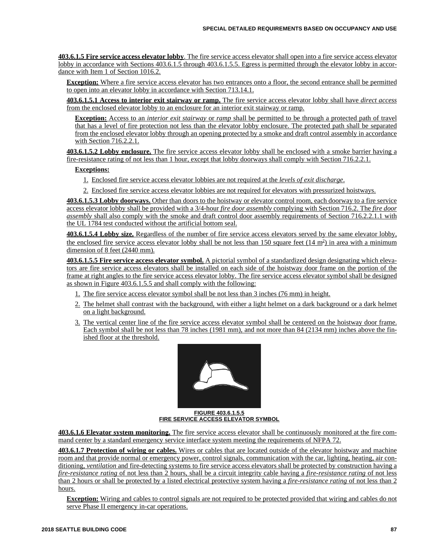**403.6.1.5 Fire service access elevator lobby**. The fire service access elevator shall open into a fire service access elevator lobby in accordance with Sections 403.6.1.5 through 403.6.1.5.5. Egress is permitted through the elevator lobby in accordance with Item 1 of Section 1016.2.

**Exception:** Where a fire service access elevator has two entrances onto a floor, the second entrance shall be permitted to open into an elevator lobby in accordance with Section 713.14.1.

**403.6.1.5.1 Access to interior exit stairway or ramp.** The fire service access elevator lobby shall have *direct access* from the enclosed elevator lobby to an enclosure for an interior exit stairway or ramp.

**Exception:** Access to an *interior exit stairway* or *ramp* shall be permitted to be through a protected path of travel that has a level of fire protection not less than the elevator lobby enclosure. The protected path shall be separated from the enclosed elevator lobby through an opening protected by a smoke and draft control assembly in accordance with Section 716.2.2.1.

**403.6.1.5.2 Lobby enclosure.** The fire service access elevator lobby shall be enclosed with a smoke barrier having a fire-resistance rating of not less than 1 hour, except that lobby doorways shall comply with Section 716.2.2.1.

#### **Exceptions:**

- 1. Enclosed fire service access elevator lobbies are not required at the *levels of exit discharge*.
- 2. Enclosed fire service access elevator lobbies are not required for elevators with pressurized hoistways.

**403.6.1.5.3 Lobby doorways.** Other than doors to the hoistway or elevator control room, each doorway to a fire service access elevator lobby shall be provided with a 3/4-hour *fire door assembly* complying with Section 716.2. The *fire door assembly* shall also comply with the smoke and draft control door assembly requirements of Section 716.2.2.1.1 with the UL 1784 test conducted without the artificial bottom seal.

**403.6.1.5.4 Lobby size.** Regardless of the number of fire service access elevators served by the same elevator lobby, the enclosed fire service access elevator lobby shall be not less than 150 square feet (14 m<sup>2</sup>) in area with a minimum dimension of 8 feet (2440 mm).

**403.6.1.5.5 Fire service access elevator symbol.** A pictorial symbol of a standardized design designating which elevators are fire service access elevators shall be installed on each side of the hoistway door frame on the portion of the frame at right angles to the fire service access elevator lobby. The fire service access elevator symbol shall be designed as shown in Figure 403.6.1.5.5 and shall comply with the following:

- 1. The fire service access elevator symbol shall be not less than 3 inches (76 mm) in height.
- 2. The helmet shall contrast with the background, with either a light helmet on a dark background or a dark helmet on a light background.
- 3. The vertical center line of the fire service access elevator symbol shall be centered on the hoistway door frame. Each symbol shall be not less than 78 inches (1981 mm), and not more than 84 (2134 mm) inches above the finished floor at the threshold.



**FIGURE 403.6.1.5.5 FIRE SERVICE ACCESS ELEVATOR SYMBOL**

**403.6.1.6 Elevator system monitoring.** The fire service access elevator shall be continuously monitored at the fire command center by a standard emergency service interface system meeting the requirements of NFPA 72.

**403.6.1.7 Protection of wiring or cables.** Wires or cables that are located outside of the elevator hoistway and machine room and that provide normal or emergency power, control signals, communication with the car, lighting, heating, air conditioning, *ventilation* and fire-detecting systems to fire service access elevators shall be protected by construction having a *fire-resistance rating* of not less than 2 hours, shall be a circuit integrity cable having a *fire-resistance rating* of not less than 2 hours or shall be protected by a listed electrical protective system having a *fire-resistance rating* of not less than 2 hours.

**Exception:** Wiring and cables to control signals are not required to be protected provided that wiring and cables do not serve Phase II emergency in-car operations.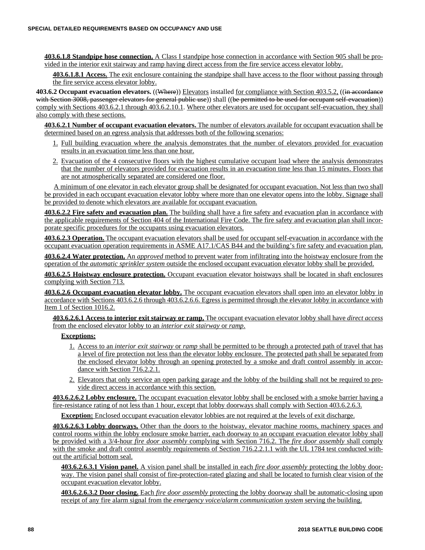**403.6.1.8 Standpipe hose connection.** A Class I standpipe hose connection in accordance with Section 905 shall be provided in the interior exit stairway and ramp having direct access from the fire service access elevator lobby.

**403.6.1.8.1 Access.** The exit enclosure containing the standpipe shall have access to the floor without passing through the fire service access elevator lobby.

**403.6.2 Occupant evacuation elevators.** ((Where)) Elevators installed <u>for compliance with Section 403.5.2</u>, ((in accordance with Section 3008, passenger elevators for general public use)) shall ((be permitted to be used for occupant self-evacuation)) comply with Sections 403.6.2.1 through 403.6.2.10.1. Where other elevators are used for occupant self-evacuation, they shall also comply with these sections.

**403.6.2.1 Number of occupant evacuation elevators.** The number of elevators available for occupant evacuation shall be determined based on an egress analysis that addresses both of the following scenarios:

- 1. Full building evacuation where the analysis demonstrates that the number of elevators provided for evacuation results in an evacuation time less than one hour.
- 2. Evacuation of the 4 consecutive floors with the highest cumulative occupant load where the analysis demonstrates that the number of elevators provided for evacuation results in an evacuation time less than 15 minutes. Floors that are not atmospherically separated are considered one floor.

A minimum of one elevator in each elevator group shall be designated for occupant evacuation. Not less than two shall be provided in each occupant evacuation elevator lobby where more than one elevator opens into the lobby. Signage shall be provided to denote which elevators are available for occupant evacuation.

**403.6.2.2 Fire safety and evacuation plan.** The building shall have a fire safety and evacuation plan in accordance with the applicable requirements of Section 404 of the International Fire Code. The fire safety and evacuation plan shall incorporate specific procedures for the occupants using evacuation elevators.

**403.6.2.3 Operation.** The occupant evacuation elevators shall be used for occupant self-evacuation in accordance with the occupant evacuation operation requirements in ASME A17.1/CAS B44 and the building's fire safety and evacuation plan.

**403.6.2.4 Water protection.** An *approved* method to prevent water from infiltrating into the hoistway enclosure from the operation of the *automatic sprinkler system* outside the enclosed occupant evacuation elevator lobby shall be provided.

**403.6.2.5 Hoistway enclosure protection.** Occupant evacuation elevator hoistways shall be located in shaft enclosures complying with Section 713.

**403.6.2.6 Occupant evacuation elevator lobby.** The occupant evacuation elevators shall open into an elevator lobby in accordance with Sections 403.6.2.6 through 403.6.2.6.6. Egress is permitted through the elevator lobby in accordance with Item 1 of Section 1016.2.

**403.6.2.6.1 Access to interior exit stairway or ramp.** The occupant evacuation elevator lobby shall have *direct access* from the enclosed elevator lobby to an *interior exit stairway* or *ramp*.

## **Exceptions:**

- 1. Access to an *interior exit stairway* or *ramp* shall be permitted to be through a protected path of travel that has a level of fire protection not less than the elevator lobby enclosure. The protected path shall be separated from the enclosed elevator lobby through an opening protected by a smoke and draft control assembly in accordance with Section 716.2.2.1.
- 2. Elevators that only service an open parking garage and the lobby of the building shall not be required to provide direct access in accordance with this section.

**403.6.2.6.2 Lobby enclosure.** The occupant evacuation elevator lobby shall be enclosed with a smoke barrier having a fire-resistance rating of not less than 1 hour, except that lobby doorways shall comply with Section 403.6.2.6.3.

**Exception:** Enclosed occupant evacuation elevator lobbies are not required at the levels of exit discharge.

**403.6.2.6.3 Lobby doorways.** Other than the doors to the hoistway, elevator machine rooms, machinery spaces and control rooms within the lobby enclosure smoke barrier, each doorway to an occupant evacuation elevator lobby shall be provided with a 3/4-hour *fire door assembly* complying with Section 716.2. The *fire door assembly* shall comply with the smoke and draft control assembly requirements of Section 716.2.2.1.1 with the UL 1784 test conducted without the artificial bottom seal.

**403.6.2.6.3.1 Vision panel.** A vision panel shall be installed in each *fire door assembly* protecting the lobby doorway. The vision panel shall consist of fire-protection-rated glazing and shall be located to furnish clear vision of the occupant evacuation elevator lobby.

**403.6.2.6.3.2 Door closing.** Each *fire door assembly* protecting the lobby doorway shall be automatic-closing upon receipt of any fire alarm signal from the *emergency voice/alarm communication system* serving the building.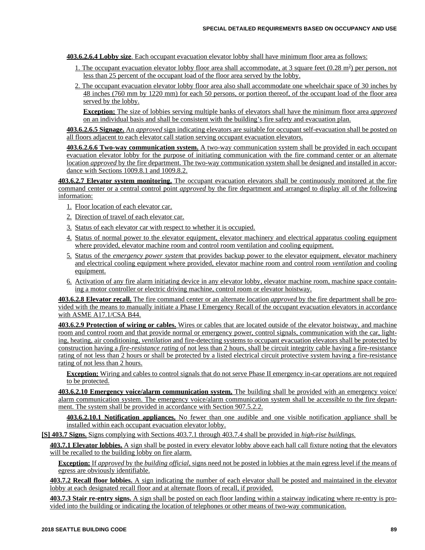**403.6.2.6.4 Lobby size**. Each occupant evacuation elevator lobby shall have minimum floor area as follows:

- 1. The occupant evacuation elevator lobby floor area shall accommodate, at 3 square feet (0.28 m<sup>2</sup>) per person, not less than 25 percent of the occupant load of the floor area served by the lobby.
- 2. The occupant evacuation elevator lobby floor area also shall accommodate one wheelchair space of 30 inches by 48 inches (760 mm by 1220 mm) for each 50 persons, or portion thereof, of the occupant load of the floor area served by the lobby.

**Exception:** The size of lobbies serving multiple banks of elevators shall have the minimum floor area *approved* on an individual basis and shall be consistent with the building's fire safety and evacuation plan.

**403.6.2.6.5 Signage.** An *approved* sign indicating elevators are suitable for occupant self-evacuation shall be posted on all floors adjacent to each elevator call station serving occupant evacuation elevators.

**403.6.2.6.6 Two-way communication system.** A two-way communication system shall be provided in each occupant evacuation elevator lobby for the purpose of initiating communication with the fire command center or an alternate location *approved* by the fire department. The two-way communication system shall be designed and installed in accordance with Sections 1009.8.1 and 1009.8.2.

**403.6.2.7 Elevator system monitoring.** The occupant evacuation elevators shall be continuously monitored at the fire command center or a central control point *approved* by the fire department and arranged to display all of the following information:

- 1. Floor location of each elevator car.
- 2. Direction of travel of each elevator car.
- 3. Status of each elevator car with respect to whether it is occupied.
- 4. Status of normal power to the elevator equipment, elevator machinery and electrical apparatus cooling equipment where provided, elevator machine room and control room ventilation and cooling equipment.
- 5. Status of the *emergency power system* that provides backup power to the elevator equipment, elevator machinery and electrical cooling equipment where provided, elevator machine room and control room *ventilation* and cooling equipment.
- 6. Activation of any fire alarm initiating device in any elevator lobby, elevator machine room, machine space containing a motor controller or electric driving machine, control room or elevator hoistway.

**403.6.2.8 Elevator recall.** The fire command center or an alternate location *approved* by the fire department shall be provided with the means to manually initiate a Phase I Emergency Recall of the occupant evacuation elevators in accordance with ASME A17.1/CSA B44.

**403.6.2.9 Protection of wiring or cables.** Wires or cables that are located outside of the elevator hoistway, and machine room and control room and that provide normal or emergency power, control signals, communication with the car, lighting, heating, air conditioning, *ventilation* and fire-detecting systems to occupant evacuation elevators shall be protected by construction having a *fire-resistance rating* of not less than 2 hours, shall be circuit integrity cable having a fire-resistance rating of not less than 2 hours or shall be protected by a listed electrical circuit protective system having a fire-resistance rating of not less than 2 hours.

**Exception:** Wiring and cables to control signals that do not serve Phase II emergency in-car operations are not required to be protected.

**403.6.2.10 Emergency voice/alarm communication system.** The building shall be provided with an emergency voice/ alarm communication system. The emergency voice/alarm communication system shall be accessible to the fire department. The system shall be provided in accordance with Section 907.5.2.2.

**403.6.2.10.1 Notification appliances.** No fewer than one audible and one visible notification appliance shall be installed within each occupant evacuation elevator lobby.

**[S] 403.7 Signs.** Signs complying with Sections 403.7.1 through 403.7.4 shall be provided in *high-rise buildings*.

**403.7.1 Elevator lobbies.** A sign shall be posted in every elevator lobby above each hall call fixture noting that the elevators will be recalled to the building lobby on fire alarm.

**Exception:** If *approved* by the *building official*, signs need not be posted in lobbies at the main egress level if the means of egress are obviously identifiable.

**403.7.2 Recall floor lobbies.** A sign indicating the number of each elevator shall be posted and maintained in the elevator lobby at each designated recall floor and at alternate floors of recall, if provided.

**403.7.3 Stair re-entry signs.** A sign shall be posted on each floor landing within a stairway indicating where re-entry is provided into the building or indicating the location of telephones or other means of two-way communication.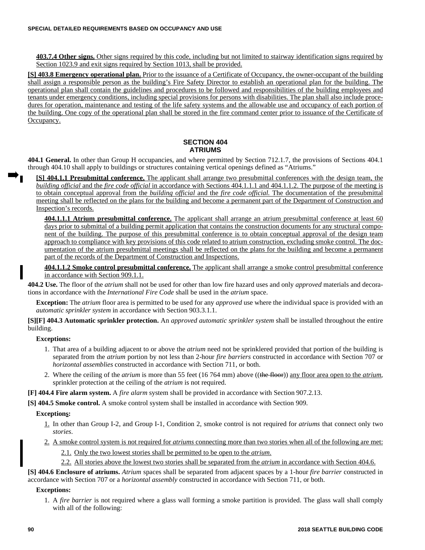**403.7.4 Other signs.** Other signs required by this code, including but not limited to stairway identification signs required by Section 1023.9 and exit signs required by Section 1013, shall be provided.

**[S] 403.8 Emergency operational plan.** Prior to the issuance of a Certificate of Occupancy, the owner-occupant of the building shall assign a responsible person as the building's Fire Safety Director to establish an operational plan for the building. The operational plan shall contain the guidelines and procedures to be followed and responsibilities of the building employees and tenants under emergency conditions, including special provisions for persons with disabilities. The plan shall also include procedures for operation, maintenance and testing of the life safety systems and the allowable use and occupancy of each portion of the building. One copy of the operational plan shall be stored in the fire command center prior to issuance of the Certificate of Occupancy.

## **SECTION 404 ATRIUMS**

**404.1 General.** In other than Group H occupancies, and where permitted by Section 712.1.7, the provisions of Sections 404.1 through 404.10 shall apply to buildings or structures containing vertical openings defined as "Atriums."

**[S] 404.1.1 Presubmittal conference.** The applicant shall arrange two presubmittal conferences with the design team, the *building official* and the *fire code official* in accordance with Sections 404.1.1.1 and 404.1.1.2. The purpose of the meeting is to obtain conceptual approval from the *building official* and the *fire code official.* The documentation of the presubmittal meeting shall be reflected on the plans for the building and become a permanent part of the Department of Construction and Inspection's records.

**404.1.1.1 Atrium presubmittal conference.** The applicant shall arrange an atrium presubmittal conference at least 60 days prior to submittal of a building permit application that contains the construction documents for any structural component of the building. The purpose of this presubmittal conference is to obtain conceptual approval of the design team approach to compliance with key provisions of this code related to atrium construction, excluding smoke control. The documentation of the atrium presubmittal meetings shall be reflected on the plans for the building and become a permanent part of the records of the Department of Construction and Inspections.

**404.1.1.2 Smoke control presubmittal conference.** The applicant shall arrange a smoke control presubmittal conference in accordance with Section 909.1.1.

**404.2 Use.** The floor of the *atrium* shall not be used for other than low fire hazard uses and only *approved* materials and decorations in accordance with the *International Fire Code* shall be used in the *atrium* space.

**Exception:** The *atrium* floor area is permitted to be used for any *approved* use where the individual space is provided with an *automatic sprinkler system* in accordance with Section 903.3.1.1.

**[S][F] 404.3 Automatic sprinkler protection.** An *approved automatic sprinkler system* shall be installed throughout the entire building.

#### **Exceptions:**

- 1. That area of a building adjacent to or above the *atrium* need not be sprinklered provided that portion of the building is separated from the *atrium* portion by not less than 2-hour *fire barriers* constructed in accordance with Section 707 or *horizontal assemblies* constructed in accordance with Section 711, or both.
- 2. Where the ceiling of the *atrium* is more than 55 feet (16 764 mm) above ((the floor)) any floor area open to the *atrium*, sprinkler protection at the ceiling of the *atrium* is not required.

**[F] 404.4 Fire alarm system.** A *fire alarm* system shall be provided in accordance with Section 907.2.13.

**[S] 404.5 Smoke control.** A smoke control system shall be installed in accordance with Section 909.

#### **Exceptions:**

- 1. In other than Group I-2, and Group I-1, Condition 2, smoke control is not required for *atriums* that connect only two *stories.*
- 2. A smoke control system is not required for *atriums* connecting more than two stories when all of the following are met:
	- 2.1. Only the two lowest stories shall be permitted to be open to the *atrium.*
	- 2.2. All stories above the lowest two stories shall be separated from the *atrium* in accordance with Section 404.6.

**[S] 404.6 Enclosure of atriums.** *Atrium* spaces shall be separated from adjacent spaces by a 1-hour *fire barrier* constructed in accordance with Section 707 or a *horizontal assembly* constructed in accordance with Section 711, or both.

#### **Exceptions:**

1. A *fire barrier* is not required where a glass wall forming a smoke partition is provided. The glass wall shall comply with all of the following: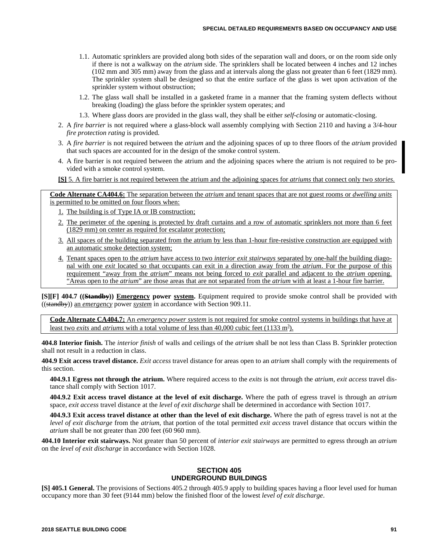- 1.1. Automatic sprinklers are provided along both sides of the separation wall and doors, or on the room side only if there is not a walkway on the *atrium* side. The sprinklers shall be located between 4 inches and 12 inches (102 mm and 305 mm) away from the glass and at intervals along the glass not greater than 6 feet (1829 mm). The sprinkler system shall be designed so that the entire surface of the glass is wet upon activation of the sprinkler system without obstruction;
- 1.2. The glass wall shall be installed in a gasketed frame in a manner that the framing system deflects without breaking (loading) the glass before the sprinkler system operates; and
- 1.3. Where glass doors are provided in the glass wall, they shall be either *self-closing* or automatic-closing.
- 2. A *fire barrier* is not required where a glass-block wall assembly complying with Section 2110 and having a 3/4-hour *fire protection rating* is provided.
- 3. A *fire barrier* is not required between the *atrium* and the adjoining spaces of up to three floors of the *atrium* provided that such spaces are accounted for in the design of the smoke control system.
- 4. A fire barrier is not required between the atrium and the adjoining spaces where the atrium is not required to be provided with a smoke control system.
- **[S]** 5. A fire barrier is not required between the atrium and the adjoining spaces for *atriums* that connect only two *stories.*

**Code Alternate CA404.6:** The separation between the *atrium* and tenant spaces that are not guest rooms or *dwelling units* is permitted to be omitted on four floors when:

- 1. The building is of Type IA or IB construction;
- 2. The perimeter of the opening is protected by draft curtains and a row of automatic sprinklers not more than 6 feet (1829 mm) on center as required for escalator protection;
- 3. All spaces of the building separated from the atrium by less than 1-hour fire-resistive construction are equipped with an automatic smoke detection system;
- 4. Tenant spaces open to the *atrium* have access to two *interior exit stairways* separated by one-half the building diagonal with one *exit* located so that occupants can exit in a direction away from the *atrium*. For the purpose of this requirement "away from the *atrium*" means not being forced to *exit* parallel and adjacent to the *atrium* opening. "Areas open to the *atrium*" are those areas that are not separated from the *atrium* with at least a 1-hour fire barrier.

**[S][F] 404.7 ((Standby)) Emergency power system.** Equipment required to provide smoke control shall be provided with ((standby)) an *emergency* power *system* in accordance with Section 909.11.

**Code Alternate CA404.7:** An *emergency power system* is not required for smoke control systems in buildings that have at least two *exits* and *atriums* with a total volume of less than 40,000 cubic feet (1133 m<sup>3</sup>).

**404.8 Interior finish.** The *interior finish* of walls and ceilings of the *atrium* shall be not less than Class B. Sprinkler protection shall not result in a reduction in class.

**404.9 Exit access travel distance.** *Exit access* travel distance for areas open to an *atrium* shall comply with the requirements of this section.

**404.9.1 Egress not through the atrium.** Where required access to the *exits* is not through the *atrium*, *exit access* travel distance shall comply with Section 1017.

**404.9.2 Exit access travel distance at the level of exit discharge.** Where the path of egress travel is through an *atrium* space, *exit access* travel distance at the *level of exit discharge* shall be determined in accordance with Section 1017.

**404.9.3 Exit access travel distance at other than the level of exit discharge.** Where the path of egress travel is not at the *level of exit discharge* from the *atrium*, that portion of the total permitted *exit access* travel distance that occurs within the *atrium* shall be not greater than 200 feet (60 960 mm).

**404.10 Interior exit stairways.** Not greater than 50 percent of *interior exit stairways* are permitted to egress through an *atrium* on the *level of exit discharge* in accordance with Section 1028.

# **SECTION 405 UNDERGROUND BUILDINGS**

**[S] 405.1 General.** The provisions of Sections 405.2 through 405.9 apply to building spaces having a floor level used for human occupancy more than 30 feet (9144 mm) below the finished floor of the lowest *level of exit discharge*.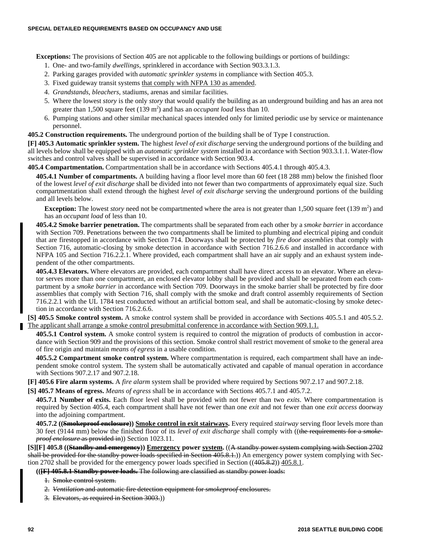**Exceptions:** The provisions of Section 405 are not applicable to the following buildings or portions of buildings:

- 1. One- and two-family *dwellings*, sprinklered in accordance with Section 903.3.1.3.
- 2. Parking garages provided with *automatic sprinkler systems* in compliance with Section 405.3.
- 3. Fixed guideway transit systems that comply with NFPA 130 as amended.
- 4. *Grandstands*, *bleachers*, stadiums, arenas and similar facilities.
- 5. Where the lowest *story* is the only *story* that would qualify the building as an underground building and has an area not greater than  $1,500$  square feet  $(139 \text{ m}^2)$  and has an *occupant load* less than 10.
- 6. Pumping stations and other similar mechanical spaces intended only for limited periodic use by service or maintenance personnel.

**405.2 Construction requirements.** The underground portion of the building shall be of Type I construction.

**[F] 405.3 Automatic sprinkler system.** The highest *level of exit discharge* serving the underground portions of the building and all levels below shall be equipped with an *automatic sprinkler system* installed in accordance with Section 903.3.1.1. Water-flow switches and control valves shall be supervised in accordance with Section 903.4.

**405.4 Compartmentation.** Compartmentation shall be in accordance with Sections 405.4.1 through 405.4.3.

**405.4.1 Number of compartments.** A building having a floor level more than 60 feet (18 288 mm) below the finished floor of the lowest *level of exit discharge* shall be divided into not fewer than two compartments of approximately equal size. Such compartmentation shall extend through the highest *level of exit discharge* serving the underground portions of the building and all levels below.

**Exception:** The lowest *story* need not be compartmented where the area is not greater than 1,500 square feet (139 m<sup>2</sup>) and has an *occupant load* of less than 10.

**405.4.2 Smoke barrier penetration.** The compartments shall be separated from each other by a *smoke barrier* in accordance with Section 709. Penetrations between the two compartments shall be limited to plumbing and electrical piping and conduit that are firestopped in accordance with Section 714. Doorways shall be protected by *fire door assemblies* that comply with Section 716, automatic-closing by smoke detection in accordance with Section 716.2.6.6 and installed in accordance with NFPA 105 and Section 716.2.2.1. Where provided, each compartment shall have an air supply and an exhaust system independent of the other compartments.

**405.4.3 Elevators.** Where elevators are provided, each compartment shall have direct access to an elevator. Where an elevator serves more than one compartment, an enclosed elevator lobby shall be provided and shall be separated from each compartment by a s*moke barrier* in accordance with Section 709. Doorways in the smoke barrier shall be protected by fire door assemblies that comply with Section 716, shall comply with the smoke and draft control assembly requirements of Section 716.2.2.1 with the UL 1784 test conducted without an artificial bottom seal, and shall be automatic-closing by smoke detection in accordance with Section 716.2.6.6.

**[S] 405.5 Smoke control system.** A smoke control system shall be provided in accordance with Sections 405.5.1 and 405.5.2. The applicant shall arrange a smoke control presubmittal conference in accordance with Section 909.1.1.

**405.5.1 Control system.** A smoke control system is required to control the migration of products of combustion in accordance with Section 909 and the provisions of this section. Smoke control shall restrict movement of smoke to the general area of fire origin and maintain *means of egress* in a usable condition.

**405.5.2 Compartment smoke control system.** Where compartmentation is required, each compartment shall have an independent smoke control system. The system shall be automatically activated and capable of manual operation in accordance with Sections 907.2.17 and 907.2.18.

**[F] 405.6 Fire alarm systems.** A *fire alarm* system shall be provided where required by Sections 907.2.17 and 907.2.18.

**[S] 405.7 Means of egress.** *Means of egress* shall be in accordance with Sections 405.7.1 and 405.7.2.

**405.7.1 Number of exits.** Each floor level shall be provided with not fewer than two *exits*. Where compartmentation is required by Section 405.4, each compartment shall have not fewer than one *exit* and not fewer than one *exit access* doorway into the adjoining compartment.

**405.7.2 ((Smokeproof enclosure)) Smoke control in exit stairways.** Every required *stairway* serving floor levels more than 30 feet (9144 mm) below the finished floor of its *level of exit discharge* shall comply with ((the requirements for a *smokeproof enclosure* as provided in)) Section 1023.11.

**[S][F] 405.8 ((Standby and emergency)) Emergency power system.** ((A standby power system complying with Section 2702 shall be provided for the standby power loads specified in Section 405.8.1.)) An emergency power system complying with Section 2702 shall be provided for the emergency power loads specified in Section ((405.8.2)) 405.8.1.

**(([F] 405.8.1 Standby power loads.** The following are classified as standby power loads:

- 1. Smoke control system.
- 2. *Ventilation* and automatic fire detection equipment for *smokeproof* enclosures.
- 3. Elevators, as required in Section 3003.))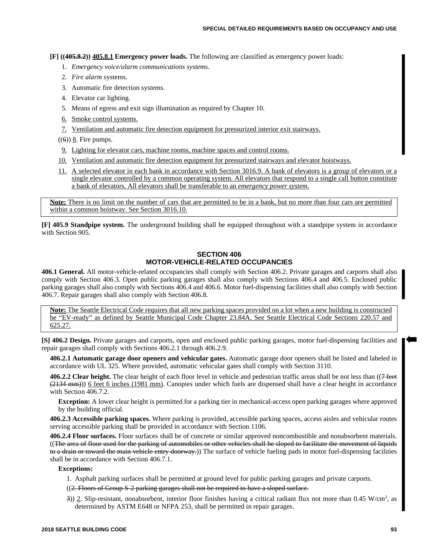**[F] ((405.8.2)) 405.8.1 Emergency power loads.** The following are classified as emergency power loads:

- 1. *Emergency voice/alarm communications systems*.
- 2. *Fire alarm* systems.
- 3. Automatic fire detection systems.
- 4. Elevator car lighting.
- 5. Means of egress and exit sign illumination as required by Chapter 10.
- 6. Smoke control systems.
- 7. Ventilation and automatic fire detection equipment for pressurized interior exit stairways.

 $((6))$  8. Fire pumps.

- 9. Lighting for elevator cars, machine rooms, machine spaces and control rooms.
- 10. Ventilation and automatic fire detection equipment for pressurized stairways and elevator hoistways.
- 11. A selected elevator in each bank in accordance with Section 3016.9. A bank of elevators is a group of elevators or a single elevator controlled by a common operating system. All elevators that respond to a single call button constitute a bank of elevators. All elevators shall be transferable to an *emergency power system*.

**Note:** There is no limit on the number of cars that are permitted to be in a bank, but no more than four cars are permitted within a common hoistway. See Section 3016.10.

**[F] 405.9 Standpipe system.** The underground building shall be equipped throughout with a standpipe system in accordance with Section 905.

# **SECTION 406 MOTOR-VEHICLE-RELATED OCCUPANCIES**

**406.1 General.** All motor-vehicle-related occupancies shall comply with Section 406.2. Private garages and carports shall also comply with Section 406.3. Open public parking garages shall also comply with Sections 406.4 and 406.5. Enclosed public parking garages shall also comply with Sections 406.4 and 406.6. Motor fuel-dispensing facilities shall also comply with Section 406.7. Repair garages shall also comply with Section 406.8.

**Note:** The Seattle Electrical Code requires that all new parking spaces provided on a lot when a new building is constructed be "EV-ready" as defined by Seattle Municipal Code Chapter 23.84A. See Seattle Electrical Code Sections 220.57 and 625.27.

**[S] 406.2 Design.** Private garages and carports, open and enclosed public parking garages, motor fuel-dispensing facilities and repair garages shall comply with Sections 406.2.1 through 406.2.9.

**406.2.1 Automatic garage door openers and vehicular gates.** Automatic garage door openers shall be listed and labeled in accordance with UL 325. Where provided, automatic vehicular gates shall comply with Section 3110.

**406.2.2 Clear height.** The clear height of each floor level in vehicle and pedestrian traffic areas shall be not less than ((7 feet (2134 mm))) 6 feet 6 inches (1981 mm). Canopies under which fuels are dispensed shall have a clear height in accordance with Section 406.7.2.

**Exception:** A lower clear height is permitted for a parking tier in mechanical-access open parking garages where approved by the building official.

**406.2.3 Accessible parking spaces.** Where parking is provided, accessible parking spaces, access aisles and vehicular routes serving accessible parking shall be provided in accordance with Section 1106.

**406.2.4 Floor surfaces.** Floor surfaces shall be of concrete or similar approved noncombustible and nonabsorbent materials. ((The area of floor used for the parking of automobiles or other vehicles shall be sloped to facilitate the movement of liquids to a drain or toward the main vehicle entry doorway.)) The surface of vehicle fueling pads in motor fuel-dispensing facilities shall be in accordance with Section 406.7.1.

# **Exceptions:**

1. Asphalt parking surfaces shall be permitted at ground level for public parking garages and private carports.

((2. Floors of Group S-2 parking garages shall not be required to have a sloped surface.

 $3)$ ) 2. Slip-resistant, nonabsorbent, interior floor finishes having a critical radiant flux not more than 0.45 W/cm<sup>2</sup>, as determined by ASTM E648 or NFPA 253, shall be permitted in repair garages.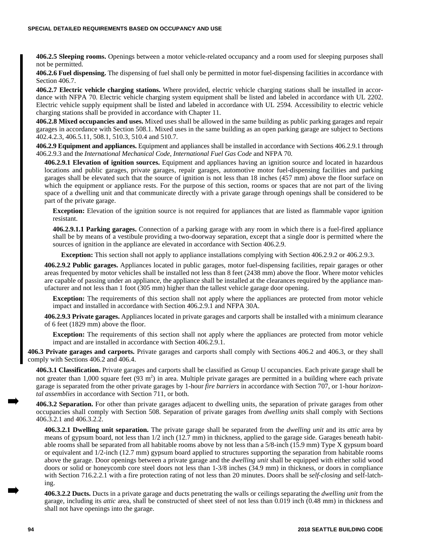**406.2.5 Sleeping rooms.** Openings between a motor vehicle-related occupancy and a room used for sleeping purposes shall not be permitted.

**406.2.6 Fuel dispensing.** The dispensing of fuel shall only be permitted in motor fuel-dispensing facilities in accordance with Section 406.7.

**406.2.7 Electric vehicle charging stations.** Where provided, electric vehicle charging stations shall be installed in accordance with NFPA 70. Electric vehicle charging system equipment shall be listed and labeled in accordance with UL 2202. Electric vehicle supply equipment shall be listed and labeled in accordance with UL 2594. Accessibility to electric vehicle charging stations shall be provided in accordance with Chapter 11.

**406.2.8 Mixed occupancies and uses.** Mixed uses shall be allowed in the same building as public parking garages and repair garages in accordance with Section 508.1. Mixed uses in the same building as an open parking garage are subject to Sections 402.4.2.3, 406.5.11, 508.1, 510.3, 510.4 and 510.7.

**406.2.9 Equipment and appliances.** Equipment and appliances shall be installed in accordance with Sections 406.2.9.1 through 406.2.9.3 and the *International Mechanical Code, International Fuel Gas Code* and NFPA 70.

**406.2.9.1 Elevation of ignition sources.** Equipment and appliances having an ignition source and located in hazardous locations and public garages, private garages, repair garages, automotive motor fuel-dispensing facilities and parking garages shall be elevated such that the source of ignition is not less than 18 inches (457 mm) above the floor surface on which the equipment or appliance rests. For the purpose of this section, rooms or spaces that are not part of the living space of a dwelling unit and that communicate directly with a private garage through openings shall be considered to be part of the private garage.

**Exception:** Elevation of the ignition source is not required for appliances that are listed as flammable vapor ignition resistant.

**406.2.9.1.1 Parking garages.** Connection of a parking garage with any room in which there is a fuel-fired appliance shall be by means of a vestibule providing a two-doorway separation, except that a single door is permitted where the sources of ignition in the appliance are elevated in accordance with Section 406.2.9.

**Exception:** This section shall not apply to appliance installations complying with Section 406.2.9.2 or 406.2.9.3.

**406.2.9.2 Public garages.** Appliances located in public garages, motor fuel-dispensing facilities, repair garages or other areas frequented by motor vehicles shall be installed not less than 8 feet (2438 mm) above the floor. Where motor vehicles are capable of passing under an appliance, the appliance shall be installed at the clearances required by the appliance manufacturer and not less than 1 foot (305 mm) higher than the tallest vehicle garage door opening.

**Exception:** The requirements of this section shall not apply where the appliances are protected from motor vehicle impact and installed in accordance with Section 406.2.9.1 and NFPA 30A.

**406.2.9.3 Private garages.** Appliances located in private garages and carports shall be installed with a minimum clearance of 6 feet (1829 mm) above the floor.

**Exception:** The requirements of this section shall not apply where the appliances are protected from motor vehicle impact and are installed in accordance with Section 406.2.9.1.

**406.3 Private garages and carports.** Private garages and carports shall comply with Sections 406.2 and 406.3, or they shall comply with Sections 406.2 and 406.4.

**406.3.1 Classification.** Private garages and carports shall be classified as Group U occupancies. Each private garage shall be not greater than 1,000 square feet (93 m<sup>2</sup>) in area. Multiple private garages are permitted in a building where each private garage is separated from the other private garages by 1-hour *fire barriers* in accordance with Section 707, or 1-hour *horizontal assemblies* in accordance with Section 711, or both.

**406.3.2 Separation.** For other than private garages adjacent to dwelling units, the separation of private garages from other occupancies shall comply with Section 508. Separation of private garages from *dwelling units* shall comply with Sections 406.3.2.1 and 406.3.2.2.

**406.3.2.1 Dwelling unit separation.** The private garage shall be separated from the *dwelling unit* and its *attic* area by means of gypsum board, not less than 1/2 inch (12.7 mm) in thickness, applied to the garage side. Garages beneath habitable rooms shall be separated from all habitable rooms above by not less than a 5/8-inch (15.9 mm) Type X gypsum board or equivalent and 1/2-inch (12.7 mm) gypsum board applied to structures supporting the separation from habitable rooms above the garage. Door openings between a private garage and the *dwelling unit* shall be equipped with either solid wood doors or solid or honeycomb core steel doors not less than 1-3/8 inches (34.9 mm) in thickness, or doors in compliance with Section 716.2.2.1 with a fire protection rating of not less than 20 minutes. Doors shall be *self-closing* and self-latching.

**406.3.2.2 Ducts.** Ducts in a private garage and ducts penetrating the walls or ceilings separating the *dwelling unit* from the garage, including its *attic* area, shall be constructed of sheet steel of not less than 0.019 inch (0.48 mm) in thickness and shall not have openings into the garage.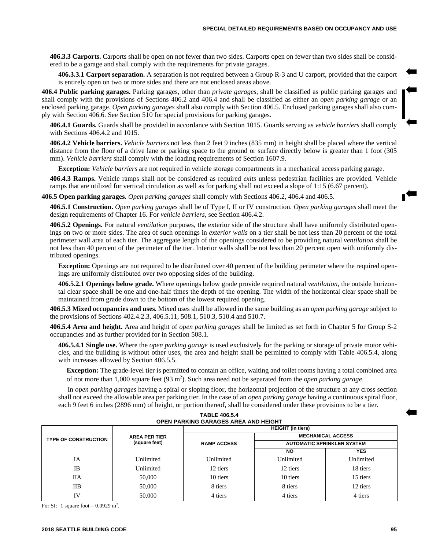**406.3.3 Carports.** Carports shall be open on not fewer than two sides. Carports open on fewer than two sides shall be considered to be a garage and shall comply with the requirements for private garages.

**406.3.3.1 Carport separation.** A separation is not required between a Group R-3 and U carport, provided that the carport is entirely open on two or more sides and there are not enclosed areas above.

**406.4 Public parking garages.** Parking garages, other than *private garages*, shall be classified as public parking garages and shall comply with the provisions of Sections 406.2 and 406.4 and shall be classified as either an *open parking garage* or an enclosed parking garage. *Open parking garages* shall also comply with Section 406.5. Enclosed parking garages shall also comply with Section 406.6. See Section 510 for special provisions for parking garages.

**406.4.1 Guards.** Guards shall be provided in accordance with Section 1015. Guards serving as *vehicle barriers* shall comply with Sections 406.4.2 and 1015.

**406.4.2 Vehicle barriers.** *Vehicle barriers* not less than 2 feet 9 inches (835 mm) in height shall be placed where the vertical distance from the floor of a drive lane or parking space to the ground or surface directly below is greater than 1 foot (305 mm). *Vehicle barriers* shall comply with the loading requirements of Section 1607.9.

**Exception:** *Vehicle barriers* are not required in vehicle storage compartments in a mechanical access parking garage.

**406.4.3 Ramps.** Vehicle ramps shall not be considered as required *exits* unless pedestrian facilities are provided. Vehicle ramps that are utilized for vertical circulation as well as for parking shall not exceed a slope of 1:15 (6.67 percent).

**406.5 Open parking garages.** *Open parking garages* shall comply with Sections 406.2, 406.4 and 406.5.

**406.5.1 Construction.** *Open parking garages* shall be of Type I, II or IV construction. *Open parking garages* shall meet the design requirements of Chapter 16. For *vehicle barriers*, see Section 406.4.2.

**406.5.2 Openings.** For natural *ventilation* purposes, the exterior side of the structure shall have uniformly distributed openings on two or more sides. The area of such openings in *exterior walls* on a tier shall be not less than 20 percent of the total perimeter wall area of each tier. The aggregate length of the openings considered to be providing natural *ventilation* shall be not less than 40 percent of the perimeter of the tier. Interior walls shall be not less than 20 percent open with uniformly distributed openings.

**Exception:** Openings are not required to be distributed over 40 percent of the building perimeter where the required openings are uniformly distributed over two opposing sides of the building.

**406.5.2.1 Openings below grade.** Where openings below grade provide required natural *ventilation*, the outside horizontal clear space shall be one and one-half times the depth of the opening. The width of the horizontal clear space shall be maintained from grade down to the bottom of the lowest required opening.

**406.5.3 Mixed occupancies and uses.** Mixed uses shall be allowed in the same building as an *open parking garage* subject to the provisions of Sections 402.4.2.3, 406.5.11, 508.1, 510.3, 510.4 and 510.7.

**406.5.4 Area and height.** Area and height of *open parking garages* shall be limited as set forth in Chapter 5 for Group S-2 occupancies and as further provided for in Section 508.1.

**406.5.4.1 Single use.** Where the *open parking garage* is used exclusively for the parking or storage of private motor vehicles, and the building is without other uses, the area and height shall be permitted to comply with Table 406.5.4, along with increases allowed by Section 406.5.5.

**Exception:** The grade-level tier is permitted to contain an office, waiting and toilet rooms having a total combined area of not more than 1,000 square feet (93 m<sup>2</sup>). Such area need not be separated from the *open parking garage*.

In *open parking garages* having a spiral or sloping floor, the horizontal projection of the structure at any cross section shall not exceed the allowable area per parking tier. In the case of an *open parking garage* having a continuous spiral floor, each 9 feet 6 inches (2896 mm) of height, or portion thereof, shall be considered under these provisions to be a tier.

|                             |                                       | <b>HEIGHT</b> (in tiers) |                          |                                   |  |
|-----------------------------|---------------------------------------|--------------------------|--------------------------|-----------------------------------|--|
| <b>TYPE OF CONSTRUCTION</b> | <b>AREA PER TIER</b><br>(square feet) |                          | <b>MECHANICAL ACCESS</b> |                                   |  |
|                             |                                       | <b>RAMP ACCESS</b>       |                          | <b>AUTOMATIC SPRINKLER SYSTEM</b> |  |
|                             |                                       |                          | <b>NO</b>                | <b>YES</b>                        |  |
| ĪА                          | Unlimited                             | Unlimited                | Unlimited                | Unlimited                         |  |
| ĪΒ                          | Unlimited                             | 12 tiers                 | 12 tiers                 | 18 tiers                          |  |
| IIА                         | 50,000                                | 10 tiers                 | 10 tiers                 | 15 tiers                          |  |
| ПB                          | 50,000                                | 8 tiers                  | 8 tiers                  | 12 tiers                          |  |
| IV                          | 50,000                                | 4 tiers                  | 4 tiers                  | 4 tiers                           |  |

**TABLE 406.5.4 OPEN PARKING GARAGES AREA AND HEIGHT**

For SI: 1 square foot =  $0.0929 \text{ m}^2$ .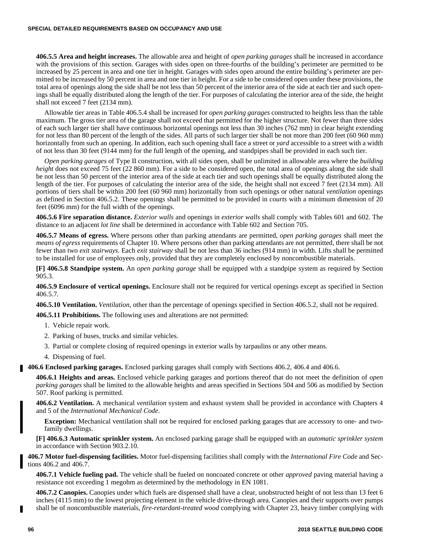**406.5.5 Area and height increases.** The allowable area and height of *open parking garages* shall be increased in accordance with the provisions of this section. Garages with sides open on three-fourths of the building's perimeter are permitted to be increased by 25 percent in area and one tier in height. Garages with sides open around the entire building's perimeter are permitted to be increased by 50 percent in area and one tier in height. For a side to be considered open under these provisions, the total area of openings along the side shall be not less than 50 percent of the interior area of the side at each tier and such openings shall be equally distributed along the length of the tier. For purposes of calculating the interior area of the side, the height shall not exceed 7 feet (2134 mm).

Allowable tier areas in Table 406.5.4 shall be increased for *open parking garages* constructed to heights less than the table maximum. The gross tier area of the garage shall not exceed that permitted for the higher structure. Not fewer than three sides of each such larger tier shall have continuous horizontal openings not less than 30 inches (762 mm) in clear height extending for not less than 80 percent of the length of the sides. All parts of such larger tier shall be not more than 200 feet (60 960 mm) horizontally from such an opening. In addition, each such opening shall face a street or *yard* accessible to a street with a width of not less than 30 feet (9144 mm) for the full length of the opening, and standpipes shall be provided in each such tier.

*Open parking garages* of Type II construction, with all sides open, shall be unlimited in allowable area where the *building height* does not exceed 75 feet (22 860 mm). For a side to be considered open, the total area of openings along the side shall be not less than 50 percent of the interior area of the side at each tier and such openings shall be equally distributed along the length of the tier. For purposes of calculating the interior area of the side, the height shall not exceed 7 feet (2134 mm). All portions of tiers shall be within 200 feet (60 960 mm) horizontally from such openings or other natural *ventilation* openings as defined in Section 406.5.2. These openings shall be permitted to be provided in *courts* with a minimum dimension of 20 feet (6096 mm) for the full width of the openings.

**406.5.6 Fire separation distance.** *Exterior walls* and openings in *exterior walls* shall comply with Tables 601 and 602. The distance to an adjacent *lot line* shall be determined in accordance with Table 602 and Section 705.

**406.5.7 Means of egress.** Where persons other than parking attendants are permitted, *open parking garages* shall meet the *means of egress* requirements of Chapter 10. Where persons other than parking attendants are not permitted, there shall be not fewer than two *exit stairways.* Each *exit stairway* shall be not less than 36 inches (914 mm) in width. Lifts shall be permitted to be installed for use of employees only, provided that they are completely enclosed by noncombustible materials.

**[F] 406.5.8 Standpipe system.** An *open parking garage* shall be equipped with a standpipe system as required by Section 905.3.

**406.5.9 Enclosure of vertical openings.** Enclosure shall not be required for vertical openings except as specified in Section 406.5.7.

**406.5.10 Ventilation.** *Ventilation*, other than the percentage of openings specified in Section 406.5.2, shall not be required.

**406.5.11 Prohibitions.** The following uses and alterations are not permitted:

- 1. Vehicle repair work.
- 2. Parking of buses, trucks and similar vehicles.
- 3. Partial or complete closing of required openings in exterior walls by tarpaulins or any other means.
- 4. Dispensing of fuel.

**406.6 Enclosed parking garages.** Enclosed parking garages shall comply with Sections 406.2, 406.4 and 406.6.

**406.6.1 Heights and areas.** Enclosed vehicle parking garages and portions thereof that do not meet the definition of *open parking garages* shall be limited to the allowable heights and areas specified in Sections 504 and 506 as modified by Section 507. Roof parking is permitted.

**406.6.2 Ventilation.** A mechanical *ventilation* system and exhaust system shall be provided in accordance with Chapters 4 and 5 of the *International Mechanical Code*.

**Exception:** Mechanical ventilation shall not be required for enclosed parking garages that are accessory to one- and twofamily dwellings.

**[F] 406.6.3 Automatic sprinkler system.** An enclosed parking garage shall be equipped with an *automatic sprinkler system* in accordance with Section 903.2.10.

**406.7 Motor fuel-dispensing facilities.** Motor fuel-dispensing facilities shall comply with the *International Fire Code* and Sections 406.2 and 406.7.

**406.7.1 Vehicle fueling pad.** The vehicle shall be fueled on noncoated concrete or other *approved* paving material having a resistance not exceeding 1 megohm as determined by the methodology in EN 1081.

**406.7.2 Canopies.** Canopies under which fuels are dispensed shall have a clear, unobstructed height of not less than 13 feet 6 inches (4115 mm) to the lowest projecting element in the vehicle drive-through area. Canopies and their supports over pumps shall be of noncombustible materials, *fire-retardant-treated wood* complying with Chapter 23, heavy timber complying with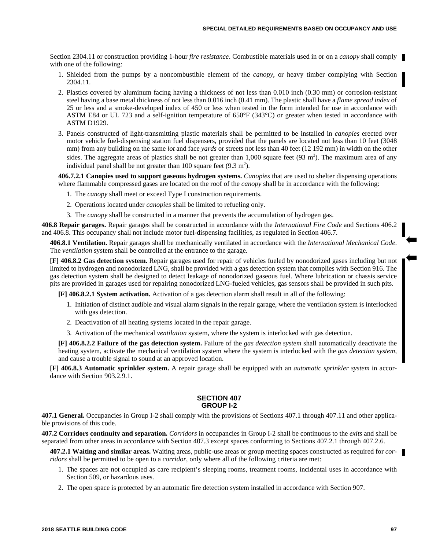Section 2304.11 or construction providing 1-hour *fire resistance*. Combustible materials used in or on a *canopy* shall comply with one of the following:

- 1. Shielded from the pumps by a noncombustible element of the *canopy*, or heavy timber complying with Section 2304.11.
- 2. Plastics covered by aluminum facing having a thickness of not less than 0.010 inch (0.30 mm) or corrosion-resistant steel having a base metal thickness of not less than 0.016 inch (0.41 mm). The plastic shall have a *flame spread index* of 25 or less and a smoke-developed index of 450 or less when tested in the form intended for use in accordance with ASTM E84 or UL 723 and a self-ignition temperature of 650°F (343°C) or greater when tested in accordance with ASTM D1929.
- 3. Panels constructed of light-transmitting plastic materials shall be permitted to be installed in *canopies* erected over motor vehicle fuel-dispensing station fuel dispensers, provided that the panels are located not less than 10 feet (3048 mm) from any building on the same *lot* and face *yards* or streets not less than 40 feet (12 192 mm) in width on the other sides. The aggregate areas of plastics shall be not greater than  $1,000$  square feet  $(93 \text{ m}^2)$ . The maximum area of any individual panel shall be not greater than  $100$  square feet  $(9.3 \text{ m}^2)$ .

**406.7.2.1 Canopies used to support gaseous hydrogen systems.** *Canopies* that are used to shelter dispensing operations where flammable compressed gases are located on the roof of the *canopy* shall be in accordance with the following:

- 1. The *canopy* shall meet or exceed Type I construction requirements.
- 2. Operations located under *canopies* shall be limited to refueling only.
- 3. The *canopy* shall be constructed in a manner that prevents the accumulation of hydrogen gas.

**406.8 Repair garages.** Repair garages shall be constructed in accordance with the *International Fire Code* and Sections 406.2 and 406.8. This occupancy shall not include motor fuel-dispensing facilities, as regulated in Section 406.7.

**406.8.1 Ventilation.** Repair garages shall be mechanically ventilated in accordance with the *International Mechanical Code*. The *ventilation* system shall be controlled at the entrance to the garage.

**[F] 406.8.2 Gas detection system.** Repair garages used for repair of vehicles fueled by nonodorized gases including but not limited to hydrogen and nonodorized LNG, shall be provided with a gas detection system that complies with Section 916. The gas detection system shall be designed to detect leakage of nonodorized gaseous fuel. Where lubrication or chassis service pits are provided in garages used for repairing nonodorized LNG-fueled vehicles, gas sensors shall be provided in such pits.

**[F] 406.8.2.1 System activation.** Activation of a gas detection alarm shall result in all of the following:

- 1. Initiation of distinct audible and visual alarm signals in the repair garage, where the ventilation system is interlocked with gas detection.
- 2. Deactivation of all heating systems located in the repair garage.
- 3. Activation of the mechanical *ventilation* system, where the system is interlocked with gas detection.

**[F] 406.8.2.2 Failure of the gas detection system.** Failure of the *gas detection system* shall automatically deactivate the heating system, activate the mechanical ventilation system where the system is interlocked with the *gas detection system*, and cause a trouble signal to sound at an approved location.

**[F] 406.8.3 Automatic sprinkler system.** A repair garage shall be equipped with an *automatic sprinkler system* in accordance with Section 903.2.9.1.

#### **SECTION 407 GROUP I-2**

**407.1 General.** Occupancies in Group I-2 shall comply with the provisions of Sections 407.1 through 407.11 and other applicable provisions of this code.

**407.2 Corridors continuity and separation.** *Corridors* in occupancies in Group I-2 shall be continuous to the *exits* and shall be separated from other areas in accordance with Section 407.3 except spaces conforming to Sections 407.2.1 through 407.2.6.

**407.2.1 Waiting and similar areas.** Waiting areas, public-use areas or group meeting spaces constructed as required for *corridors* shall be permitted to be open to a *corridor*, only where all of the following criteria are met:

- 1. The spaces are not occupied as care recipient's sleeping rooms, treatment rooms, incidental uses in accordance with Section 509, or hazardous uses.
- 2. The open space is protected by an automatic fire detection system installed in accordance with Section 907.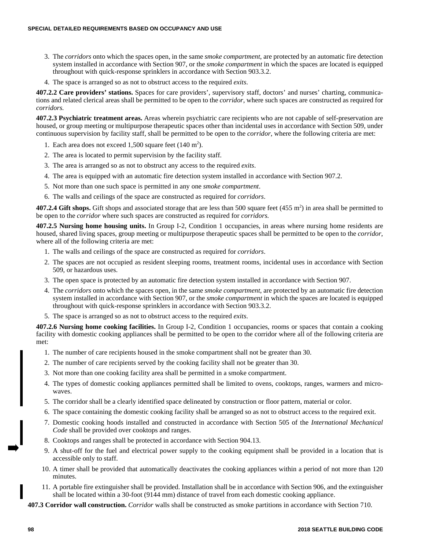- 3. The *corridors* onto which the spaces open, in the same *smoke compartment*, are protected by an automatic fire detection system installed in accordance with Section 907, or the *smoke compartment* in which the spaces are located is equipped throughout with quick-response sprinklers in accordance with Section 903.3.2.
- 4. The space is arranged so as not to obstruct access to the required *exits*.

**407.2.2 Care providers' stations.** Spaces for care providers', supervisory staff, doctors' and nurses' charting, communications and related clerical areas shall be permitted to be open to the *corridor*, where such spaces are constructed as required for *corridors.*

**407.2.3 Psychiatric treatment areas.** Areas wherein psychiatric care recipients who are not capable of self-preservation are housed, or group meeting or multipurpose therapeutic spaces other than incidental uses in accordance with Section 509, under continuous supervision by facility staff, shall be permitted to be open to the *corridor*, where the following criteria are met:

- 1. Each area does not exceed  $1,500$  square feet  $(140 \text{ m}^2)$ .
- 2. The area is located to permit supervision by the facility staff.
- 3. The area is arranged so as not to obstruct any access to the required *exits*.
- 4. The area is equipped with an automatic fire detection system installed in accordance with Section 907.2.
- 5. Not more than one such space is permitted in any one *smoke compartment*.
- 6. The walls and ceilings of the space are constructed as required for *corridors*.

407.2.4 Gift shops. Gift shops and associated storage that are less than 500 square feet (455 m<sup>2</sup>) in area shall be permitted to be open to the *corridor* where such spaces are constructed as required for *corridors.*

**407.2.5 Nursing home housing units.** In Group I-2, Condition 1 occupancies, in areas where nursing home residents are housed, shared living spaces, group meeting or multipurpose therapeutic spaces shall be permitted to be open to the *corridor*, where all of the following criteria are met:

- 1. The walls and ceilings of the space are constructed as required for *corridors*.
- 2. The spaces are not occupied as resident sleeping rooms, treatment rooms, incidental uses in accordance with Section 509, or hazardous uses.
- 3. The open space is protected by an automatic fire detection system installed in accordance with Section 907.
- 4. The *corridors* onto which the spaces open, in the same *smoke compartment*, are protected by an automatic fire detection system installed in accordance with Section 907, or the *smoke compartment* in which the spaces are located is equipped throughout with quick-response sprinklers in accordance with Section 903.3.2.
- 5. The space is arranged so as not to obstruct access to the required *exits*.

**407.2.6 Nursing home cooking facilities.** In Group I-2, Condition 1 occupancies, rooms or spaces that contain a cooking facility with domestic cooking appliances shall be permitted to be open to the corridor where all of the following criteria are met:

- 1. The number of care recipients housed in the smoke compartment shall not be greater than 30.
- 2. The number of care recipients served by the cooking facility shall not be greater than 30.
- 3. Not more than one cooking facility area shall be permitted in a smoke compartment.
- 4. The types of domestic cooking appliances permitted shall be limited to ovens, cooktops, ranges, warmers and microwaves.
- 5. The corridor shall be a clearly identified space delineated by construction or floor pattern, material or color.
- 6. The space containing the domestic cooking facility shall be arranged so as not to obstruct access to the required exit.
- 7. Domestic cooking hoods installed and constructed in accordance with Section 505 of the *International Mechanical Code* shall be provided over cooktops and ranges.
- 8. Cooktops and ranges shall be protected in accordance with Section 904.13.
- 9. A shut-off for the fuel and electrical power supply to the cooking equipment shall be provided in a location that is accessible only to staff.
- 10. A timer shall be provided that automatically deactivates the cooking appliances within a period of not more than 120 minutes.
- 11. A portable fire extinguisher shall be provided. Installation shall be in accordance with Section 906, and the extinguisher shall be located within a 30-foot (9144 mm) distance of travel from each domestic cooking appliance.

**407.3 Corridor wall construction.** *Corridor* walls shall be constructed as smoke partitions in accordance with Section 710.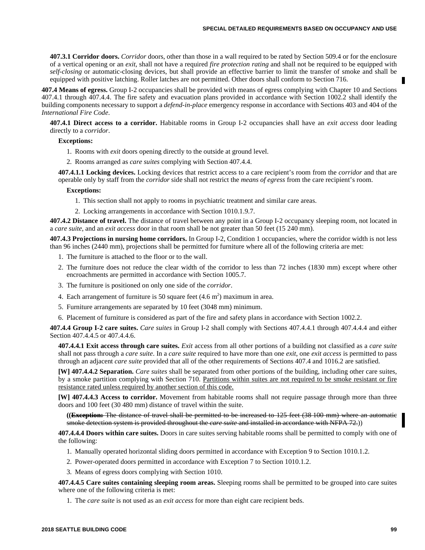**407.3.1 Corridor doors.** *Corridor* doors, other than those in a wall required to be rated by Section 509.4 or for the enclosure of a vertical opening or an *exit*, shall not have a required *fire protection rating* and shall not be required to be equipped with *self-closing* or automatic-closing devices, but shall provide an effective barrier to limit the transfer of smoke and shall be equipped with positive latching. Roller latches are not permitted. Other doors shall conform to Section 716.

**407.4 Means of egress.** Group I-2 occupancies shall be provided with means of egress complying with Chapter 10 and Sections 407.4.1 through 407.4.4. The fire safety and evacuation plans provided in accordance with Section 1002.2 shall identify the building components necessary to support a *defend-in-place* emergency response in accordance with Sections 403 and 404 of the *International Fire Code*.

**407.4.1 Direct access to a corridor.** Habitable rooms in Group I-2 occupancies shall have an *exit access* door leading directly to a *corridor*.

#### **Exceptions:**

- 1. Rooms with *exit* doors opening directly to the outside at ground level.
- 2. Rooms arranged as *care suites* complying with Section 407.4.4.

**407.4.1.1 Locking devices.** Locking devices that restrict access to a care recipient's room from the *corridor* and that are operable only by staff from the *corridor* side shall not restrict the *means of egress* from the care recipient's room.

#### **Exceptions:**

- 1. This section shall not apply to rooms in psychiatric treatment and similar care areas.
- 2. Locking arrangements in accordance with Section 1010.1.9.7.

**407.4.2 Distance of travel.** The distance of travel between any point in a Group I-2 occupancy sleeping room, not located in a *care suite*, and an *exit access* door in that room shall be not greater than 50 feet (15 240 mm).

**407.4.3 Projections in nursing home corridors.** In Group I-2, Condition 1 occupancies, where the corridor width is not less than 96 inches (2440 mm), projections shall be permitted for furniture where all of the following criteria are met:

- 1. The furniture is attached to the floor or to the wall.
- 2. The furniture does not reduce the clear width of the corridor to less than 72 inches (1830 mm) except where other encroachments are permitted in accordance with Section 1005.7.
- 3. The furniture is positioned on only one side of the *corridor*.
- 4. Each arrangement of furniture is 50 square feet  $(4.6 \text{ m}^2)$  maximum in area.
- 5. Furniture arrangements are separated by 10 feet (3048 mm) minimum.
- 6. Placement of furniture is considered as part of the fire and safety plans in accordance with Section 1002.2.

**407.4.4 Group I-2 care suites.** *Care suites* in Group I-2 shall comply with Sections 407.4.4.1 through 407.4.4.4 and either Section 407.4.4.5 or 407.4.4.6.

**407.4.4.1 Exit access through care suites.** *Exit* access from all other portions of a building not classified as a *care suite* shall not pass through a *care suite*. In a *care suite* required to have more than one *exit*, one *exit access* is permitted to pass through an adjacent *care suite* provided that all of the other requirements of Sections 407.4 and 1016.2 are satisfied.

**[W] 407.4.4.2 Separation.** *Care suites* shall be separated from other portions of the building, including other care suites, by a smoke partition complying with Section 710. Partitions within suites are not required to be smoke resistant or fire resistance rated unless required by another section of this code.

**[W] 407.4.4.3 Access to corridor.** Movement from habitable rooms shall not require passage through more than three doors and 100 feet (30 480 mm) distance of travel within the suite.

**((Exception:** The distance of travel shall be permitted to be increased to 125 feet (38 100 mm) where an automatic smoke detection system is provided throughout the *care suite* and installed in accordance with NFPA 72.))

**407.4.4.4 Doors within care suites.** Doors in care suites serving habitable rooms shall be permitted to comply with one of the following:

- 1. Manually operated horizontal sliding doors permitted in accordance with Exception 9 to Section 1010.1.2.
- 2. Power-operated doors permitted in accordance with Exception 7 to Section 1010.1.2.
- 3. Means of egress doors complying with Section 1010.

**407.4.4.5 Care suites containing sleeping room areas.** Sleeping rooms shall be permitted to be grouped into care suites where one of the following criteria is met:

1. The *care suite* is not used as an *exit access* for more than eight care recipient beds.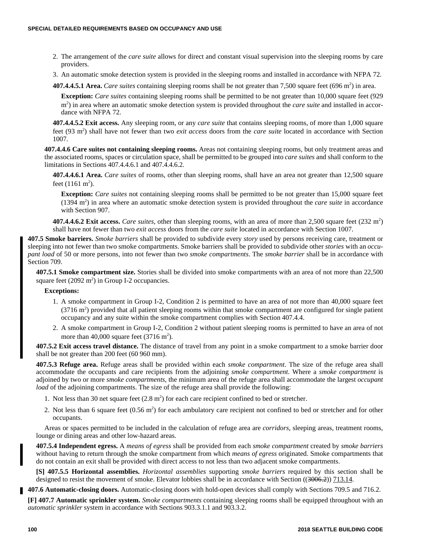- 2. The arrangement of the *care suite* allows for direct and constant visual supervision into the sleeping rooms by care providers.
- 3. An automatic smoke detection system is provided in the sleeping rooms and installed in accordance with NFPA 72.

**407.4.4.5.1 Area.** *Care suites* containing sleeping rooms shall be not greater than 7,500 square feet (696 m<sup>2</sup>) in area.

**Exception:** *Care suites* containing sleeping rooms shall be permitted to be not greater than 10,000 square feet (929) m 2 ) in area where an automatic smoke detection system is provided throughout the *care suite* and installed in accordance with NFPA 72.

**407.4.4.5.2 Exit access.** Any sleeping room, or any *care suite* that contains sleeping rooms, of more than 1,000 square feet (93 m<sup>2</sup>) shall have not fewer than two *exit access* doors from the *care suite* located in accordance with Section 1007.

**407.4.4.6 Care suites not containing sleeping rooms.** Areas not containing sleeping rooms, but only treatment areas and the associated rooms, spaces or circulation space, shall be permitted to be grouped into *care suites* and shall conform to the limitations in Sections 407.4.4.6.1 and 407.4.4.6.2.

**407.4.4.6.1 Area.** *Care suites* of rooms, other than sleeping rooms, shall have an area not greater than 12,500 square feet  $(1161 \text{ m}^2)$ .

**Exception:** *Care suites* not containing sleeping rooms shall be permitted to be not greater than 15,000 square feet  $(1394 \text{ m}^2)$  in area where an automatic smoke detection system is provided throughout the *care suite* in accordance with Section 907.

407.4.4.6.2 Exit access. *Care suites*, other than sleeping rooms, with an area of more than 2,500 square feet (232 m<sup>2</sup>) shall have not fewer than two *exit access* doors from the *care suite* located in accordance with Section 1007.

**407.5 Smoke barriers.** *Smoke barriers* shall be provided to subdivide every *story* used by persons receiving care, treatment or sleeping into not fewer than two smoke compartments. Smoke barriers shall be provided to subdivide other *stories* with an *occupant load* of 50 or more persons, into not fewer than two *smoke compartments*. The *smoke barrier* shall be in accordance with Section 709.

**407.5.1 Smoke compartment size.** Stories shall be divided into smoke compartments with an area of not more than 22,500 square feet  $(2092 \text{ m}^2)$  in Group I-2 occupancies.

#### **Exceptions:**

- 1. A smoke compartment in Group I-2, Condition 2 is permitted to have an area of not more than 40,000 square feet  $(3716 \text{ m}^2)$  provided that all patient sleeping rooms within that smoke compartment are configured for single patient occupancy and any suite within the smoke compartment complies with Section 407.4.4.
- 2. A smoke compartment in Group I-2, Condition 2 without patient sleeping rooms is permitted to have an area of not more than  $40,000$  square feet  $(3716 \text{ m}^2)$ .

**407.5.2 Exit access travel distance.** The distance of travel from any point in a smoke compartment to a smoke barrier door shall be not greater than 200 feet (60 960 mm).

**407.5.3 Refuge area.** Refuge areas shall be provided within each *smoke compartment*. The size of the refuge area shall accommodate the occupants and care recipients from the adjoining *smoke compartment*. Where a *smoke compartment* is adjoined by two or more *smoke compartments*, the minimum area of the refuge area shall accommodate the largest *occupant load* of the adjoining compartments. The size of the refuge area shall provide the following:

- 1. Not less than 30 net square feet  $(2.8 \text{ m}^2)$  for each care recipient confined to bed or stretcher.
- 2. Not less than 6 square feet  $(0.56 \text{ m}^2)$  for each ambulatory care recipient not confined to bed or stretcher and for other occupants.

Areas or spaces permitted to be included in the calculation of refuge area are *corridors*, sleeping areas, treatment rooms, lounge or dining areas and other low-hazard areas.

**407.5.4 Independent egress.** A *means of egress* shall be provided from each *smoke compartment* created by *smoke barriers* without having to return through the smoke compartment from which *means of egress* originated. Smoke compartments that do not contain an exit shall be provided with direct access to not less than two adjacent smoke compartments.

**[S] 407.5.5 Horizontal assemblies.** *Horizontal assemblies* supporting *smoke barriers* required by this section shall be designed to resist the movement of smoke. Elevator lobbies shall be in accordance with Section ((3006.2)) 713.14.

**407.6 Automatic-closing doors.** Automatic-closing doors with hold-open devices shall comply with Sections 709.5 and 716.2.

**[F] 407.7 Automatic sprinkler system.** *Smoke compartments* containing sleeping rooms shall be equipped throughout with an *automatic sprinkler* system in accordance with Sections 903.3.1.1 and 903.3.2.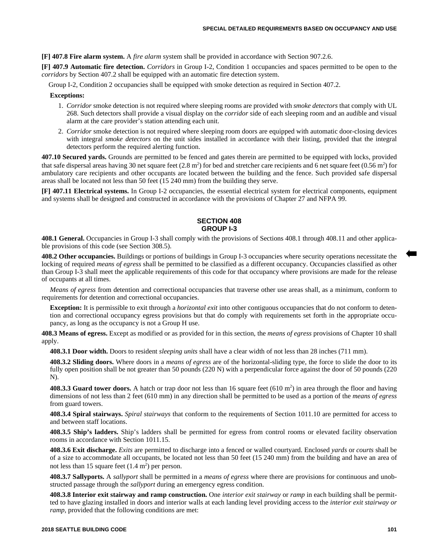**[F] 407.8 Fire alarm system.** A *fire alarm* system shall be provided in accordance with Section 907.2.6.

**[F] 407.9 Automatic fire detection.** *Corridors* in Group I-2, Condition 1 occupancies and spaces permitted to be open to the *corridors* by Section 407.2 shall be equipped with an automatic fire detection system.

Group I-2, Condition 2 occupancies shall be equipped with smoke detection as required in Section 407.2.

#### **Exceptions:**

- 1. *Corridor* smoke detection is not required where sleeping rooms are provided with *smoke detectors* that comply with UL 268. Such detectors shall provide a visual display on the *corridor* side of each sleeping room and an audible and visual alarm at the care provider's station attending each unit.
- 2. *Corridor* smoke detection is not required where sleeping room doors are equipped with automatic door-closing devices with integral *smoke detectors* on the unit sides installed in accordance with their listing, provided that the integral detectors perform the required alerting function.

**407.10 Secured yards.** Grounds are permitted to be fenced and gates therein are permitted to be equipped with locks, provided that safe dispersal areas having 30 net square feet  $(2.8 \text{ m}^2)$  for bed and stretcher care recipients and 6 net square feet  $(0.56 \text{ m}^2)$  for ambulatory care recipients and other occupants are located between the building and the fence. Such provided safe dispersal areas shall be located not less than 50 feet (15 240 mm) from the building they serve.

**[F] 407.11 Electrical systems.** In Group I-2 occupancies, the essential electrical system for electrical components, equipment and systems shall be designed and constructed in accordance with the provisions of Chapter 27 and NFPA 99.

## **SECTION 408 GROUP I-3**

**408.1 General.** Occupancies in Group I-3 shall comply with the provisions of Sections 408.1 through 408.11 and other applicable provisions of this code (see Section 308.5).

**408.2 Other occupancies.** Buildings or portions of buildings in Group I-3 occupancies where security operations necessitate the locking of required *means of egress* shall be permitted to be classified as a different occupancy. Occupancies classified as other than Group I-3 shall meet the applicable requirements of this code for that occupancy where provisions are made for the release of occupants at all times.

*Means of egress* from detention and correctional occupancies that traverse other use areas shall, as a minimum, conform to requirements for detention and correctional occupancies.

**Exception:** It is permissible to exit through a *horizontal exit* into other contiguous occupancies that do not conform to detention and correctional occupancy egress provisions but that do comply with requirements set forth in the appropriate occupancy, as long as the occupancy is not a Group H use.

**408.3 Means of egress.** Except as modified or as provided for in this section, the *means of egress* provisions of Chapter 10 shall apply.

**408.3.1 Door width.** Doors to resident *sleeping units* shall have a clear width of not less than 28 inches (711 mm).

**408.3.2 Sliding doors.** Where doors in a *means of egress* are of the horizontal-sliding type, the force to slide the door to its fully open position shall be not greater than 50 pounds (220 N) with a perpendicular force against the door of 50 pounds (220) N).

408.3.3 Guard tower doors. A hatch or trap door not less than 16 square feet (610 m<sup>2</sup>) in area through the floor and having dimensions of not less than 2 feet (610 mm) in any direction shall be permitted to be used as a portion of the *means of egress* from guard towers.

**408.3.4 Spiral stairways.** *Spiral stairways* that conform to the requirements of Section 1011.10 are permitted for access to and between staff locations.

**408.3.5 Ship's ladders.** Ship's ladders shall be permitted for egress from control rooms or elevated facility observation rooms in accordance with Section 1011.15.

**408.3.6 Exit discharge.** *Exits* are permitted to discharge into a fenced or walled courtyard. Enclosed *yards* or *courts* shall be of a size to accommodate all occupants, be located not less than 50 feet (15 240 mm) from the building and have an area of not less than 15 square feet  $(1.4 \text{ m}^2)$  per person.

**408.3.7 Sallyports.** A *sallyport* shall be permitted in a *means of egress* where there are provisions for continuous and unobstructed passage through the *sallyport* during an emergency egress condition.

**408.3.8 Interior exit stairway and ramp construction.** One *interior exit stairway* or *ramp* in each building shall be permitted to have glazing installed in doors and interior walls at each landing level providing access to the *interior exit stairway or ramp*, provided that the following conditions are met: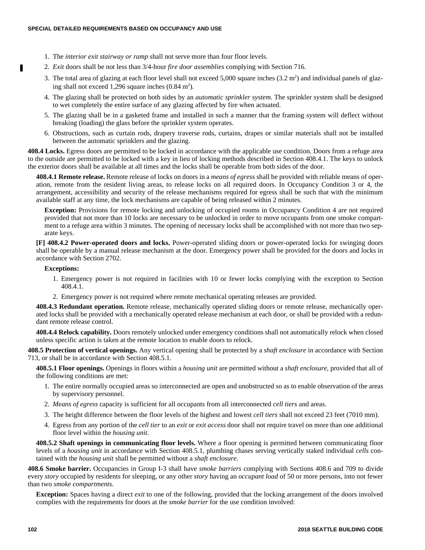- 1. The *interior exit stairway or ramp* shall not serve more than four floor levels.
- 2. *Exit* doors shall be not less than 3/4-hour *fire door assemblies* complying with Section 716.
- 3. The total area of glazing at each floor level shall not exceed  $5,000$  square inches  $(3.2 \text{ m}^2)$  and individual panels of glazing shall not exceed  $1,296$  square inches  $(0.84 \text{ m}^2)$ .
- 4. The glazing shall be protected on both sides by an *automatic sprinkler system*. The sprinkler system shall be designed to wet completely the entire surface of any glazing affected by fire when actuated.
- 5. The glazing shall be in a gasketed frame and installed in such a manner that the framing system will deflect without breaking (loading) the glass before the sprinkler system operates.
- 6. Obstructions, such as curtain rods, drapery traverse rods, curtains, drapes or similar materials shall not be installed between the automatic sprinklers and the glazing.

**408.4 Locks.** Egress doors are permitted to be locked in accordance with the applicable use condition. Doors from a refuge area to the outside are permitted to be locked with a key in lieu of locking methods described in Section 408.4.1. The keys to unlock the exterior doors shall be available at all times and the locks shall be operable from both sides of the door.

**408.4.1 Remote release.** Remote release of locks on doors in a *means of egress* shall be provided with reliable means of operation, remote from the resident living areas, to release locks on all required doors. In Occupancy Condition 3 or 4, the arrangement, accessibility and security of the release mechanisms required for egress shall be such that with the minimum available staff at any time, the lock mechanisms are capable of being released within 2 minutes.

**Exception:** Provisions for remote locking and unlocking of occupied rooms in Occupancy Condition 4 are not required provided that not more than 10 locks are necessary to be unlocked in order to move occupants from one smoke compartment to a refuge area within 3 minutes. The opening of necessary locks shall be accomplished with not more than two separate keys.

**[F] 408.4.2 Power-operated doors and locks.** Power-operated sliding doors or power-operated locks for swinging doors shall be operable by a manual release mechanism at the door. Emergency power shall be provided for the doors and locks in accordance with Section 2702.

#### **Exceptions:**

- 1. Emergency power is not required in facilities with 10 or fewer locks complying with the exception to Section 408.4.1.
- 2. Emergency power is not required where remote mechanical operating releases are provided.

**408.4.3 Redundant operation.** Remote release, mechanically operated sliding doors or remote release, mechanically operated locks shall be provided with a mechanically operated release mechanism at each door, or shall be provided with a redundant remote release control.

**408.4.4 Relock capability.** Doors remotely unlocked under emergency conditions shall not automatically relock when closed unless specific action is taken at the remote location to enable doors to relock.

**408.5 Protection of vertical openings.** Any vertical opening shall be protected by a *shaft enclosure* in accordance with Section 713, or shall be in accordance with Section 408.5.1.

**408.5.1 Floor openings.** Openings in floors within a *housing unit* are permitted without a *shaft enclosure*, provided that all of the following conditions are met:

- 1. The entire normally occupied areas so interconnected are open and unobstructed so as to enable observation of the areas by supervisory personnel.
- 2. *Means of egress* capacity is sufficient for all occupants from all interconnected *cell tiers* and areas.
- 3. The height difference between the floor levels of the highest and lowest *cell tiers* shall not exceed 23 feet (7010 mm).
- 4. Egress from any portion of the *cell tier* to an *exit* or *exit access* door shall not require travel on more than one additional floor level within the *housing unit*.

**408.5.2 Shaft openings in communicating floor levels.** Where a floor opening is permitted between communicating floor levels of a *housing unit* in accordance with Section 408.5.1, plumbing chases serving vertically staked individual *cells* contained with the *housing unit* shall be permitted without a *shaft enclosure*.

**408.6 Smoke barrier.** Occupancies in Group I-3 shall have *smoke barriers* complying with Sections 408.6 and 709 to divide every *story* occupied by residents for sleeping, or any other *story* having an *occupant load* of 50 or more persons, into not fewer than two *smoke compartments*.

**Exception:** Spaces having a direct *exit* to one of the following, provided that the locking arrangement of the doors involved complies with the requirements for doors at the *smoke barrier* for the use condition involved: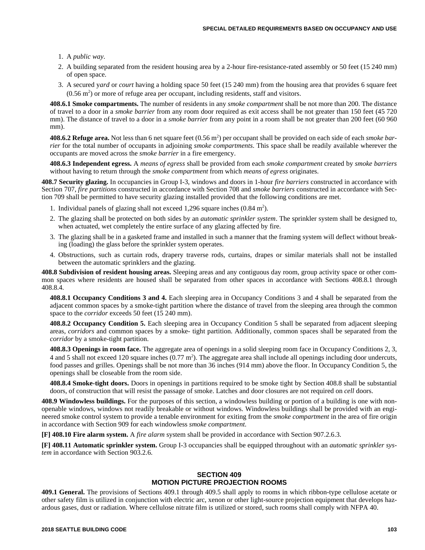- 1. A *public way*.
- 2. A building separated from the resident housing area by a 2-hour fire-resistance-rated assembly or 50 feet (15 240 mm) of open space.
- 3. A secured y*ard* or *court* having a holding space 50 feet (15 240 mm) from the housing area that provides 6 square feet  $(0.56 \text{ m}^2)$  or more of refuge area per occupant, including residents, staff and visitors.

**408.6.1 Smoke compartments.** The number of residents in any *smoke compartment* shall be not more than 200. The distance of travel to a door in a *smoke barrier* from any room door required as exit access shall be not greater than 150 feet (45 720 mm). The distance of travel to a door in a *smoke barrier* from any point in a room shall be not greater than 200 feet (60 960 mm).

408.6.2 Refuge area. Not less than 6 net square feet (0.56 m<sup>2</sup>) per occupant shall be provided on each side of each *smoke barrier* for the total number of occupants in adjoining *smoke compartments*. This space shall be readily available wherever the occupants are moved across the *smoke barrier* in a fire emergency.

**408.6.3 Independent egress.** A *means of egress* shall be provided from each *smoke compartment* created by *smoke barriers* without having to return through the *smoke compartment* from which *means of egress* originates.

**408.7 Security glazing.** In occupancies in Group I-3, windows and doors in 1-hour *fire barriers* constructed in accordance with Section 707, *fire partitions* constructed in accordance with Section 708 and *smoke barriers* constructed in accordance with Section 709 shall be permitted to have security glazing installed provided that the following conditions are met.

- 1. Individual panels of glazing shall not exceed 1,296 square inches  $(0.84 \text{ m}^2)$ .
- 2. The glazing shall be protected on both sides by an *automatic sprinkler system*. The sprinkler system shall be designed to, when actuated, wet completely the entire surface of any glazing affected by fire.
- 3. The glazing shall be in a gasketed frame and installed in such a manner that the framing system will deflect without breaking (loading) the glass before the sprinkler system operates.
- 4. Obstructions, such as curtain rods, drapery traverse rods, curtains, drapes or similar materials shall not be installed between the automatic sprinklers and the glazing.

**408.8 Subdivision of resident housing areas.** Sleeping areas and any contiguous day room, group activity space or other common spaces where residents are housed shall be separated from other spaces in accordance with Sections 408.8.1 through 408.8.4.

**408.8.1 Occupancy Conditions 3 and 4.** Each sleeping area in Occupancy Conditions 3 and 4 shall be separated from the adjacent common spaces by a smoke-tight partition where the distance of travel from the sleeping area through the common space to the *corridor* exceeds 50 feet (15 240 mm).

**408.8.2 Occupancy Condition 5.** Each sleeping area in Occupancy Condition 5 shall be separated from adjacent sleeping areas, *corridors* and common spaces by a smoke- tight partition. Additionally, common spaces shall be separated from the *corridor* by a smoke-tight partition.

**408.8.3 Openings in room face.** The aggregate area of openings in a solid sleeping room face in Occupancy Conditions 2, 3, 4 and 5 shall not exceed 120 square inches  $(0.77 \text{ m}^2)$ . The aggregate area shall include all openings including door undercuts, food passes and grilles. Openings shall be not more than 36 inches (914 mm) above the floor. In Occupancy Condition 5, the openings shall be closeable from the room side.

**408.8.4 Smoke-tight doors.** Doors in openings in partitions required to be smoke tight by Section 408.8 shall be substantial doors, of construction that will resist the passage of smoke. Latches and door closures are not required on *cell* doors.

**408.9 Windowless buildings.** For the purposes of this section, a windowless building or portion of a building is one with nonopenable windows, windows not readily breakable or without windows. Windowless buildings shall be provided with an engineered smoke control system to provide a tenable environment for exiting from the *smoke compartment* in the area of fire origin in accordance with Section 909 for each windowless *smoke compartment*.

**[F] 408.10 Fire alarm system.** A *fire alarm* system shall be provided in accordance with Section 907.2.6.3.

**[F] 408.11 Automatic sprinkler system.** Group I-3 occupancies shall be equipped throughout with an *automatic sprinkler system* in accordance with Section 903.2.6.

### **SECTION 409 MOTION PICTURE PROJECTION ROOMS**

**409.1 General.** The provisions of Sections 409.1 through 409.5 shall apply to rooms in which ribbon-type cellulose acetate or other safety film is utilized in conjunction with electric arc, xenon or other light-source projection equipment that develops hazardous gases, dust or radiation. Where cellulose nitrate film is utilized or stored, such rooms shall comply with NFPA 40.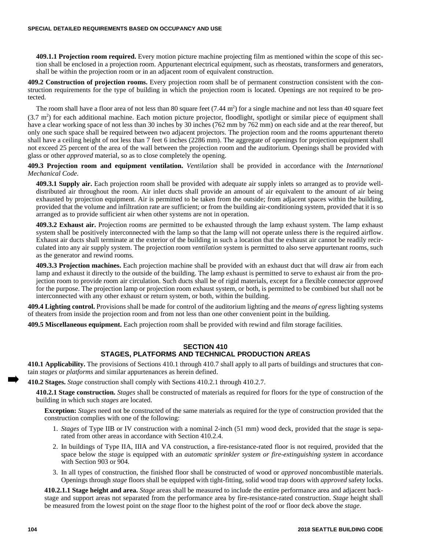**409.1.1 Projection room required.** Every motion picture machine projecting film as mentioned within the scope of this section shall be enclosed in a projection room. Appurtenant electrical equipment, such as rheostats, transformers and generators, shall be within the projection room or in an adjacent room of equivalent construction.

**409.2 Construction of projection rooms.** Every projection room shall be of permanent construction consistent with the construction requirements for the type of building in which the projection room is located. Openings are not required to be protected.

The room shall have a floor area of not less than 80 square feet  $(7.44 \text{ m}^2)$  for a single machine and not less than 40 square feet (3.7 m<sup>2</sup>) for each additional machine. Each motion picture projector, floodlight, spotlight or similar piece of equipment shall have a clear working space of not less than 30 inches by 30 inches (762 mm by 762 mm) on each side and at the rear thereof, but only one such space shall be required between two adjacent projectors. The projection room and the rooms appurtenant thereto shall have a ceiling height of not less than 7 feet 6 inches (2286 mm). The aggregate of openings for projection equipment shall not exceed 25 percent of the area of the wall between the projection room and the auditorium. Openings shall be provided with glass or other *approved* material, so as to close completely the opening.

**409.3 Projection room and equipment ventilation.** *Ventilation* shall be provided in accordance with the *International Mechanical Code*.

**409.3.1 Supply air.** Each projection room shall be provided with adequate air supply inlets so arranged as to provide welldistributed air throughout the room. Air inlet ducts shall provide an amount of air equivalent to the amount of air being exhausted by projection equipment. Air is permitted to be taken from the outside; from adjacent spaces within the building, provided that the volume and infiltration rate are sufficient; or from the building air-conditioning system, provided that it is so arranged as to provide sufficient air when other systems are not in operation.

**409.3.2 Exhaust air.** Projection rooms are permitted to be exhausted through the lamp exhaust system. The lamp exhaust system shall be positively interconnected with the lamp so that the lamp will not operate unless there is the required airflow. Exhaust air ducts shall terminate at the exterior of the building in such a location that the exhaust air cannot be readily recirculated into any air supply system. The projection room *ventilation* system is permitted to also serve appurtenant rooms, such as the generator and rewind rooms.

**409.3.3 Projection machines.** Each projection machine shall be provided with an exhaust duct that will draw air from each lamp and exhaust it directly to the outside of the building. The lamp exhaust is permitted to serve to exhaust air from the projection room to provide room air circulation. Such ducts shall be of rigid materials, except for a flexible connector *approved* for the purpose. The projection lamp or projection room exhaust system, or both, is permitted to be combined but shall not be interconnected with any other exhaust or return system, or both, within the building.

**409.4 Lighting control.** Provisions shall be made for control of the auditorium lighting and the *means of egress* lighting systems of theaters from inside the projection room and from not less than one other convenient point in the building.

**409.5 Miscellaneous equipment.** Each projection room shall be provided with rewind and film storage facilities.

### **SECTION 410 STAGES, PLATFORMS AND TECHNICAL PRODUCTION AREAS**

**410.1 Applicability.** The provisions of Sections 410.1 through 410.7 shall apply to all parts of buildings and structures that contain *stages* or *platforms* and similar appurtenances as herein defined.

**410.2 Stages.** *Stage* construction shall comply with Sections 410.2.1 through 410.2.7.

**410.2.1 Stage construction.** *Stages* shall be constructed of materials as required for floors for the type of construction of the building in which such *stages* are located.

**Exception:** *Stages* need not be constructed of the same materials as required for the type of construction provided that the construction complies with one of the following:

- 1. *Stages* of Type IIB or IV construction with a nominal 2-inch (51 mm) wood deck, provided that the *stage* is separated from other areas in accordance with Section 410.2.4.
- 2. In buildings of Type IIA, IIIA and VA construction, a fire-resistance-rated floor is not required, provided that the space below the *stage* is equipped with an *automatic sprinkler system or fire-extinguishing system* in accordance with Section 903 or 904.
- 3. In all types of construction, the finished floor shall be constructed of wood or *approved* noncombustible materials. Openings through *stage* floors shall be equipped with tight-fitting, solid wood trap doors with *approved* safety locks.

**410.2.1.1 Stage height and area.** *Stage* areas shall be measured to include the entire performance area and adjacent backstage and support areas not separated from the performance area by fire-resistance-rated construction. *Stage* height shall be measured from the lowest point on the *stage* floor to the highest point of the roof or floor deck above the *stage*.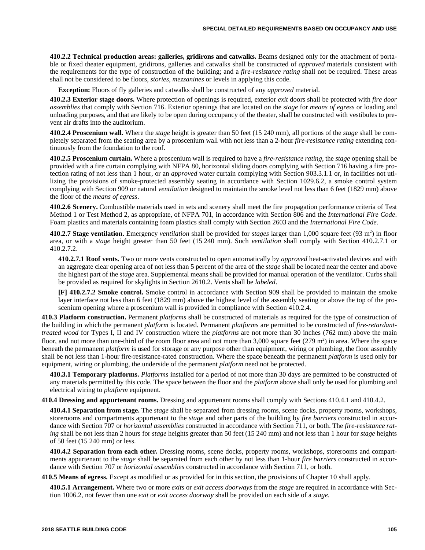**410.2.2 Technical production areas: galleries, gridirons and catwalks.** Beams designed only for the attachment of portable or fixed theater equipment, gridirons, galleries and catwalks shall be constructed of *approved* materials consistent with the requirements for the type of construction of the building; and a *fire-resistance rating* shall not be required. These areas shall not be considered to be floors, *stories*, *mezzanines* or levels in applying this code.

**Exception:** Floors of fly galleries and catwalks shall be constructed of any *approved* material.

**410.2.3 Exterior stage doors.** Where protection of openings is required, exterior *exit* doors shall be protected with *fire door assemblies* that comply with Section 716. Exterior openings that are located on the *stage* for *means of egress* or loading and unloading purposes, and that are likely to be open during occupancy of the theater, shall be constructed with vestibules to prevent air drafts into the auditorium.

**410.2.4 Proscenium wall.** Where the *stage* height is greater than 50 feet (15 240 mm), all portions of the *stage* shall be completely separated from the seating area by a proscenium wall with not less than a 2-hour *fire-resistance rating* extending continuously from the foundation to the roof.

**410.2.5 Proscenium curtain.** Where a proscenium wall is required to have a *fire-resistance rating*, the *stage* opening shall be provided with a fire curtain complying with NFPA 80, horizontal sliding doors complying with Section 716 having a fire protection rating of not less than 1 hour, or an *approved* water curtain complying with Section 903.3.1.1 or, in facilities not utilizing the provisions of smoke-protected assembly seating in accordance with Section 1029.6.2, a smoke control system complying with Section 909 or natural *ventilation* designed to maintain the smoke level not less than 6 feet (1829 mm) above the floor of the *means of egress*.

**410.2.6 Scenery.** Combustible materials used in sets and scenery shall meet the fire propagation performance criteria of Test Method 1 or Test Method 2, as appropriate, of NFPA 701, in accordance with Section 806 and the *International Fire Code*. Foam plastics and materials containing foam plastics shall comply with Section 2603 and the *International Fire Code*.

**410.2.7 Stage ventilation.** Emergency *ventilation* shall be provided for *stages* larger than 1,000 square feet (93 m<sup>2</sup>) in floor area, or with a *stage* height greater than 50 feet (15 240 mm). Such *ventilation* shall comply with Section 410.2.7.1 or 410.2.7.2.

**410.2.7.1 Roof vents.** Two or more vents constructed to open automatically by *approved* heat-activated devices and with an aggregate clear opening area of not less than 5 percent of the area of the *stage* shall be located near the center and above the highest part of the *stage* area. Supplemental means shall be provided for manual operation of the ventilator. Curbs shall be provided as required for skylights in Section 2610.2. Vents shall be *labeled*.

**[F] 410.2.7.2 Smoke control.** Smoke control in accordance with Section 909 shall be provided to maintain the smoke layer interface not less than 6 feet (1829 mm) above the highest level of the assembly seating or above the top of the proscenium opening where a proscenium wall is provided in compliance with Section 410.2.4.

**410.3 Platform construction.** Permanent *platforms* shall be constructed of materials as required for the type of construction of the building in which the permanent *platform* is located. Permanent *platforms* are permitted to be constructed of *fire-retardanttreated wood* for Types I, II and IV construction where the *platforms* are not more than 30 inches (762 mm) above the main floor, and not more than one-third of the room floor area and not more than  $3,000$  square feet  $(279 \text{ m}^2)$  in area. Where the space beneath the permanent *platform* is used for storage or any purpose other than equipment, wiring or plumbing, the floor assembly shall be not less than 1-hour fire-resistance-rated construction. Where the space beneath the permanent *platform* is used only for equipment, wiring or plumbing, the underside of the permanent *platform* need not be protected.

**410.3.1 Temporary platforms.** *Platforms* installed for a period of not more than 30 days are permitted to be constructed of any materials permitted by this code. The space between the floor and the *platform* above shall only be used for plumbing and electrical wiring to *platform* equipment.

**410.4 Dressing and appurtenant rooms.** Dressing and appurtenant rooms shall comply with Sections 410.4.1 and 410.4.2.

**410.4.1 Separation from stage.** The *stage* shall be separated from dressing rooms, scene docks, property rooms, workshops, storerooms and compartments appurtenant to the *stage* and other parts of the building by *fire barriers* constructed in accordance with Section 707 or *horizontal assemblies* constructed in accordance with Section 711, or both. The *fire-resistance rating* shall be not less than 2 hours for *stage* heights greater than 50 feet (15 240 mm) and not less than 1 hour for *stage* heights of 50 feet (15 240 mm) or less.

**410.4.2 Separation from each other.** Dressing rooms, scene docks, property rooms, workshops, storerooms and compartments appurtenant to the *stage* shall be separated from each other by not less than 1-hour *fire barriers* constructed in accordance with Section 707 or *horizontal assemblies* constructed in accordance with Section 711, or both.

**410.5 Means of egress.** Except as modified or as provided for in this section, the provisions of Chapter 10 shall apply.

**410.5.1 Arrangement.** Where two or more *exits* or *exit access doorways* from the *stage* are required in accordance with Section 1006.2, not fewer than one *exit* or *exit access doorway* shall be provided on each side of a *stage*.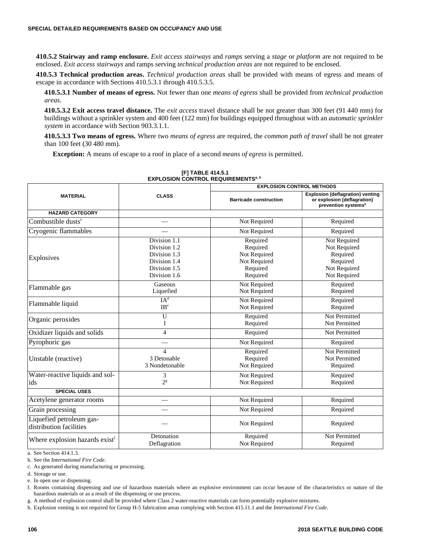**410.5.2 Stairway and ramp enclosure.** *Exit access stairways* and *ramps* serving a *stage* or *platform* are not required to be enclosed. *Exit access stairways* and ramps serving *technical production areas* are not required to be enclosed.

**410.5.3 Technical production areas.** *Technical production areas* shall be provided with means of egress and means of escape in accordance with Sections 410.5.3.1 through 410.5.3.5.

**410.5.3.1 Number of means of egress.** Not fewer than one *means of egress* shall be provided from *technical production areas*.

**410.5.3.2 Exit access travel distance.** The *exit access* travel distance shall be not greater than 300 feet (91 440 mm) for buildings without a sprinkler system and 400 feet (122 mm) for buildings equipped throughout with an *automatic sprinkler system* in accordance with Section 903.3.1.1.

**410.5.3.3 Two means of egress.** Where two *means of egress* are required, the *common path of travel* shall be not greater than 100 feet (30 480 mm).

**Exception:** A means of escape to a roof in place of a second *means of egress* is permitted.

|                                                     |                                                                                              | <b>EXPLOSION CONTROL METHODS</b>                                             |                                                                                                           |  |
|-----------------------------------------------------|----------------------------------------------------------------------------------------------|------------------------------------------------------------------------------|-----------------------------------------------------------------------------------------------------------|--|
| <b>MATERIAL</b>                                     | <b>CLASS</b>                                                                                 | <b>Barricade construction</b>                                                | <b>Explosion (deflagration) venting</b><br>or explosion (deflagration)<br>prevention systems <sup>b</sup> |  |
| <b>HAZARD CATEGORY</b>                              |                                                                                              |                                                                              |                                                                                                           |  |
| Combustible dusts <sup>c</sup>                      |                                                                                              | Not Required                                                                 | Required                                                                                                  |  |
| Cryogenic flammables                                |                                                                                              | Not Required                                                                 | Required                                                                                                  |  |
| Explosives                                          | Division 1.1<br>Division 1.2<br>Division 1.3<br>Division 1.4<br>Division 1.5<br>Division 1.6 | Required<br>Required<br>Not Required<br>Not Required<br>Required<br>Required | Not Required<br>Not Required<br>Required<br>Required<br>Not Required<br>Not Required                      |  |
| Flammable gas                                       | Gaseous<br>Liquefied                                                                         | Not Required<br>Not Required                                                 | Required<br>Required                                                                                      |  |
| Flammable liquid                                    | IA <sup>d</sup><br>IB <sup>e</sup>                                                           | Not Required<br>Not Required                                                 | Required<br>Required                                                                                      |  |
| Organic peroxides                                   | U<br>I                                                                                       | Required<br>Required                                                         | Not Permitted<br>Not Permitted                                                                            |  |
| Oxidizer liquids and solids                         | $\overline{4}$                                                                               | Required                                                                     | Not Permitted                                                                                             |  |
| Pyrophoric gas                                      |                                                                                              | Not Required                                                                 | Required                                                                                                  |  |
| Unstable (reactive)                                 | 4<br>3 Detonable<br>3 Nondetonable                                                           | Required<br>Required<br>Not Required                                         | <b>Not Permitted</b><br>Not Permitted<br>Required                                                         |  |
| Water-reactive liquids and sol-<br>ids              | 3<br>2 <sup>g</sup>                                                                          | Not Required<br>Not Required                                                 | Required<br>Required                                                                                      |  |
| <b>SPECIAL USES</b>                                 |                                                                                              |                                                                              |                                                                                                           |  |
| Acetylene generator rooms                           |                                                                                              | Not Required                                                                 | Required                                                                                                  |  |
| Grain processing                                    |                                                                                              | Not Required                                                                 | Required                                                                                                  |  |
| Liquefied petroleum gas-<br>distribution facilities |                                                                                              | Not Required                                                                 | Required                                                                                                  |  |
| Where explosion hazards exist <sup>t</sup>          | Detonation<br>Deflagration                                                                   | Required<br>Not Required                                                     | Not Permitted<br>Required                                                                                 |  |

**[F] TABLE 414.5.1 EXPLOSION CONTROL REQUIREMENTSa, h**

a. See Section 414.1.3.

b. See the *International Fire Code*.

c. As generated during manufacturing or processing.

d. Storage or use.

e. In open use or dispensing.

f. Rooms containing dispensing and use of hazardous materials where an explosive environment can occur because of the characteristics or nature of the hazardous materials or as a result of the dispensing or use process.

g. A method of explosion control shall be provided where Class 2 water-reactive materials can form potentially explosive mixtures.

h. Explosion venting is not required for Group H-5 fabrication areas complying with Section 415.11.1 and the *International Fire Code.*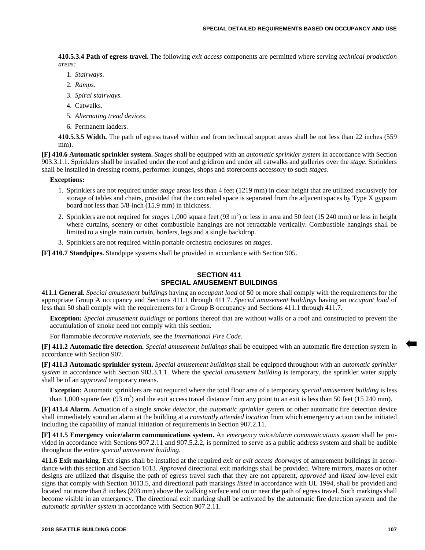**410.5.3.4 Path of egress travel.** The following *exit access* components are permitted where serving *technical production areas:*

- 1. *Stairways*.
- 2. *Ramps*.
- 3. *Spiral stairways*.
- 4. Catwalks.
- 5. *Alternating tread devices*.
- 6. Permanent ladders.

**410.5.3.5 Width.** The path of egress travel within and from technical support areas shall be not less than 22 inches (559 mm).

**[F] 410.6 Automatic sprinkler system.** *Stages* shall be equipped with an *automatic sprinkler system* in accordance with Section 903.3.1.1. Sprinklers shall be installed under the roof and gridiron and under all catwalks and galleries over the *stage*. Sprinklers shall be installed in dressing rooms, performer lounges, shops and storerooms accessory to such *stages.*

#### **Exceptions:**

- 1. Sprinklers are not required under *stage* areas less than 4 feet (1219 mm) in clear height that are utilized exclusively for storage of tables and chairs, provided that the concealed space is separated from the adjacent spaces by Type X gypsum board not less than 5/8-inch (15.9 mm) in thickness.
- 2. Sprinklers are not required for *stages* 1,000 square feet (93 m<sup>2</sup>) or less in area and 50 feet (15 240 mm) or less in height where curtains, scenery or other combustible hangings are not retractable vertically. Combustible hangings shall be limited to a single main curtain, borders, legs and a single backdrop.
- 3. Sprinklers are not required within portable orchestra enclosures on *stages*.

**[F] 410.7 Standpipes.** Standpipe systems shall be provided in accordance with Section 905.

#### **SECTION 411 SPECIAL AMUSEMENT BUILDINGS**

**411.1 General.** *Special amusement buildings* having an *occupant load* of 50 or more shall comply with the requirements for the appropriate Group A occupancy and Sections 411.1 through 411.7. *Special amusement buildings* having an *occupant load* of less than 50 shall comply with the requirements for a Group B occupancy and Sections 411.1 through 411.7.

**Exception:** *Special amusement buildings* or portions thereof that are without walls or a roof and constructed to prevent the accumulation of smoke need not comply with this section.

For flammable *decorative materials*, see the *International Fire Code*.

**[F] 411.2 Automatic fire detection.** *Special amusement buildings* shall be equipped with an automatic fire detection system in accordance with Section 907.

**[F] 411.3 Automatic sprinkler system.** *Special amusement buildings* shall be equipped throughout with an *automatic sprinkler system* in accordance with Section 903.3.1.1. Where the *special amusement building* is temporary, the sprinkler water supply shall be of an *approved* temporary means.

**Exception:** Automatic sprinklers are not required where the total floor area of a temporary *special amusement building* is less than 1,000 square feet (93 m<sup>2</sup>) and the exit access travel distance from any point to an exit is less than 50 feet (15 240 mm).

**[F] 411.4 Alarm.** Actuation of a single *smoke detector*, the *automatic sprinkler system* or other automatic fire detection device shall immediately sound an alarm at the building at a *constantly attended location* from which emergency action can be initiated including the capability of manual initiation of requirements in Section 907.2.11.

**[F] 411.5 Emergency voice/alarm communications system.** An *emergency voice/alarm communications system* shall be provided in accordance with Sections 907.2.11 and 907.5.2.2, is permitted to serve as a public address system and shall be audible throughout the entire *special amusement building*.

**411.6 Exit marking.** Exit signs shall be installed at the required *exit* or *exit access doorways* of amusement buildings in accordance with this section and Section 1013. *Approved* directional exit markings shall be provided. Where mirrors, mazes or other designs are utilized that disguise the path of egress travel such that they are not apparent, *approved* and *listed* low-level exit signs that comply with Section 1013.5, and directional path markings *listed* in accordance with UL 1994, shall be provided and located not more than 8 inches (203 mm) above the walking surface and on or near the path of egress travel. Such markings shall become visible in an emergency. The directional exit marking shall be activated by the automatic fire detection system and the *automatic sprinkler system* in accordance with Section 907.2.11.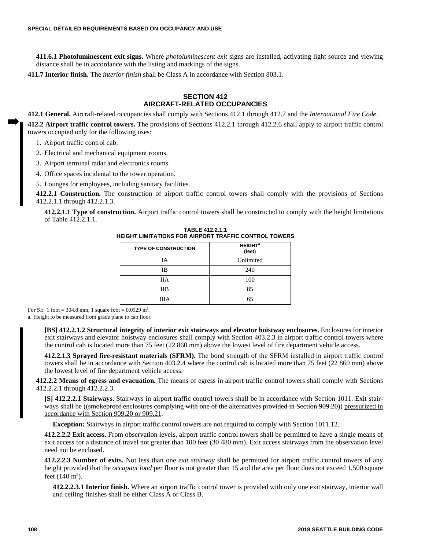**411.6.1 Photoluminescent exit signs.** Where *photoluminescent exit* signs are installed, activating light source and viewing distance shall be in accordance with the listing and markings of the signs.

**411.7 Interior finish.** The *interior finish* shall be Class A in accordance with Section 803.1.

# **SECTION 412 AIRCRAFT-RELATED OCCUPANCIES**

**412.1 General.** Aircraft-related occupancies shall comply with Sections 412.1 through 412.7 and the *International Fire Code*.

**412.2 Airport traffic control towers.** The provisions of Sections 412.2.1 through 412.2.6 shall apply to airport traffic control towers occupied only for the following uses:

1. Airport traffic control cab.

2. Electrical and mechanical equipment rooms.

3. Airport terminal radar and electronics rooms.

4. Office spaces incidental to the tower operation.

5. Lounges for employees, including sanitary facilities.

**412.2.1 Construction.** The construction of airport traffic control towers shall comply with the provisions of Sections 412.2.1.1 through 412.2.1.3.

**412.2.1.1 Type of construction.** Airport traffic control towers shall be constructed to comply with the height limitations of Table 412.2.1.1.

| <b>TYPE OF CONSTRUCTION</b> | <b>HEIGHT<sup>a</sup></b><br>(feet) |
|-----------------------------|-------------------------------------|
| IA                          | Unlimited                           |
| ΙB                          | 240                                 |
| ПA                          | 100                                 |
| HВ                          | 85                                  |
| HIA                         | 65                                  |

**TABLE 412.2.1.1 HEIGHT LIMITATIONS FOR AIRPORT TRAFFIC CONTROL TOWERS**

For SI: 1 foot = 304.8 mm, 1 square foot =  $0.0929$  m<sup>2</sup>.

a. Height to be measured from grade plane to cab floor.

**[BS] 412.2.1.2 Structural integrity of interior exit stairways and elevator hoistway enclosures.** Enclosures for interior exit stairways and elevator hoistway enclosures shall comply with Section 403.2.3 in airport traffic control towers where the control cab is located more than 75 feet (22 860 mm) above the lowest level of fire department vehicle access.

**412.2.1.3 Sprayed fire-resistant materials (SFRM).** The bond strength of the SFRM installed in airport traffic control towers shall be in accordance with Section 403.2.4 where the control cab is located more than 75 feet (22 860 mm) above the lowest level of fire department vehicle access.

**412.2.2 Means of egress and evacuation.** The means of egress in airport traffic control towers shall comply with Sections 412.2.2.1 through 412.2.2.3.

**[S] 412.2.2.1 Stairways.** Stairways in airport traffic control towers shall be in accordance with Section 1011. Exit stairways shall be ((smokeproof enclosures complying with one of the alternatives provided in Section 909.20)) pressurized in accordance with Section 909.20 or 909.21.

**Exception:** Stairways in airport traffic control towers are not required to comply with Section 1011.12.

**412.2.2.2 Exit access.** From observation levels, airport traffic control towers shall be permitted to have a single means of exit access for a distance of travel not greater than 100 feet (30 480 mm). Exit access stairways from the observation level need not be enclosed.

**412.2.2.3 Number of exits.** Not less than one *exit stairway* shall be permitted for airport traffic control towers of any height provided that the *occupant load* per floor is not greater than 15 and the area per floor does not exceed 1,500 square feet  $(140 \text{ m}^2)$ .

**412.2.2.3.1 Interior finish.** Where an airport traffic control tower is provided with only one exit stairway, interior wall and ceiling finishes shall be either Class A or Class B.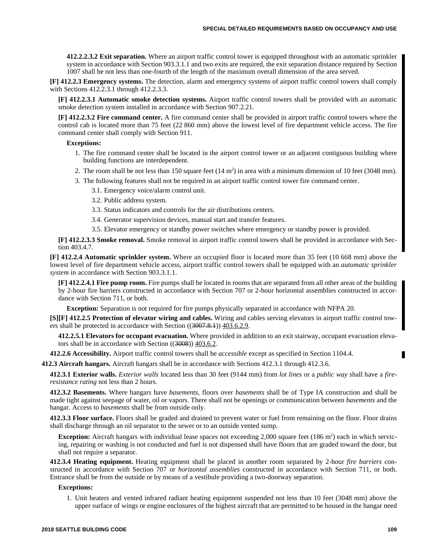**412.2.2.3.2 Exit separation.** Where an airport traffic control tower is equipped throughout with an automatic sprinkler system in accordance with Section 903.3.1.1 and two exits are required, the exit separation distance required by Section 1007 shall be not less than one-fourth of the length of the maximum overall dimension of the area served.

**[F] 412.2.3 Emergency systems.** The detection, alarm and emergency systems of airport traffic control towers shall comply with Sections 412.2.3.1 through 412.2.3.3.

**[F] 412.2.3.1 Automatic smoke detection systems.** Airport traffic control towers shall be provided with an automatic smoke detection system installed in accordance with Section 907.2.21.

**[F] 412.2.3.2 Fire command center.** A fire command center shall be provided in airport traffic control towers where the control cab is located more than 75 feet (22 860 mm) above the lowest level of fire department vehicle access. The fire command center shall comply with Section 911.

#### **Exceptions:**

- 1. The fire command center shall be located in the airport control tower or an adjacent contiguous building where building functions are interdependent.
- 2. The room shall be not less than 150 square feet  $(14 \text{ m}^2)$  in area with a minimum dimension of 10 feet (3048 mm).
- 3. The following features shall not be required in an airport traffic control tower fire command center.
	- 3.1. Emergency voice/alarm control unit.
	- 3.2. Public address system.
	- 3.3. Status indicators and controls for the air distributions centers.
	- 3.4. Generator supervision devices, manual start and transfer features.
	- 3.5. Elevator emergency or standby power switches where emergency or standby power is provided.

**[F] 412.2.3.3 Smoke removal.** Smoke removal in airport traffic control towers shall be provided in accordance with Section 403.4.7.

**[F] 412.2.4 Automatic sprinkler system.** Where an occupied floor is located more than 35 feet (10 668 mm) above the lowest level of fire department vehicle access, airport traffic control towers shall be equipped with an *automatic sprinkler system* in accordance with Section 903.3.1.1.

**[F] 412.2.4.1 Fire pump room.** Fire pumps shall be located in rooms that are separated from all other areas of the building by 2-hour fire barriers constructed in accordance with Section 707 or 2-hour horizontal assemblies constructed in accordance with Section 711, or both.

**Exception:** Separation is not required for fire pumps physically separated in accordance with NFPA 20.

**[S][F] 412.2.5 Protection of elevator wiring and cables.** Wiring and cables serving elevators in airport traffic control towers shall be protected in accordance with Section ((3007.8.1)) 403.6.2.9.

**412.2.5.1 Elevators for occupant evacuation.** Where provided in addition to an exit stairway, occupant evacuation elevators shall be in accordance with Section ((3008)) 403.6.2.

**412.2.6 Accessibility.** Airport traffic control towers shall be *accessible* except as specified in Section 1104.4.

**412.3 Aircraft hangars.** Aircraft hangars shall be in accordance with Sections 412.3.1 through 412.3.6.

**412.3.1 Exterior walls.** *Exterior walls* located less than 30 feet (9144 mm) from *lot lines* or a *public way* shall have a *fireresistance rating* not less than 2 hours.

**412.3.2 Basements.** Where hangars have *basements,* floors over *basements* shall be of Type IA construction and shall be made tight against seepage of water, oil or vapors. There shall not be openings or communication between *basements* and the hangar. Access to *basements* shall be from outside only.

**412.3.3 Floor surface.** Floors shall be graded and drained to prevent water or fuel from remaining on the floor. Floor drains shall discharge through an oil separator to the sewer or to an outside vented sump.

**Exception:** Aircraft hangars with individual lease spaces not exceeding  $2,000$  square feet  $(186 \text{ m}^2)$  each in which servicing, repairing or washing is not conducted and fuel is not dispensed shall have floors that are graded toward the door, but shall not require a separator.

**412.3.4 Heating equipment.** Heating equipment shall be placed in another room separated by 2-hour *fire barriers* constructed in accordance with Section 707 or *horizontal assemblies* constructed in accordance with Section 711, or both. Entrance shall be from the outside or by means of a vestibule providing a two-doorway separation.

#### **Exceptions:**

1. Unit heaters and vented infrared radiant heating equipment suspended not less than 10 feet (3048 mm) above the upper surface of wings or engine enclosures of the highest aircraft that are permitted to be housed in the hangar need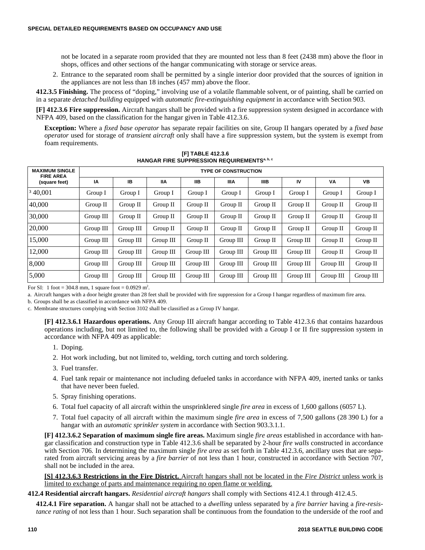not be located in a separate room provided that they are mounted not less than 8 feet (2438 mm) above the floor in shops, offices and other sections of the hangar communicating with storage or service areas.

2. Entrance to the separated room shall be permitted by a single interior door provided that the sources of ignition in the appliances are not less than 18 inches (457 mm) above the floor.

**412.3.5 Finishing.** The process of "doping," involving use of a volatile flammable solvent, or of painting, shall be carried on in a separate *detached building* equipped with *automatic fire-extinguishing equipment* in accordance with Section 903.

**[F] 412.3.6 Fire suppression.** Aircraft hangars shall be provided with a fire suppression system designed in accordance with NFPA 409, based on the classification for the hangar given in Table 412.3.6.

**Exception:** Where a *fixed base operator* has separate repair facilities on site, Group II hangars operated by a *fixed base operator* used for storage of *transient aircraft* only shall have a fire suppression system, but the system is exempt from foam requirements.

| <b>MAXIMUM SINGLE</b><br><b>FIRE AREA</b> | <b>TYPE OF CONSTRUCTION</b> |           |            |           |             |             |            |           |           |
|-------------------------------------------|-----------------------------|-----------|------------|-----------|-------------|-------------|------------|-----------|-----------|
| (square feet)                             | ΙA                          | IB        | <b>IIA</b> | IIВ       | <b>IIIA</b> | <b>IIIB</b> | IV         | VA        | VB        |
| 340,001                                   | Group I                     | Group I   | Group I    | Group I   | Group I     | Group I     | Group I    | Group I   | Group I   |
| 40,000                                    | Group II                    | Group II  | Group II   | Group II  | Group II    | Group II    | Group $II$ | Group II  | Group II  |
| 30,000                                    | Group III                   | Group II  | Group II   | Group II  | Group II    | Group II    | Group II   | Group II  | Group II  |
| 20,000                                    | Group III                   | Group III | Group II   | Group II  | Group II    | Group II    | Group II   | Group II  | Group II  |
| 15,000                                    | Group III                   | Group III | Group III  | Group II  | Group III   | Group II    | Group III  | Group II  | Group II  |
| 12,000                                    | Group III                   | Group III | Group III  | Group III | Group III   | Group III   | Group III  | Group II  | Group II  |
| 8,000                                     | Group III                   | Group III | Group III  | Group III | Group III   | Group III   | Group III  | Group III | Group II  |
| 5,000                                     | Group III                   | Group III | Group III  | Group III | Group III   | Group III   | Group III  | Group III | Group III |

**[F] TABLE 412.3.6 HANGAR FIRE SUPPRESSION REQUIREMENTSa, b, c** 

For SI: 1 foot = 304.8 mm, 1 square foot =  $0.0929$  m<sup>2</sup>.

a. Aircraft hangars with a door height greater than 28 feet shall be provided with fire suppression for a Group I hangar regardless of maximum fire area.

b. Groups shall be as classified in accordance with NFPA 409.

c. Membrane structures complying with Section 3102 shall be classified as a Group IV hangar.

**[F] 412.3.6.1 Hazardous operations.** Any Group III aircraft hangar according to Table 412.3.6 that contains hazardous operations including, but not limited to, the following shall be provided with a Group I or II fire suppression system in accordance with NFPA 409 as applicable:

- 1. Doping.
- 2. Hot work including, but not limited to, welding, torch cutting and torch soldering.
- 3. Fuel transfer.
- 4. Fuel tank repair or maintenance not including defueled tanks in accordance with NFPA 409, inerted tanks or tanks that have never been fueled.
- 5. Spray finishing operations.
- 6. Total fuel capacity of all aircraft within the unsprinklered single *fire area* in excess of 1,600 gallons (6057 L).
- 7. Total fuel capacity of all aircraft within the maximum single *fire area* in excess of 7,500 gallons (28 390 L) for a hangar with an *automatic sprinkler system* in accordance with Section 903.3.1.1.

**[F] 412.3.6.2 Separation of maximum single fire areas.** Maximum single *fire areas* established in accordance with hangar classification and construction type in Table 412.3.6 shall be separated by 2-hour *fire walls* constructed in accordance with Section 706. In determining the maximum single *fire area* as set forth in Table 412.3.6, ancillary uses that are separated from aircraft servicing areas by a *fire barrier* of not less than 1 hour, constructed in accordance with Section 707, shall not be included in the area.

**[S] 412.3.6.3 Restrictions in the Fire District.** Aircraft hangars shall not be located in the *Fire District* unless work is limited to exchange of parts and maintenance requiring no open flame or welding.

**412.4 Residential aircraft hangars.** *Residential aircraft hangars* shall comply with Sections 412.4.1 through 412.4.5.

**412.4.1 Fire separation.** A hangar shall not be attached to a *dwelling* unless separated by a *fire barrier* having a *fire-resistance rating* of not less than 1 hour. Such separation shall be continuous from the foundation to the underside of the roof and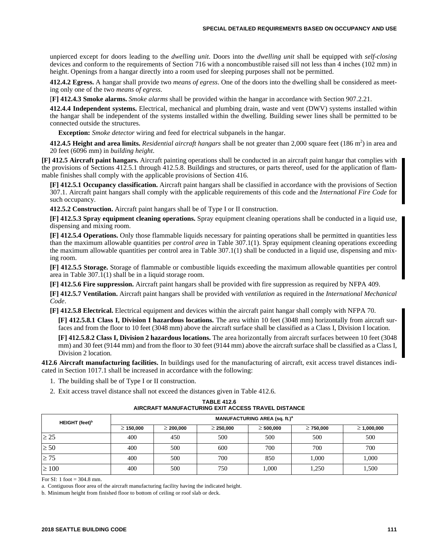unpierced except for doors leading to the *dwelling unit*. Doors into the *dwelling unit* shall be equipped with *self-closing* devices and conform to the requirements of Section 716 with a noncombustible raised sill not less than 4 inches (102 mm) in height. Openings from a hangar directly into a room used for sleeping purposes shall not be permitted.

**412.4.2 Egress.** A hangar shall provide two *means of egress*. One of the doors into the dwelling shall be considered as meeting only one of the two *means of egress*.

[**F] 412.4.3 Smoke alarms.** *Smoke alarms* shall be provided within the hangar in accordance with Section 907.2.21.

**412.4.4 Independent systems.** Electrical, mechanical and plumbing drain, waste and vent (DWV) systems installed within the hangar shall be independent of the systems installed within the dwelling. Building sewer lines shall be permitted to be connected outside the structures.

**Exception:** *Smoke detector* wiring and feed for electrical subpanels in the hangar.

412.4.5 Height and area limits. *Residential aircraft hangars* shall be not greater than 2,000 square feet (186 m<sup>2</sup>) in area and 20 feet (6096 mm) in *building height*.

**[F] 412.5 Aircraft paint hangars.** Aircraft painting operations shall be conducted in an aircraft paint hangar that complies with the provisions of Sections 412.5.1 through 412.5.8. Buildings and structures, or parts thereof, used for the application of flammable finishes shall comply with the applicable provisions of Section 416.

**[F] 412.5.1 Occupancy classification.** Aircraft paint hangars shall be classified in accordance with the provisions of Section 307.1. Aircraft paint hangars shall comply with the applicable requirements of this code and the *International Fire Code* for such occupancy.

**412.5.2 Construction.** Aircraft paint hangars shall be of Type I or II construction.

**[F] 412.5.3 Spray equipment cleaning operations.** Spray equipment cleaning operations shall be conducted in a liquid use, dispensing and mixing room.

**[F] 412.5.4 Operations.** Only those flammable liquids necessary for painting operations shall be permitted in quantities less than the maximum allowable quantities per *control area* in Table 307.1(1). Spray equipment cleaning operations exceeding the maximum allowable quantities per control area in Table 307.1(1) shall be conducted in a liquid use, dispensing and mixing room.

**[F] 412.5.5 Storage.** Storage of flammable or combustible liquids exceeding the maximum allowable quantities per control area in Table 307.1(1) shall be in a liquid storage room.

**[F] 412.5.6 Fire suppression.** Aircraft paint hangars shall be provided with fire suppression as required by NFPA 409.

**[F] 412.5.7 Ventilation.** Aircraft paint hangars shall be provided with *ventilation* as required in the *International Mechanical Code*.

**[F] 412.5.8 Electrical.** Electrical equipment and devices within the aircraft paint hangar shall comply with NFPA 70.

**[F] 412.5.8.1 Class I, Division I hazardous locations.** The area within 10 feet (3048 mm) horizontally from aircraft surfaces and from the floor to 10 feet (3048 mm) above the aircraft surface shall be classified as a Class I, Division I location.

**[F] 412.5.8.2 Class I, Division 2 hazardous locations.** The area horizontally from aircraft surfaces between 10 feet (3048 mm) and 30 feet (9144 mm) and from the floor to 30 feet (9144 mm) above the aircraft surface shall be classified as a Class I, Division 2 location.

**412.6 Aircraft manufacturing facilities.** In buildings used for the manufacturing of aircraft, exit access travel distances indicated in Section 1017.1 shall be increased in accordance with the following:

- 1. The building shall be of Type I or II construction.
- 2. Exit access travel distance shall not exceed the distances given in Table 412.6.

| HEIGHT (feet) <sup>b</sup> |                | MANUFACTURING AREA (sq. ft.) <sup>a</sup> |                |                |                  |       |  |  |
|----------------------------|----------------|-------------------------------------------|----------------|----------------|------------------|-------|--|--|
|                            | $\geq 150,000$ | $\geq 200,000$                            | $\geq 500.000$ | $\geq$ 750,000 | $\geq 1,000,000$ |       |  |  |
| $\geq 25$                  | 400            | 450                                       | 500            | 500            | 500              | 500   |  |  |
| $\geq 50$                  | 400            | 500                                       | 600            | 700            | 700              | 700   |  |  |
| $\geq 75$                  | 400            | 500                                       | 700            | 850            | 1.000            | 1,000 |  |  |
| $\geq 100$                 | 400            | 500                                       | 750            | 1.000          | 1,250            | 1,500 |  |  |

**TABLE 412.6 AIRCRAFT MANUFACTURING EXIT ACCESS TRAVEL DISTANCE**

For SI: 1 foot  $=$  304.8 mm.

a. Contiguous floor area of the aircraft manufacturing facility having the indicated height.

b. Minimum height from finished floor to bottom of ceiling or roof slab or deck.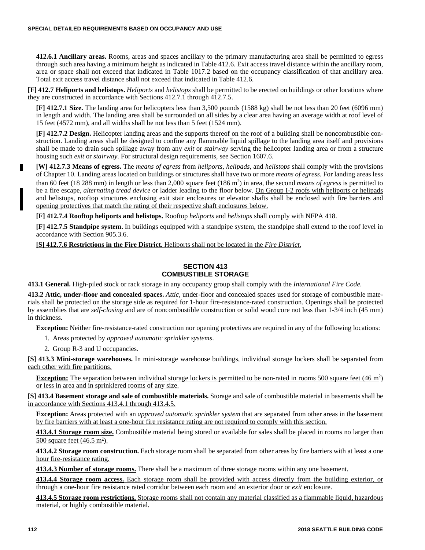**412.6.1 Ancillary areas.** Rooms, areas and spaces ancillary to the primary manufacturing area shall be permitted to egress through such area having a minimum height as indicated in Table 412.6. Exit access travel distance within the ancillary room, area or space shall not exceed that indicated in Table 1017.2 based on the occupancy classification of that ancillary area. Total exit access travel distance shall not exceed that indicated in Table 412.6.

**[F] 412.7 Heliports and helistops.** *Heliports* and *helistops* shall be permitted to be erected on buildings or other locations where they are constructed in accordance with Sections 412.7.1 through 412.7.5.

**[F] 412.7.1 Size.** The landing area for helicopters less than 3,500 pounds (1588 kg) shall be not less than 20 feet (6096 mm) in length and width. The landing area shall be surrounded on all sides by a clear area having an average width at roof level of 15 feet (4572 mm), and all widths shall be not less than 5 feet (1524 mm).

**[F] 412.7.2 Design.** Helicopter landing areas and the supports thereof on the roof of a building shall be noncombustible construction. Landing areas shall be designed to confine any flammable liquid spillage to the landing area itself and provisions shall be made to drain such spillage away from any *exit* or *stairway* serving the helicopter landing area or from a structure housing such *exit* or *stairway*. For structural design requirements, see Section 1607.6.

**[W] 412.7.3 Means of egress.** The *means of egress* from *heliports, helipads,* and *helistops* shall comply with the provisions of Chapter 10. Landing areas located on buildings or structures shall have two or more *means of egress.* For landing areas less than 60 feet (18 288 mm) in length or less than 2,000 square feet (186 m<sup>2</sup>) in area, the second *means of egress* is permitted to be a fire escape, *alternating tread device* or ladder leading to the floor below. On Group I-2 roofs with heliports or helipads and helistops, rooftop structures enclosing exit stair enclosures or elevator shafts shall be enclosed with fire barriers and opening protectives that match the rating of their respective shaft enclosures below.

**[F] 412.7.4 Rooftop heliports and helistops.** Rooftop *heliports* and *helistops* shall comply with NFPA 418.

**[F] 412.7.5 Standpipe system.** In buildings equipped with a standpipe system, the standpipe shall extend to the roof level in accordance with Section 905.3.6.

**[S] 412.7.6 Restrictions in the Fire District.** Heliports shall not be located in the *Fire District*.

#### **SECTION 413 COMBUSTIBLE STORAGE**

**413.1 General.** High-piled stock or rack storage in any occupancy group shall comply with the *International Fire Code*.

**413.2 Attic, under-floor and concealed spaces.** *Attic*, under-floor and concealed spaces used for storage of combustible materials shall be protected on the storage side as required for 1-hour fire-resistance-rated construction. Openings shall be protected by assemblies that are *self-closing* and are of noncombustible construction or solid wood core not less than 1-3/4 inch (45 mm) in thickness.

**Exception:** Neither fire-resistance-rated construction nor opening protectives are required in any of the following locations:

- 1. Areas protected by *approved automatic sprinkler systems*.
- 2. Group R-3 and U occupancies.

**[S] 413.3 Mini-storage warehouses.** In mini-storage warehouse buildings, individual storage lockers shall be separated from each other with fire partitions.

**Exception:** The separation between individual storage lockers is permitted to be non-rated in rooms 500 square feet (46 m<sup>2</sup>) or less in area and in sprinklered rooms of any size.

**[S] 413.4 Basement storage and sale of combustible materials.** Storage and sale of combustible material in basements shall be in accordance with Sections 413.4.1 through 413.4.5.

**Exception:** Areas protected with an *approved automatic sprinkler system* that are separated from other areas in the basement by fire barriers with at least a one-hour fire resistance rating are not required to comply with this section.

**413.4.1 Storage room size.** Combustible material being stored or available for sales shall be placed in rooms no larger than 500 square feet  $(46.5 \text{ m}^2)$ .

**413.4.2 Storage room construction.** Each storage room shall be separated from other areas by fire barriers with at least a one hour fire-resistance rating.

**413.4.3 Number of storage rooms.** There shall be a maximum of three storage rooms within any one basement.

**413.4.4 Storage room access.** Each storage room shall be provided with access directly from the building exterior, or through a one-hour fire resistance rated corridor between each room and an exterior door or *exit* enclosure.

**413.4.5 Storage room restrictions.** Storage rooms shall not contain any material classified as a flammable liquid, hazardous material, or highly combustible material.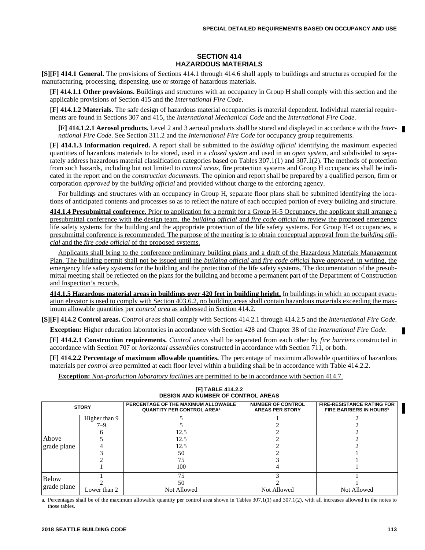# **SECTION 414 HAZARDOUS MATERIALS**

**[S][F] 414.1 General.** The provisions of Sections 414.1 through 414.6 shall apply to buildings and structures occupied for the manufacturing, processing, dispensing, use or storage of hazardous materials.

**[F] 414.1.1 Other provisions.** Buildings and structures with an occupancy in Group H shall comply with this section and the applicable provisions of Section 415 and the *International Fire Code*.

**[F] 414.1.2 Materials.** The safe design of hazardous material occupancies is material dependent. Individual material requirements are found in Sections 307 and 415, the *International Mechanical Code* and the *International Fire Code*.

**[F] 414.1.2.1 Aerosol products.** Level 2 and 3 aerosol products shall be stored and displayed in accordance with the *International Fire Code*. See Section 311.2 and the *International Fire Code* for occupancy group requirements.

**[F] 414.1.3 Information required.** A report shall be submitted to the *building official* identifying the maximum expected quantities of hazardous materials to be stored, used in a *closed system* and used in an *open system*, and subdivided to separately address hazardous material classification categories based on Tables 307.1(1) and 307.1(2). The methods of protection from such hazards, including but not limited to *control areas*, fire protection systems and Group H occupancies shall be indicated in the report and on the *construction documents*. The opinion and report shall be prepared by a qualified person, firm or corporation *approved* by the *building official* and provided without charge to the enforcing agency.

For buildings and structures with an occupancy in Group H, separate floor plans shall be submitted identifying the locations of anticipated contents and processes so as to reflect the nature of each occupied portion of every building and structure.

**414.1.4 Presubmittal conference.** Prior to application for a permit for a Group H-5 Occupancy, the applicant shall arrange a presubmittal conference with the design team, the *building official* and *fire code official* to review the proposed emergency life safety systems for the building and the appropriate protection of the life safety systems. For Group H-4 occupancies, a presubmittal conference is recommended. The purpose of the meeting is to obtain conceptual approval from the *building official* and the *fire code official* of the proposed systems.

Applicants shall bring to the conference preliminary building plans and a draft of the Hazardous Materials Management Plan. The building permit shall not be issued until the *building official* and *fire code official* have *approved*, in writing, the emergency life safety systems for the building and the protection of the life safety systems. The documentation of the presubmittal meeting shall be reflected on the plans for the building and become a permanent part of the Department of Construction and Inspection's records.

**414.1.5 Hazardous material areas in buildings over 420 feet in building height.** In buildings in which an occupant evacuation elevator is used to comply with Section 403.6.2, no building areas shall contain hazardous materials exceeding the maximum allowable quantities per *control area* as addressed in Section 414.2.

**[S][F] 414.2 Control areas.** *Control areas* shall comply with Sections 414.2.1 through 414.2.5 and the *International Fire Code*.

**Exception:** Higher education laboratories in accordance with Section 428 and Chapter 38 of the *International Fire Code*.

**[F] 414.2.1 Construction requirements.** *Control areas* shall be separated from each other by *fire barriers* constructed in accordance with Section 707 or *horizontal assemblies* constructed in accordance with Section 711, or both.

**[F] 414.2.2 Percentage of maximum allowable quantities.** The percentage of maximum allowable quantities of hazardous materials per *control area* permitted at each floor level within a building shall be in accordance with Table 414.2.2.

**Exception:** *Non-production laboratory facilities* are permitted to be in accordance with Section 414.7.

| <b>PLUIDIT AND NUMBLIT OF UDITITUL ANLAU</b> |               |                                                                                     |                                                    |                                                                    |  |
|----------------------------------------------|---------------|-------------------------------------------------------------------------------------|----------------------------------------------------|--------------------------------------------------------------------|--|
|                                              | <b>STORY</b>  | PERCENTAGE OF THE MAXIMUM ALLOWABLE<br><b>QUANTITY PER CONTROL AREA<sup>®</sup></b> | <b>NUMBER OF CONTROL</b><br><b>AREAS PER STORY</b> | <b>FIRE-RESISTANCE RATING FOR</b><br><b>FIRE BARRIERS IN HOURS</b> |  |
|                                              | Higher than 9 |                                                                                     |                                                    |                                                                    |  |
|                                              | 7–9           |                                                                                     |                                                    |                                                                    |  |
|                                              |               | 12.5                                                                                |                                                    |                                                                    |  |
| Above                                        |               | 12.5                                                                                |                                                    |                                                                    |  |
| grade plane                                  |               | 12.5                                                                                |                                                    |                                                                    |  |
|                                              |               | 50                                                                                  |                                                    |                                                                    |  |
|                                              |               |                                                                                     |                                                    |                                                                    |  |
|                                              |               | 100                                                                                 |                                                    |                                                                    |  |
| <b>Below</b>                                 |               | 75                                                                                  |                                                    |                                                                    |  |
|                                              |               | 50                                                                                  |                                                    |                                                                    |  |
| grade plane                                  | Lower than 2  | Not Allowed                                                                         | Not Allowed                                        | Not Allowed                                                        |  |

**[F] TABLE 414.2.2 DESIGN AND NUMBER OF CONTROL AREAS** 

a. Percentages shall be of the maximum allowable quantity per control area shown in Tables 307.1(1) and 307.1(2), with all increases allowed in the notes to those tables.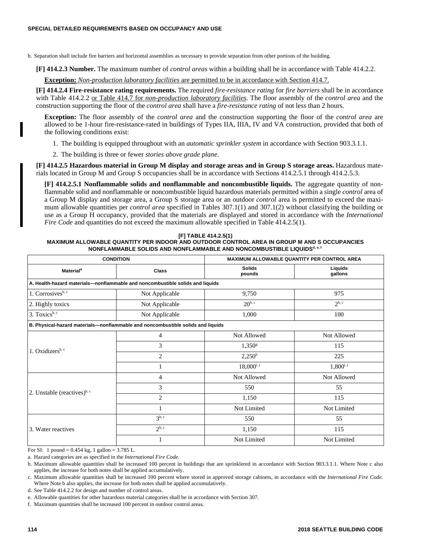b. Separation shall include fire barriers and horizontal assemblies as necessary to provide separation from other portions of the building.

**[F] 414.2.3 Number.** The maximum number of *control areas* within a building shall be in accordance with Table 414.2.2.

**Exception:** *Non-production laboratory facilities* are permitted to be in accordance with Section 414.7.

**[F] 414.2.4 Fire-resistance rating requirements.** The required *fire-resistance rating* for *fire barriers* shall be in accordance with Table 414.2.2 or Table 414.7 for *non-production laboratory facilities*. The floor assembly of the *control area* and the construction supporting the floor of the *control area* shall have a *fire-resistance rating* of not less than 2 hours.

**Exception:** The floor assembly of the *control area* and the construction supporting the floor of the *control area* are allowed to be 1-hour fire-resistance-rated in buildings of Types IIA, IIIA, IV and VA construction, provided that both of the following conditions exist:

1. The building is equipped throughout with an *automatic sprinkler system* in accordance with Section 903.3.1.1.

2. The building is three or fewer *stories above grade plane*.

**[F] 414.2.5 Hazardous material in Group M display and storage areas and in Group S storage areas.** Hazardous materials located in Group M and Group S occupancies shall be in accordance with Sections 414.2.5.1 through 414.2.5.3.

**[F] 414.2.5.1 Nonflammable solids and nonflammable and noncombustible liquids.** The aggregate quantity of nonflammable solid and nonflammable or noncombustible liquid hazardous materials permitted within a single *control* area of a Group M display and storage area, a Group S storage area or an outdoor *control* area is permitted to exceed the maximum allowable quantities per *control area* specified in Tables 307.1(1) and 307.1(2) without classifying the building or use as a Group H occupancy, provided that the materials are displayed and stored in accordance with the *International Fire Code* and quantities do not exceed the maximum allowable specified in Table 414.2.5(1).

| [F] TABLE 414.2.5(1)                                                                        |
|---------------------------------------------------------------------------------------------|
| MAXIMUM ALLOWABLE QUANTITY PER INDOOR AND OUTDOOR CONTROL AREA IN GROUP M AND S OCCUPANCIES |
| NONFLAMMABLE SOLIDS AND NONFLAMMABLE AND NONCOMBUSTIBLE LIQUIDS <sup>d, e, f</sup>          |

| <b>CONDITION</b>               |                                                                                 | <b>MAXIMUM ALLOWABLE QUANTITY PER CONTROL AREA</b> |                             |  |
|--------------------------------|---------------------------------------------------------------------------------|----------------------------------------------------|-----------------------------|--|
| <b>Material<sup>a</sup></b>    | Class                                                                           | <b>Solids</b><br>pounds                            | Liquids<br>gallons          |  |
|                                | A. Health-hazard materials-nonflammable and noncombustible solids and liquids   |                                                    |                             |  |
| 1. Corrosives <sup>b, c</sup>  | Not Applicable                                                                  | 9,750                                              | 975                         |  |
| 2. Highly toxics               | Not Applicable                                                                  | $20^{b, c}$                                        | $2^{\mathrm{b},\mathrm{c}}$ |  |
| 3. Toxics $b, c$               | Not Applicable                                                                  | 1,000                                              | 100                         |  |
|                                | B. Physical-hazard materials-nonflammable and noncombustible solids and liquids |                                                    |                             |  |
|                                | $\overline{4}$                                                                  | Not Allowed                                        | Not Allowed                 |  |
| 1. Oxidizers <sup>b, c</sup>   | 3                                                                               | $1,350^{\rm g}$                                    | 115                         |  |
|                                | $\overline{2}$                                                                  | $2,250^h$                                          | 225                         |  |
|                                |                                                                                 | $18,000^{i,j}$                                     | $1,800^{i,j}$               |  |
|                                | 4                                                                               | Not Allowed                                        | Not Allowed                 |  |
| 2. Unstable (reactives) $b, c$ | 3                                                                               | 550                                                | 55                          |  |
|                                | 2                                                                               | 1,150                                              | 115                         |  |
|                                |                                                                                 | Not Limited                                        | Not Limited                 |  |
|                                | 3 <sup>b, c</sup>                                                               | 550                                                | 55                          |  |
| 3. Water reactives             | $2^{b, c}$                                                                      | 1,150                                              | 115                         |  |
|                                | 1                                                                               | Not Limited                                        | Not Limited                 |  |

For SI: 1 pound =  $0.454$  kg, 1 gallon =  $3.785$  L.

a. Hazard categories are as specified in the *International Fire Code.*

c. Maximum allowable quantities shall be increased 100 percent where stored in approved storage cabinets, in accordance with the *International Fire Code*. Where Note b also applies, the increase for both notes shall be applied accumulatively.

d. See Table 414.2.2 for design and number of control areas.

e. Allowable quantities for other hazardous material categories shall be in accordance with Section 307.

f. Maximum quantities shall be increased 100 percent in outdoor control areas.

b. Maximum allowable quantities shall be increased 100 percent in buildings that are sprinklered in accordance with Section 903.3.1.1. Where Note c also applies, the increase for both notes shall be applied accumulatively.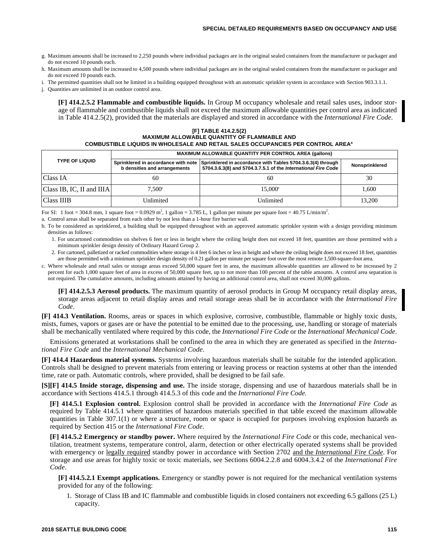- g. Maximum amounts shall be increased to 2,250 pounds where individual packages are in the original sealed containers from the manufacturer or packager and do not exceed 10 pounds each.
- h. Maximum amounts shall be increased to 4,500 pounds where individual packages are in the original sealed containers from the manufacturer or packager and do not exceed 10 pounds each.
- i. The permitted quantities shall not be limited in a building equipped throughout with an automatic sprinkler system in accordance with Section 903.3.1.1.
- j. Quantities are unlimited in an outdoor control area.

**[F] 414.2.5.2 Flammable and combustible liquids.** In Group M occupancy wholesale and retail sales uses, indoor storage of flammable and combustible liquids shall not exceed the maximum allowable quantities per control area as indicated in Table 414.2.5(2), provided that the materials are displayed and stored in accordance with the *International Fire Code*.

**[F] TABLE 414.2.5(2) MAXIMUM ALLOWABLE QUANTITY OF FLAMMABLE AND COMBUSTIBLE LIQUIDS IN WHOLESALE AND RETAIL SALES OCCUPANCIES PER CONTROL AREA<sup>a</sup>**

|                           | <b>MAXIMUM ALLOWABLE QUANTITY PER CONTROL AREA (gallons)</b>                                                                    |                  |        |  |  |  |
|---------------------------|---------------------------------------------------------------------------------------------------------------------------------|------------------|--------|--|--|--|
| <b>TYPE OF LIQUID</b>     | Sprinklered in accordance with note Sprinklered in accordance with Tables 5704.3.6.3(4) through<br>b densities and arrangements | Nonsprinklered   |        |  |  |  |
| Class IA                  | 60                                                                                                                              | 60               | 30     |  |  |  |
| Class IB, IC, II and IIIA | 7.500 <sup>c</sup>                                                                                                              | $15,000^{\circ}$ | 1.600  |  |  |  |
| <b>Class IIIB</b>         | Unlimited                                                                                                                       | Unlimited        | 13.200 |  |  |  |

For SI: 1 foot = 304.8 mm, 1 square foot = 0.0929 m<sup>2</sup>, 1 gallon = 3.785 L, 1 gallon per minute per square foot = 40.75 L/min/m<sup>2</sup>.

a. Control areas shall be separated from each other by not less than a 1-hour fire barrier wall.

b. To be considered as sprinklered, a building shall be equipped throughout with an approved automatic sprinkler system with a design providing minimum densities as follows:

1. For uncartoned commodities on shelves 6 feet or less in height where the ceiling height does not exceed 18 feet, quantities are those permitted with a minimum sprinkler design density of Ordinary Hazard Group 2.

2. For cartoned, palletized or racked commodities where storage is 4 feet 6 inches or less in height and where the ceiling height does not exceed 18 feet, quantities are those permitted with a minimum sprinkler design density of 0.21 gallon per minute per square foot over the most remote 1,500-square-foot area.

c. Where wholesale and retail sales or storage areas exceed 50,000 square feet in area, the maximum allowable quantities are allowed to be increased by  $2$ percent for each 1,000 square feet of area in excess of 50,000 square feet, up to not more than 100 percent of the table amounts. A control area separation is not required. The cumulative amounts, including amounts attained by having an additional control area, shall not exceed 30,000 gallons.

**[F] 414.2.5.3 Aerosol products.** The maximum quantity of aerosol products in Group M occupancy retail display areas, storage areas adjacent to retail display areas and retail storage areas shall be in accordance with the *International Fire Code*.

**[F] 414.3 Ventilation.** Rooms, areas or spaces in which explosive, corrosive, combustible, flammable or highly toxic dusts, mists, fumes, vapors or gases are or have the potential to be emitted due to the processing, use, handling or storage of materials shall be mechanically ventilated where required by this code, the *International Fire Code* or the *International Mechanical Code*.

Emissions generated at workstations shall be confined to the area in which they are generated as specified in the *International Fire Code* and the *International Mechanical Code*.

**[F] 414.4 Hazardous material systems.** Systems involving hazardous materials shall be suitable for the intended application. Controls shall be designed to prevent materials from entering or leaving process or reaction systems at other than the intended time, rate or path. Automatic controls, where provided, shall be designed to be fail safe.

**[S][F] 414.5 Inside storage, dispensing and use.** The inside storage, dispensing and use of hazardous materials shall be in accordance with Sections 414.5.1 through 414.5.3 of this code and the *International Fire Code.*

**[F] 414.5.1 Explosion control.** Explosion control shall be provided in accordance with the *International Fire Code* as required by Table 414.5.1 where quantities of hazardous materials specified in that table exceed the maximum allowable quantities in Table 307.1(1) or where a structure, room or space is occupied for purposes involving explosion hazards as required by Section 415 or the *International Fire Code*.

**[F] 414.5.2 Emergency or standby power.** Where required by the *International Fire Code* or this code, mechanical ventilation, treatment systems, temperature control, alarm, detection or other electrically operated systems shall be provided with emergency or legally required standby power in accordance with Section 2702 and the *International Fire Code*. For storage and use areas for highly toxic or toxic materials, see Sections 6004.2.2.8 and 6004.3.4.2 of the *International Fire Code*.

**[F] 414.5.2.1 Exempt applications.** Emergency or standby power is not required for the mechanical ventilation systems provided for any of the following:

1. Storage of Class IB and IC flammable and combustible liquids in closed containers not exceeding 6.5 gallons (25 L) capacity.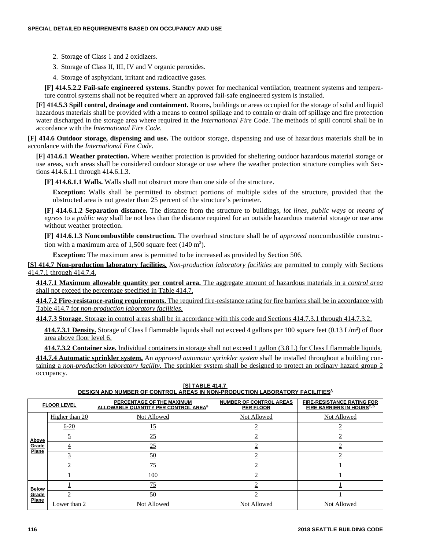- 2. Storage of Class 1 and 2 oxidizers.
- 3. Storage of Class II, III, IV and V organic peroxides.
- 4. Storage of asphyxiant, irritant and radioactive gases.

**[F] 414.5.2.2 Fail-safe engineered systems.** Standby power for mechanical ventilation, treatment systems and temperature control systems shall not be required where an approved fail-safe engineered system is installed.

**[F] 414.5.3 Spill control, drainage and containment.** Rooms, buildings or areas occupied for the storage of solid and liquid hazardous materials shall be provided with a means to control spillage and to contain or drain off spillage and fire protection water discharged in the storage area where required in the *International Fire Code*. The methods of spill control shall be in accordance with the *International Fire Code*.

**[F] 414.6 Outdoor storage, dispensing and use.** The outdoor storage, dispensing and use of hazardous materials shall be in accordance with the *International Fire Code*.

**[F] 414.6.1 Weather protection.** Where weather protection is provided for sheltering outdoor hazardous material storage or use areas, such areas shall be considered outdoor storage or use where the weather protection structure complies with Sections 414.6.1.1 through 414.6.1.3.

**[F] 414.6.1.1 Walls.** Walls shall not obstruct more than one side of the structure.

**Exception:** Walls shall be permitted to obstruct portions of multiple sides of the structure, provided that the obstructed area is not greater than 25 percent of the structure's perimeter.

**[F] 414.6.1.2 Separation distance.** The distance from the structure to buildings, *lot lines*, *public ways* or *means of egress* to a *public way* shall be not less than the distance required for an outside hazardous material storage or use area without weather protection.

**[F] 414.6.1.3 Noncombustible construction.** The overhead structure shall be of *approved* noncombustible construction with a maximum area of  $1,500$  square feet  $(140 \text{ m}^2)$ .

**Exception:** The maximum area is permitted to be increased as provided by Section 506.

**[S] 414.7 Non-production laboratory facilities.** *Non-production laboratory facilities* are permitted to comply with Sections 414.7.1 through 414.7.4.

**414.7.1 Maximum allowable quantity per control area.** The aggregate amount of hazardous materials in a *control area* shall not exceed the percentage specified in Table 414.7.

**414.7.2 Fire-resistance-rating requirements.** The required fire-resistance rating for fire barriers shall be in accordance with Table 414.7 for *non-production laboratory facilities*.

**414.7.3 Storage.** Storage in control areas shall be in accordance with this code and Sections 414.7.3.1 through 414.7.3.2.

**414.7.3.1 Density.** Storage of Class I flammable liquids shall not exceed 4 gallons per 100 square feet  $(0.13 \text{ L/m}^2)$  of floor area above floor level 6.

**414.7.3.2 Container size.** Individual containers in storage shall not exceed 1 gallon (3.8 L) for Class I flammable liquids.

**414.7.4 Automatic sprinkler system.** An *approved automatic sprinkler system* shall be installed throughout a building containing a *non-production laboratory facility*. The sprinkler system shall be designed to protect an ordinary hazard group 2 occupancy.

**FLOOR LEVEL PERCENTAGE OF THE MAXIMUM ALLOWABLE QUANTITY PER CONTROL AREA<sup>B</sup> NUMBER OF CONTROL AREAS PER FLOOR FIRE-RESISTANCE RATING FOR FIRE BARRIERS IN HOURSC, D Above Grade Plane** Higher than 20 Not Allowed Not Allowed Not Allowed Not Allowed Not Allowed  $\frac{6-20}{2}$  2 5 25 2 2 4 25 2 2  $\frac{3}{2}$  2 2 2  $\overline{15}$  2  $\overline{1}$  1  $\frac{1}{1}$  100 2 1 **Below Grade Plane**  $\frac{1}{2}$  1 2  $\begin{array}{|c|c|c|c|c|}\n\hline\n2 & 1 & 1\n\end{array}$ Lower than 2 Not Allowed Not Allowed Not Allowed Not Allowed Not Allowed

**[S] TABLE 414.7 DESIGN AND NUMBER OF CONTROL AREAS IN NON-PRODUCTION LABORATORY FACILITIES<sup>A</sup>**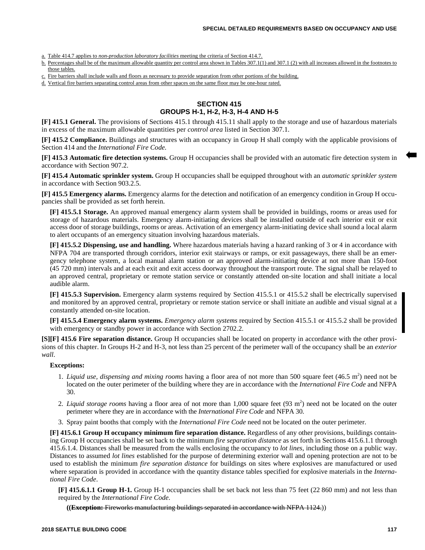a. Table 414.7 applies to *non-production laboratory facilities* meeting the criteria of Section 414.7.

- b. Percentages shall be of the maximum allowable quantity per control area shown in Tables 307.1(1) and 307.1 (2) with all increases allowed in the footnotes to those tables.
- c. Fire barriers shall include walls and floors as necessary to provide separation from other portions of the building.
- d. Vertical fire barriers separating control areas from other spaces on the same floor may be one-hour rated.

#### **SECTION 415 GROUPS H-1, H-2, H-3, H-4 AND H-5**

**[F] 415.1 General.** The provisions of Sections 415.1 through 415.11 shall apply to the storage and use of hazardous materials in excess of the maximum allowable quantities per *control area* listed in Section 307.1.

**[F] 415.2 Compliance.** Buildings and structures with an occupancy in Group H shall comply with the applicable provisions of Section 414 and the *International Fire Code.*

**[F] 415.3 Automatic fire detection systems.** Group H occupancies shall be provided with an automatic fire detection system in accordance with Section 907.2.

**[F] 415.4 Automatic sprinkler system.** Group H occupancies shall be equipped throughout with an *automatic sprinkler system* in accordance with Section 903.2.5.

**[F] 415.5 Emergency alarms.** Emergency alarms for the detection and notification of an emergency condition in Group H occupancies shall be provided as set forth herein.

**[F] 415.5.1 Storage.** An approved manual emergency alarm system shall be provided in buildings, rooms or areas used for storage of hazardous materials. Emergency alarm-initiating devices shall be installed outside of each interior exit or exit access door of storage buildings, rooms or areas. Activation of an emergency alarm-initiating device shall sound a local alarm to alert occupants of an emergency situation involving hazardous materials.

**[F] 415.5.2 Dispensing, use and handling.** Where hazardous materials having a hazard ranking of 3 or 4 in accordance with NFPA 704 are transported through corridors, interior exit stairways or ramps, or exit passageways, there shall be an emergency telephone system, a local manual alarm station or an approved alarm-initiating device at not more than 150-foot (45 720 mm) intervals and at each exit and exit access doorway throughout the transport route. The signal shall be relayed to an approved central, proprietary or remote station service or constantly attended on-site location and shall initiate a local audible alarm.

**[F] 415.5.3 Supervision.** Emergency alarm systems required by Section 415.5.1 or 415.5.2 shall be electrically supervised and monitored by an approved central, proprietary or remote station service or shall initiate an audible and visual signal at a constantly attended on-site location.

**[F] 415.5.4 Emergency alarm systems.** *Emergency alarm systems* required by Section 415.5.1 or 415.5.2 shall be provided with emergency or standby power in accordance with Section 2702.2.

**[S][F] 415.6 Fire separation distance.** Group H occupancies shall be located on property in accordance with the other provisions of this chapter. In Groups H-2 and H-3, not less than 25 percent of the perimeter wall of the occupancy shall be an *exterior wall*.

#### **Exceptions:**

- 1. *Liquid use, dispensing and mixing rooms* having a floor area of not more than 500 square feet (46.5 m<sup>2</sup>) need not be located on the outer perimeter of the building where they are in accordance with the *International Fire Code* and NFPA 30.
- 2. *Liquid storage rooms* having a floor area of not more than 1,000 square feet (93 m<sup>2</sup>) need not be located on the outer perimeter where they are in accordance with the *International Fire Code* and NFPA 30.
- 3. Spray paint booths that comply with the *International Fire Code* need not be located on the outer perimeter.

**[F] 415.6.1 Group H occupancy minimum fire separation distance.** Regardless of any other provisions, buildings containing Group H occupancies shall be set back to the minimum *fire separation distance* as set forth in Sections 415.6.1.1 through 415.6.1.4. Distances shall be measured from the walls enclosing the occupancy to *lot lines,* including those on a public way. Distances to assumed *lot lines* established for the purpose of determining exterior wall and opening protection are not to be used to establish the minimum *fire separation distance* for buildings on sites where explosives are manufactured or used where separation is provided in accordance with the quantity distance tables specified for explosive materials in the *International Fire Code*.

**[F] 415.6.1.1 Group H-1.** Group H-1 occupancies shall be set back not less than 75 feet (22 860 mm) and not less than required by the *International Fire Code*.

**((Exception:** Fireworks manufacturing buildings separated in accordance with NFPA 1124.))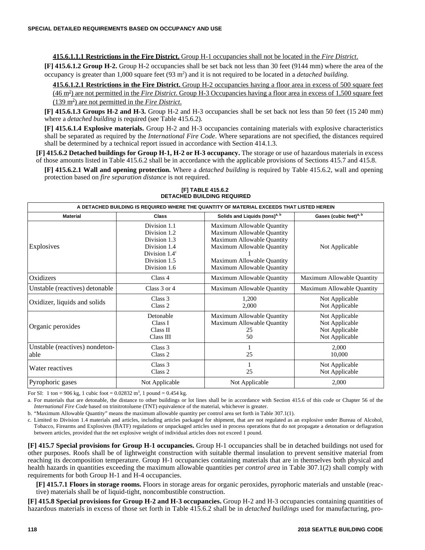**415.6.1.1.1 Restrictions in the Fire District.** Group H-1 occupancies shall not be located in the *Fire District*.

**[F] 415.6.1.2 Group H-2.** Group H-2 occupancies shall be set back not less than 30 feet (9144 mm) where the area of the occupancy is greater than  $1,000$  square feet  $(93 \text{ m}^2)$  and it is not required to be located in a *detached building*.

**415.6.1.2.1 Restrictions in the Fire District.** Group H-2 occupancies having a floor area in excess of 500 square feet (46 m<sup>2</sup>) are not permitted in the *Fire District*. Group H-3 Occupancies having a floor area in excess of 1,500 square feet  $(139 \text{ m}^2)$  are not permitted in the *Fire District*.

**[F] 415.6.1.3 Groups H-2 and H-3.** Group H-2 and H-3 occupancies shall be set back not less than 50 feet (15 240 mm) where a *detached building* is required (see Table 415.6.2).

**[F] 415.6.1.4 Explosive materials.** Group H-2 and H-3 occupancies containing materials with explosive characteristics shall be separated as required by the *International Fire Code*. Where separations are not specified, the distances required shall be determined by a technical report issued in accordance with Section 414.1.3.

**[F] 415.6.2 Detached buildings for Group H-1, H-2 or H-3 occupancy.** The storage or use of hazardous materials in excess of those amounts listed in Table 415.6.2 shall be in accordance with the applicable provisions of Sections 415.7 and 415.8.

**[F] 415.6.2.1 Wall and opening protection.** Where a *detached building* is required by Table 415.6.2, wall and opening protection based on *fire separation distance* is not required.

| A DETACHED BUILDING IS REQUIRED WHERE THE QUANTITY OF MATERIAL EXCEEDS THAT LISTED HEREIN |                                                                                                                        |                                                                                                                                                                                  |                                                                      |  |  |
|-------------------------------------------------------------------------------------------|------------------------------------------------------------------------------------------------------------------------|----------------------------------------------------------------------------------------------------------------------------------------------------------------------------------|----------------------------------------------------------------------|--|--|
| <b>Material</b>                                                                           | Class                                                                                                                  | Solids and Liquids (tons) <sup>a, b</sup>                                                                                                                                        | Gases (cubic feet) <sup>a, b</sup>                                   |  |  |
| Explosives                                                                                | Division 1.1<br>Division 1.2<br>Division 1.3<br>Division 1.4<br>Division $1.4^{\circ}$<br>Division 1.5<br>Division 1.6 | Maximum Allowable Quantity<br>Maximum Allowable Quantity<br>Maximum Allowable Quantity<br>Maximum Allowable Quantity<br>Maximum Allowable Quantity<br>Maximum Allowable Quantity | Not Applicable                                                       |  |  |
| Oxidizers                                                                                 | Class 4                                                                                                                | Maximum Allowable Quantity                                                                                                                                                       | Maximum Allowable Quantity                                           |  |  |
| Unstable (reactives) detonable                                                            | Class 3 or 4                                                                                                           | Maximum Allowable Quantity                                                                                                                                                       | Maximum Allowable Quantity                                           |  |  |
| Oxidizer, liquids and solids                                                              | Class 3<br>Class 2                                                                                                     | 1,200<br>2,000                                                                                                                                                                   | Not Applicable<br>Not Applicable                                     |  |  |
| Organic peroxides                                                                         | Detonable<br>Class I<br>Class II<br>Class III                                                                          | Maximum Allowable Quantity<br>Maximum Allowable Quantity<br>25<br>50                                                                                                             | Not Applicable<br>Not Applicable<br>Not Applicable<br>Not Applicable |  |  |
| Unstable (reactives) nondeton-<br>able                                                    | Class 3<br>Class 2                                                                                                     | 25                                                                                                                                                                               | 2,000<br>10,000                                                      |  |  |
| Water reactives                                                                           | Class 3<br>Class 2                                                                                                     | 25                                                                                                                                                                               | Not Applicable<br>Not Applicable                                     |  |  |
| Pyrophoric gases                                                                          | Not Applicable                                                                                                         | Not Applicable                                                                                                                                                                   | 2,000                                                                |  |  |

**[F] TABLE 415.6.2 DETACHED BUILDING REQUIRED** 

For SI: 1 ton = 906 kg, 1 cubic foot =  $0.02832 \text{ m}^3$ , 1 pound =  $0.454 \text{ kg}$ .

a. For materials that are detonable, the distance to other buildings or lot lines shall be in accordance with Section 415.6 of this code or Chapter 56 of the *International Fire Code* based on trinitrotoluene (TNT) equivalence of the material, whichever is greater.

b. "Maximum Allowable Quantity" means the maximum allowable quantity per control area set forth in Table 307.1(1).

c. Limited to Division 1.4 materials and articles, including articles packaged for shipment, that are not regulated as an explosive under Bureau of Alcohol, Tobacco, Firearms and Explosives (BATF) regulations or unpackaged articles used in process operations that do not propagate a detonation or deflagration between articles, provided that the net explosive weight of individual articles does not exceed 1 pound.

**[F] 415.7 Special provisions for Group H-1 occupancies.** Group H-1 occupancies shall be in detached buildings not used for other purposes. Roofs shall be of lightweight construction with suitable thermal insulation to prevent sensitive material from reaching its decomposition temperature. Group H-1 occupancies containing materials that are in themselves both physical and health hazards in quantities exceeding the maximum allowable quantities per *control area* in Table 307.1(2) shall comply with requirements for both Group H-1 and H-4 occupancies.

**[F] 415.7.1 Floors in storage rooms.** Floors in storage areas for organic peroxides, pyrophoric materials and unstable (reactive) materials shall be of liquid-tight, noncombustible construction.

**[F] 415.8 Special provisions for Group H-2 and H-3 occupancies.** Group H-2 and H-3 occupancies containing quantities of hazardous materials in excess of those set forth in Table 415.6.2 shall be in *detached buildings* used for manufacturing, pro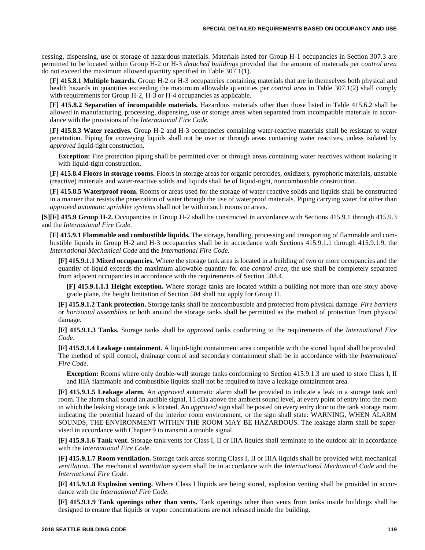cessing, dispensing, use or storage of hazardous materials. Materials listed for Group H-1 occupancies in Section 307.3 are permitted to be located within Group H-2 or H-3 *detached buildings* provided that the amount of materials per *control area* do not exceed the maximum allowed quantity specified in Table 307.1(1).

**[F] 415.8.1 Multiple hazards.** Group H-2 or H-3 occupancies containing materials that are in themselves both physical and health hazards in quantities exceeding the maximum allowable quantities per *control area* in Table 307.1(2) shall comply with requirements for Group H-2, H-3 or H-4 occupancies as applicable.

**[F] 415.8.2 Separation of incompatible materials.** Hazardous materials other than those listed in Table 415.6.2 shall be allowed in manufacturing, processing, dispensing, use or storage areas when separated from incompatible materials in accordance with the provisions of the *International Fire Code.*

**[F] 415.8.3 Water reactives.** Group H-2 and H-3 occupancies containing water-reactive materials shall be resistant to water penetration. Piping for conveying liquids shall not be over or through areas containing water reactives, unless isolated by *approved* liquid-tight construction.

**Exception:** Fire protection piping shall be permitted over or through areas containing water reactives without isolating it with liquid-tight construction.

**[F] 415.8.4 Floors in storage rooms.** Floors in storage areas for organic peroxides, oxidizers, pyrophoric materials, unstable (reactive) materials and water-reactive solids and liquids shall be of liquid-tight, noncombustible construction.

**[F] 415.8.5 Waterproof room.** Rooms or areas used for the storage of water-reactive solids and liquids shall be constructed in a manner that resists the penetration of water through the use of waterproof materials. Piping carrying water for other than *approved automatic sprinkler systems* shall not be within such rooms or areas.

**[S][F] 415.9 Group H-2.** Occupancies in Group H-2 shall be constructed in accordance with Sections 415.9.1 through 415.9.3 and the *International Fire Code*.

**[F] 415.9.1 Flammable and combustible liquids.** The storage, handling, processing and transporting of flammable and combustible liquids in Group H-2 and H-3 occupancies shall be in accordance with Sections 415.9.1.1 through 415.9.1.9, the *International Mechanical Code* and the *International Fire Code*.

**[F] 415.9.1.1 Mixed occupancies.** Where the storage tank area is located in a building of two or more occupancies and the quantity of liquid exceeds the maximum allowable quantity for one *control area*, the use shall be completely separated from adjacent occupancies in accordance with the requirements of Section 508.4.

**[F] 415.9.1.1.1 Height exception.** Where storage tanks are located within a building not more than one story above grade plane, the height limitation of Section 504 shall not apply for Group H.

**[F] 415.9.1.2 Tank protection.** Storage tanks shall be noncombustible and protected from physical damage. *Fire barriers* or *horizontal assemblies* or both around the storage tanks shall be permitted as the method of protection from physical damage.

**[F] 415.9.1.3 Tanks.** Storage tanks shall be *approved* tanks conforming to the requirements of the *International Fire Code*.

**[F] 415.9.1.4 Leakage containment.** A liquid-tight containment area compatible with the stored liquid shall be provided. The method of spill control, drainage control and secondary containment shall be in accordance with the *International Fire Code*.

**Exception:** Rooms where only double-wall storage tanks conforming to Section 415.9.1.3 are used to store Class I, II and IIIA flammable and combustible liquids shall not be required to have a leakage containment area.

**[F] 415.9.1.5 Leakage alarm.** An *approved* automatic alarm shall be provided to indicate a leak in a storage tank and room. The alarm shall sound an audible signal, 15 dBa above the ambient sound level, at every point of entry into the room in which the leaking storage tank is located. An *approved* sign shall be posted on every entry door to the tank storage room indicating the potential hazard of the interior room environment, or the sign shall state: WARNING, WHEN ALARM SOUNDS, THE ENVIRONMENT WITHIN THE ROOM MAY BE HAZARDOUS. The leakage alarm shall be supervised in accordance with Chapter 9 to transmit a trouble signal.

**[F] 415.9.1.6 Tank vent.** Storage tank vents for Class I, II or IIIA liquids shall terminate to the outdoor air in accordance with the *International Fire Code*.

**[F] 415.9.1.7 Room ventilation.** Storage tank areas storing Class I, II or IIIA liquids shall be provided with mechanical *ventilation*. The mechanical *ventilation* system shall be in accordance with the *International Mechanical Code* and the *International Fire Code*.

**[F] 415.9.1.8 Explosion venting.** Where Class I liquids are being stored, explosion venting shall be provided in accordance with the *International Fire Code*.

**[F] 415.9.1.9 Tank openings other than vents.** Tank openings other than vents from tanks inside buildings shall be designed to ensure that liquids or vapor concentrations are not released inside the building.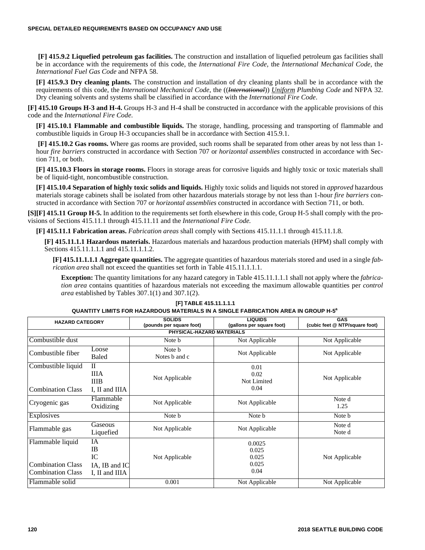**[F] 415.9.2 Liquefied petroleum gas facilities.** The construction and installation of liquefied petroleum gas facilities shall be in accordance with the requirements of this code, the *International Fire Code,* the *International Mechanical Code*, the *International Fuel Gas Code* and NFPA 58.

**[F] 415.9.3 Dry cleaning plants.** The construction and installation of dry cleaning plants shall be in accordance with the requirements of this code, the *International Mechanical Code*, the ((*International*)) *Uniform Plumbing Code* and NFPA 32. Dry cleaning solvents and systems shall be classified in accordance with the *International Fire Code*.

**[F] 415.10 Groups H-3 and H-4.** Groups H-3 and H-4 shall be constructed in accordance with the applicable provisions of this code and the *International Fire Code*.

**[F] 415.10.1 Flammable and combustible liquids.** The storage, handling, processing and transporting of flammable and combustible liquids in Group H-3 occupancies shall be in accordance with Section 415.9.1.

 **[F] 415.10.2 Gas rooms.** Where gas rooms are provided, such rooms shall be separated from other areas by not less than 1 hour *fire barriers* constructed in accordance with Section 707 or *horizontal assemblies* constructed in accordance with Section 711, or both.

**[F] 415.10.3 Floors in storage rooms.** Floors in storage areas for corrosive liquids and highly toxic or toxic materials shall be of liquid-tight, noncombustible construction.

**[F] 415.10.4 Separation of highly toxic solids and liquids.** Highly toxic solids and liquids not stored in *approved* hazardous materials storage cabinets shall be isolated from other hazardous materials storage by not less than 1-hour *fire barriers* constructed in accordance with Section 707 or *horizontal assemblies* constructed in accordance with Section 711, or both.

**[S][F] 415.11 Group H-5.** In addition to the requirements set forth elsewhere in this code, Group H-5 shall comply with the provisions of Sections 415.11.1 through 415.11.11 and the *International Fire Code.*

**[F] 415.11.1 Fabrication areas.** *Fabrication areas* shall comply with Sections 415.11.1.1 through 415.11.1.8.

**[F] 415.11.1.1 Hazardous materials.** Hazardous materials and hazardous production materials (HPM) shall comply with Sections 415.11.1.1.1 and 415.11.1.1.2.

**[F] 415.11.1.1.1 Aggregate quantities.** The aggregate quantities of hazardous materials stored and used in a single *fabrication area* shall not exceed the quantities set forth in Table 415.11.1.1.1.1.

**Exception:** The quantity limitations for any hazard category in Table 415.11.1.1.1 shall not apply where the *fabrication area* contains quantities of hazardous materials not exceeding the maximum allowable quantities per *control area* established by Tables 307.1(1) and 307.1(2).

| <b>HAZARD CATEGORY</b>                                                   |                                                              | <b>SOLIDS</b><br>(pounds per square foot) | <b>LIQUIDS</b><br>(gallons per square foot) | GAS<br>(cubic feet @ NTP/square foot) |
|--------------------------------------------------------------------------|--------------------------------------------------------------|-------------------------------------------|---------------------------------------------|---------------------------------------|
|                                                                          |                                                              | PHYSICAL-HAZARD MATERIALS                 |                                             |                                       |
| Combustible dust                                                         |                                                              | Note b                                    | Not Applicable                              | Not Applicable                        |
| Combustible fiber                                                        | Loose<br><b>Baled</b>                                        | Note b<br>Notes b and c                   | Not Applicable                              | Not Applicable                        |
| Combustible liquid<br><b>Combination Class</b>                           | $\mathbf{I}$<br><b>IIIA</b><br><b>IIIB</b><br>I, II and IIIA | Not Applicable                            | 0.01<br>0.02<br>Not Limited<br>0.04         | Not Applicable                        |
| Cryogenic gas                                                            | Flammable<br>Oxidizing                                       | Not Applicable                            | Not Applicable                              | Note d<br>1.25                        |
| Explosives                                                               |                                                              | Note b                                    | Note b                                      | Note b                                |
| Flammable gas                                                            | Gaseous<br>Liquefied                                         | Not Applicable                            | Not Applicable                              | Note d<br>Note d                      |
| Flammable liquid<br><b>Combination Class</b><br><b>Combination Class</b> | IA<br><b>IB</b><br>IC<br>IA, IB and IC<br>I, II and IIIA     | Not Applicable                            | 0.0025<br>0.025<br>0.025<br>0.025<br>0.04   | Not Applicable                        |
| Flammable solid                                                          |                                                              | 0.001                                     | Not Applicable                              | Not Applicable                        |

**[F] TABLE 415.11.1.1.1 QUANTITY LIMITS FOR HAZARDOUS MATERIALS IN A SINGLE FABRICATION AREA IN GROUP H-5<sup>a</sup>**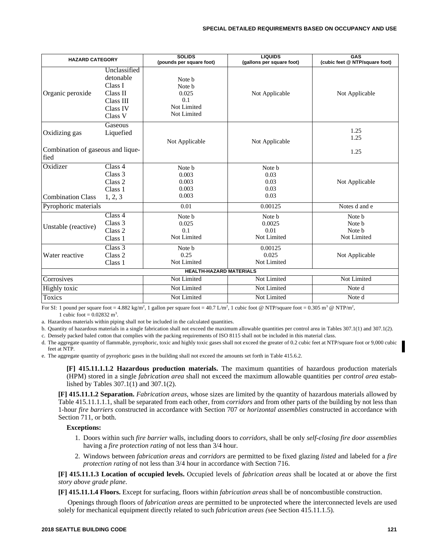| <b>HAZARD CATEGORY</b>                                     |                                                                                      | <b>SOLIDS</b><br>(pounds per square foot)                      | <b>LIQUIDS</b><br>(gallons per square foot) | <b>GAS</b><br>(cubic feet @ NTP/square foot) |
|------------------------------------------------------------|--------------------------------------------------------------------------------------|----------------------------------------------------------------|---------------------------------------------|----------------------------------------------|
| Organic peroxide                                           | Unclassified<br>detonable<br>Class I<br>Class II<br>Class III<br>Class IV<br>Class V | Note b<br>Note b<br>0.025<br>0.1<br>Not Limited<br>Not Limited | Not Applicable                              | Not Applicable                               |
| Oxidizing gas<br>Combination of gaseous and lique-<br>fied | Gaseous<br>Liquefied                                                                 | Not Applicable                                                 | Not Applicable                              | 1.25<br>1.25<br>1.25                         |
| Oxidizer<br><b>Combination Class</b>                       | Class 4<br>Class 3<br>Class 2<br>Class 1<br>1, 2, 3                                  | Note b<br>0.003<br>0.003<br>0.003<br>0.003                     | Note b<br>0.03<br>0.03<br>0.03<br>0.03      | Not Applicable                               |
| Pyrophoric materials                                       |                                                                                      | 0.01                                                           | 0.00125                                     | Notes d and e                                |
| Unstable (reactive)                                        | Class 4<br>Class 3<br>Class 2<br>Class 1                                             | Note b<br>0.025<br>0.1<br>Not Limited                          | Note b<br>0.0025<br>0.01<br>Not Limited     | Note b<br>Note b<br>Note b<br>Not Limited    |
| Water reactive                                             | Class 3<br>Class 2<br>Class 1                                                        | Note b<br>0.25<br>Not Limited                                  | 0.00125<br>0.025<br>Not Limited             | Not Applicable                               |
|                                                            |                                                                                      | <b>HEALTH-HAZARD MATERIALS</b>                                 |                                             |                                              |
| Corrosives                                                 |                                                                                      | Not Limited                                                    | Not Limited                                 | Not Limited                                  |
| Highly toxic                                               |                                                                                      | Not Limited                                                    | Not Limited                                 | Note d                                       |
| <b>Toxics</b>                                              |                                                                                      | Not Limited                                                    | Not Limited                                 | Note d                                       |

For SI: 1 pound per square foot = 4.882 kg/m<sup>2</sup>, 1 gallon per square foot = 40.7 L/m<sup>2</sup>, 1 cubic foot @ NTP/square foot = 0.305 m<sup>3</sup> @ NTP/m<sup>2</sup>, 1 cubic foot =  $0.02832 \text{ m}^3$ .

a. Hazardous materials within piping shall not be included in the calculated quantities.

b. Quantity of hazardous materials in a single fabrication shall not exceed the maximum allowable quantities per control area in Tables 307.1(1) and 307.1(2).

c. Densely packed baled cotton that complies with the packing requirements of ISO 8115 shall not be included in this material class.

d. The aggregate quantity of flammable, pyrophoric, toxic and highly toxic gases shall not exceed the greater of 0.2 cubic feet at NTP/square foot or 9,000 cubic feet at NTP.

e. The aggregate quantity of pyrophoric gases in the building shall not exceed the amounts set forth in Table 415.6.2.

**[F] 415.11.1.1.2 Hazardous production materials.** The maximum quantities of hazardous production materials (HPM) stored in a single *fabrication area* shall not exceed the maximum allowable quantities per *control area* established by Tables 307.1(1) and 307.1(2).

**[F] 415.11.1.2 Separation.** *Fabrication areas*, whose sizes are limited by the quantity of hazardous materials allowed by Table 415.11.1.1.1, shall be separated from each other, from *corridors* and from other parts of the building by not less than 1-hour *fire barriers* constructed in accordance with Section 707 or *horizontal assemblies* constructed in accordance with Section 711, or both.

#### **Exceptions:**

- 1. Doors within such *fire barrier* walls, including doors to *corridors*, shall be only *self-closing fire door assemblies* having a *fire protection rating* of not less than 3/4 hour.
- 2. Windows between *fabrication areas* and *corridors* are permitted to be fixed glazing *listed* and labeled for a *fire protection rating* of not less than 3/4 hour in accordance with Section 716.

**[F] 415.11.1.3 Location of occupied levels.** Occupied levels of *fabrication areas* shall be located at or above the first *story above grade plane*.

**[F] 415.11.1.4 Floors.** Except for surfacing, floors within *fabrication areas* shall be of noncombustible construction.

Openings through floors of *fabrication areas* are permitted to be unprotected where the interconnected levels are used solely for mechanical equipment directly related to such *fabrication areas (*see Section 415.11.1.5).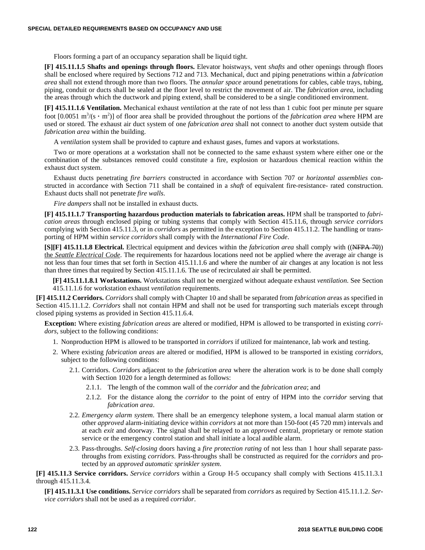Floors forming a part of an occupancy separation shall be liquid tight.

**[F] 415.11.1.5 Shafts and openings through floors.** Elevator hoistways, vent *shafts* and other openings through floors shall be enclosed where required by Sections 712 and 713. Mechanical, duct and piping penetrations within a *fabrication area* shall not extend through more than two floors. The *annular space* around penetrations for cables, cable trays, tubing, piping, conduit or ducts shall be sealed at the floor level to restrict the movement of air. The *fabrication area*, including the areas through which the ductwork and piping extend, shall be considered to be a single conditioned environment.

**[F] 415.11.1.6 Ventilation.** Mechanical exhaust *ventilation* at the rate of not less than 1 cubic foot per minute per square foot  $[0.0051 \text{ m}^3/(\text{s} \cdot \text{m}^2)]$  of floor area shall be provided throughout the portions of the *fabrication area* where HPM are used or stored. The exhaust air duct system of one *fabrication area* shall not connect to another duct system outside that *fabrication area* within the building.

A *ventilation* system shall be provided to capture and exhaust gases, fumes and vapors at workstations.

Two or more operations at a workstation shall not be connected to the same exhaust system where either one or the combination of the substances removed could constitute a fire, explosion or hazardous chemical reaction within the exhaust duct system.

Exhaust ducts penetrating *fire barriers* constructed in accordance with Section 707 or *horizontal assemblies* constructed in accordance with Section 711 shall be contained in a *shaft* of equivalent fire-resistance- rated construction. Exhaust ducts shall not penetrate *fire walls*.

*Fire dampers* shall not be installed in exhaust ducts.

**[F] 415.11.1.7 Transporting hazardous production materials to fabrication areas.** HPM shall be transported to *fabrication areas* through enclosed piping or tubing systems that comply with Section 415.11.6, through *service corridors* complying with Section 415.11.3, or in *corridors* as permitted in the exception to Section 415.11.2. The handling or transporting of HPM within *service corridors* shall comply with the *International Fire Code*.

**[S][F] 415.11.1.8 Electrical.** Electrical equipment and devices within the *fabrication area* shall comply with ((NFPA 70)) the *Seattle Electrical Code*. The requirements for hazardous locations need not be applied where the average air change is not less than four times that set forth in Section 415.11.1.6 and where the number of air changes at any location is not less than three times that required by Section 415.11.1.6. The use of recirculated air shall be permitted.

**[F] 415.11.1.8.1 Workstations.** Workstations shall not be energized without adequate exhaust *ventilation*. See Section 415.11.1.6 for workstation exhaust *ventilation* requirements.

**[F] 415.11.2 Corridors.** *Corridors* shall comply with Chapter 10 and shall be separated from *fabrication are*as as specified in Section 415.11.1.2. *Corridors* shall not contain HPM and shall not be used for transporting such materials except through closed piping systems as provided in Section 415.11.6.4.

**Exception:** Where existing *fabrication areas* are altered or modified, HPM is allowed to be transported in existing *corridors,* subject to the following conditions:

- 1. Nonproduction HPM is allowed to be transported in *corridors* if utilized for maintenance, lab work and testing.
- 2. Where existing *fabrication areas* are altered or modified, HPM is allowed to be transported in existing *corridors*, subject to the following conditions:
	- 2.1. Corridors. *Corridors* adjacent to the *fabrication area* where the alteration work is to be done shall comply with Section 1020 for a length determined as follows:
		- 2.1.1. The length of the common wall of the *corridor* and the *fabrication area*; and
		- 2.1.2. For the distance along the *corridor* to the point of entry of HPM into the *corridor* serving that *fabrication area*.
	- 2.2. *Emergency alarm system.* There shall be an emergency telephone system, a local manual alarm station or other *approved* alarm-initiating device within *corridors* at not more than 150-foot (45 720 mm) intervals and at each *exit* and doorway. The signal shall be relayed to an *approved* central, proprietary or remote station service or the emergency control station and shall initiate a local audible alarm.
	- 2.3. Pass-throughs. *Self-closing* doors having a *fire protection rating* of not less than 1 hour shall separate passthroughs from existing *corridors.* Pass-throughs shall be constructed as required for the *corridors* and protected by an *approved automatic sprinkler system.*

**[F] 415.11.3 Service corridors.** *Service corridors* within a Group H-5 occupancy shall comply with Sections 415.11.3.1 through 415.11.3.4.

**[F] 415.11.3.1 Use conditions.** *Service corridors* shall be separated from *corridors* as required by Section 415.11.1.2. *Service corridors* shall not be used as a required *corridor*.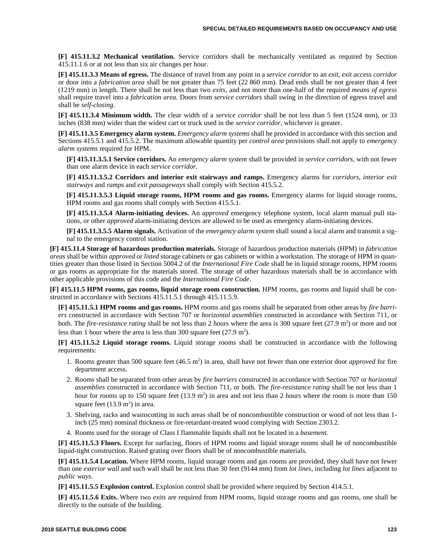**[F] 415.11.3.2 Mechanical ventilation.** Service corridors shall be mechanically ventilated as required by Section 415.11.1.6 or at not less than six air changes per hour.

**[F] 415.11.3.3 Means of egress.** The distance of travel from any point in a *service corridor* to an *exit*, *exit access corridor* or door into a *fabrication area* shall be not greater than 75 feet (22 860 mm). Dead ends shall be not greater than 4 feet (1219 mm) in length. There shall be not less than two *exits*, and not more than one-half of the required *means of egress* shall require travel into a *fabrication area*. Doors from *service corridors* shall swing in the direction of egress travel and shall be *self-closing*.

**[F] 415.11.3.4 Minimum width.** The clear width of a *service corridor* shall be not less than 5 feet (1524 mm), or 33 inches (838 mm) wider than the widest cart or truck used in the *service corridor*, whichever is greater.

**[F] 415.11.3.5 Emergency alarm system.** *Emergency alarm systems* shall be provided in accordance with this section and Sections 415.5.1 and 415.5.2. The maximum allowable quantity per *control area* provisions shall not apply to *emergency alarm systems* required for HPM.

**[F] 415.11.3.5.1 Service corridors.** An *emergency alarm system* shall be provided in *service corridors,* with not fewer than one alarm device in each *service corridor*.

**[F] 415.11.3.5.2 Corridors and interior exit stairways and ramps.** Emergency alarms for *corridors, interior exit stairways* and *ramps* and *exit passageways* shall comply with Section 415.5.2.

**[F] 415.11.3.5.3 Liquid storage rooms, HPM rooms and gas rooms.** Emergency alarms for liquid storage rooms, HPM rooms and gas rooms shall comply with Section 415.5.1.

**[F] 415.11.3.5.4 Alarm-initiating devices.** An *approved* emergency telephone system, local alarm manual pull stations, or other *approved* alarm-initiating devices are allowed to be used as emergency alarm-initiating devices.

**[F] 415.11.3.5.5 Alarm signals.** Activation of the *emergency alarm system* shall sound a local alarm and transmit a signal to the emergency control station.

**[F] 415.11.4 Storage of hazardous production materials.** Storage of hazardous production materials (HPM) in *fabrication areas* shall be within *approved* or *listed* storage cabinets or gas cabinets or within a workstation. The storage of HPM in quantities greater than those listed in Section 5004.2 of the *International Fire Code* shall be in liquid storage rooms, HPM rooms or gas rooms as appropriate for the materials stored. The storage of other hazardous materials shall be in accordance with other applicable provisions of this code and the *International Fire Code*.

**[F] 415.11.5 HPM rooms, gas rooms, liquid storage room construction.** HPM rooms, gas rooms and liquid shall be constructed in accordance with Sections 415.11.5.1 through 415.11.5.9.

**[F] 415.11.5.1 HPM rooms and gas rooms.** HPM rooms and gas rooms shall be separated from other areas by *fire barriers* constructed in accordance with Section 707 or *horizontal assemblies* constructed in accordance with Section 711, or both. The *fire-resistance rating* shall be not less than 2 hours where the area is 300 square feet (27.9 m<sup>2</sup>) or more and not less than 1 hour where the area is less than 300 square feet  $(27.9 \text{ m}^2)$ .

**[F] 415.11.5.2 Liquid storage rooms.** Liquid storage rooms shall be constructed in accordance with the following requirements:

- 1. Rooms greater than 500 square feet (46.5 m<sup>2</sup>) in area, shall have not fewer than one exterior door *approved* for fire department access.
- 2. Rooms shall be separated from other areas by *fire barriers* constructed in accordance with Section 707 or *horizontal assemblies* constructed in accordance with Section 711, or both. The *fire-resistance rating* shall be not less than 1 hour for rooms up to 150 square feet  $(13.9 \text{ m}^2)$  in area and not less than 2 hours where the room is more than 150 square feet  $(13.9 \text{ m}^2)$  in area.
- 3. Shelving, racks and wainscotting in such areas shall be of noncombustible construction or wood of not less than 1 inch (25 mm) nominal thickness or fire-retardant-treated wood complying with Section 2303.2.
- 4. Rooms used for the storage of Class I flammable liquids shall not be located in a *basement*.

**[F] 415.11.5.3 Floors.** Except for surfacing, floors of HPM rooms and liquid storage rooms shall be of noncombustible liquid-tight construction. Raised grating over floors shall be of noncombustible materials.

**[F] 415.11.5.4 Location.** Where HPM rooms, liquid storage rooms and gas rooms are provided, they shall have not fewer than one *exterior wall* and such wall shall be not less than 30 feet (9144 mm) from *lot lines*, including *lot lines* adjacent to *public ways*.

**[F] 415.11.5.5 Explosion control.** Explosion control shall be provided where required by Section 414.5.1.

**[F] 415.11.5.6 Exits.** Where two *exits* are required from HPM rooms, liquid storage rooms and gas rooms, one shall be directly to the outside of the building.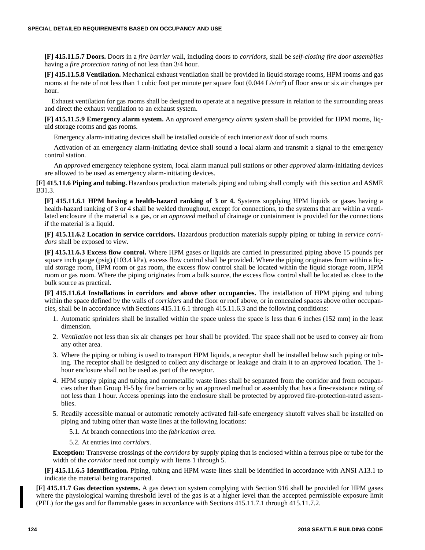**[F] 415.11.5.7 Doors.** Doors in a *fire barrier* wall, including doors to *corridors*, shall be *self-closing fire door assemblies* having a *fire protection rating* of not less than 3/4 hour.

**[F] 415.11.5.8 Ventilation.** Mechanical exhaust ventilation shall be provided in liquid storage rooms, HPM rooms and gas rooms at the rate of not less than 1 cubic foot per minute per square foot  $(0.044 \text{ L/s/m}^2)$  of floor area or six air changes per hour.

Exhaust ventilation for gas rooms shall be designed to operate at a negative pressure in relation to the surrounding areas and direct the exhaust ventilation to an exhaust system.

**[F] 415.11.5.9 Emergency alarm system.** An *approved emergency alarm system* shall be provided for HPM rooms, liquid storage rooms and gas rooms.

Emergency alarm-initiating devices shall be installed outside of each interior *exit* door of such rooms.

Activation of an emergency alarm-initiating device shall sound a local alarm and transmit a signal to the emergency control station.

An *approved* emergency telephone system, local alarm manual pull stations or other *approved* alarm-initiating devices are allowed to be used as emergency alarm-initiating devices.

**[F] 415.11.6 Piping and tubing.** Hazardous production materials piping and tubing shall comply with this section and ASME B31.3.

**[F] 415.11.6.1 HPM having a health-hazard ranking of 3 or 4.** Systems supplying HPM liquids or gases having a health-hazard ranking of 3 or 4 shall be welded throughout, except for connections, to the systems that are within a ventilated enclosure if the material is a gas, or an *approved* method of drainage or containment is provided for the connections if the material is a liquid.

**[F] 415.11.6.2 Location in service corridors.** Hazardous production materials supply piping or tubing in *service corridors* shall be exposed to view.

**[F] 415.11.6.3 Excess flow control.** Where HPM gases or liquids are carried in pressurized piping above 15 pounds per square inch gauge (psig) (103.4 kPa), excess flow control shall be provided. Where the piping originates from within a liquid storage room, HPM room or gas room, the excess flow control shall be located within the liquid storage room, HPM room or gas room. Where the piping originates from a bulk source, the excess flow control shall be located as close to the bulk source as practical.

**[F] 415.11.6.4 Installations in corridors and above other occupancies.** The installation of HPM piping and tubing within the space defined by the walls of *corridors* and the floor or roof above, or in concealed spaces above other occupancies, shall be in accordance with Sections 415.11.6.1 through 415.11.6.3 and the following conditions:

- 1. Automatic sprinklers shall be installed within the space unless the space is less than 6 inches (152 mm) in the least dimension.
- 2. *Ventilation* not less than six air changes per hour shall be provided. The space shall not be used to convey air from any other area.
- 3. Where the piping or tubing is used to transport HPM liquids, a receptor shall be installed below such piping or tubing. The receptor shall be designed to collect any discharge or leakage and drain it to an *approved* location. The 1 hour enclosure shall not be used as part of the receptor.
- 4. HPM supply piping and tubing and nonmetallic waste lines shall be separated from the corridor and from occupancies other than Group H-5 by fire barriers or by an approved method or assembly that has a fire-resistance rating of not less than 1 hour. Access openings into the enclosure shall be protected by approved fire-protection-rated assemblies.
- 5. Readily accessible manual or automatic remotely activated fail-safe emergency shutoff valves shall be installed on piping and tubing other than waste lines at the following locations:
	- 5.1. At branch connections into the *fabrication area*.
	- 5.2. At entries into *corridors*.

**Exception:** Transverse crossings of the *corridors* by supply piping that is enclosed within a ferrous pipe or tube for the width of the *corridor* need not comply with Items 1 through 5.

**[F] 415.11.6.5 Identification.** Piping, tubing and HPM waste lines shall be identified in accordance with ANSI A13.1 to indicate the material being transported.

**[F] 415.11.7 Gas detection systems.** A gas detection system complying with Section 916 shall be provided for HPM gases where the physiological warning threshold level of the gas is at a higher level than the accepted permissible exposure limit (PEL) for the gas and for flammable gases in accordance with Sections 415.11.7.1 through 415.11.7.2.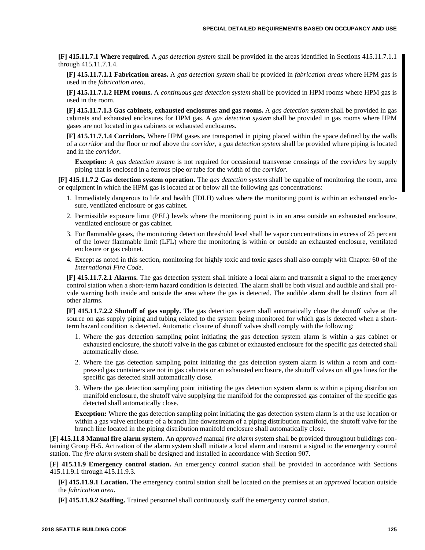**[F] 415.11.7.1 Where required.** A *gas detection system* shall be provided in the areas identified in Sections 415.11.7.1.1 through 415.11.7.1.4.

**[F] 415.11.7.1.1 Fabrication areas.** A *gas detection system* shall be provided in *fabrication areas* where HPM gas is used in the *fabrication area*.

**[F] 415.11.7.1.2 HPM rooms.** A *continuous gas detection system* shall be provided in HPM rooms where HPM gas is used in the room.

**[F] 415.11.7.1.3 Gas cabinets, exhausted enclosures and gas rooms.** A *gas detection system* shall be provided in gas cabinets and exhausted enclosures for HPM gas. A *gas detection system* shall be provided in gas rooms where HPM gases are not located in gas cabinets or exhausted enclosures.

**[F] 415.11.7.1.4 Corridors.** Where HPM gases are transported in piping placed within the space defined by the walls of a *corridor* and the floor or roof above the *corridor*, a *gas detection system* shall be provided where piping is located and in the *corridor*.

**Exception:** A *gas detection system* is not required for occasional transverse crossings of the *corridors* by supply piping that is enclosed in a ferrous pipe or tube for the width of the *corridor*.

**[F] 415.11.7.2 Gas detection system operation.** The *gas detection system* shall be capable of monitoring the room, area or equipment in which the HPM gas is located at or below all the following gas concentrations:

- 1. Immediately dangerous to life and health (IDLH) values where the monitoring point is within an exhausted enclosure, ventilated enclosure or gas cabinet.
- 2. Permissible exposure limit (PEL) levels where the monitoring point is in an area outside an exhausted enclosure, ventilated enclosure or gas cabinet.
- 3. For flammable gases, the monitoring detection threshold level shall be vapor concentrations in excess of 25 percent of the lower flammable limit (LFL) where the monitoring is within or outside an exhausted enclosure, ventilated enclosure or gas cabinet.
- 4. Except as noted in this section, monitoring for highly toxic and toxic gases shall also comply with Chapter 60 of the *International Fire Code*.

**[F] 415.11.7.2.1 Alarms.** The gas detection system shall initiate a local alarm and transmit a signal to the emergency control station when a short-term hazard condition is detected. The alarm shall be both visual and audible and shall provide warning both inside and outside the area where the gas is detected. The audible alarm shall be distinct from all other alarms.

**[F] 415.11.7.2.2 Shutoff of gas supply.** The gas detection system shall automatically close the shutoff valve at the source on gas supply piping and tubing related to the system being monitored for which gas is detected when a shortterm hazard condition is detected. Automatic closure of shutoff valves shall comply with the following:

- 1. Where the gas detection sampling point initiating the gas detection system alarm is within a gas cabinet or exhausted enclosure, the shutoff valve in the gas cabinet or exhausted enclosure for the specific gas detected shall automatically close.
- 2. Where the gas detection sampling point initiating the gas detection system alarm is within a room and compressed gas containers are not in gas cabinets or an exhausted enclosure, the shutoff valves on all gas lines for the specific gas detected shall automatically close.
- 3. Where the gas detection sampling point initiating the gas detection system alarm is within a piping distribution manifold enclosure, the shutoff valve supplying the manifold for the compressed gas container of the specific gas detected shall automatically close.

**Exception:** Where the gas detection sampling point initiating the gas detection system alarm is at the use location or within a gas valve enclosure of a branch line downstream of a piping distribution manifold, the shutoff valve for the branch line located in the piping distribution manifold enclosure shall automatically close.

**[F] 415.11.8 Manual fire alarm system.** An *approved* manual *fire alarm* system shall be provided throughout buildings containing Group H-5. Activation of the alarm system shall initiate a local alarm and transmit a signal to the emergency control station. The *fire alarm* system shall be designed and installed in accordance with Section 907.

**[F] 415.11.9 Emergency control station.** An emergency control station shall be provided in accordance with Sections 415.11.9.1 through 415.11.9.3.

**[F] 415.11.9.1 Location.** The emergency control station shall be located on the premises at an *approved* location outside the *fabrication area*.

**[F] 415.11.9.2 Staffing.** Trained personnel shall continuously staff the emergency control station.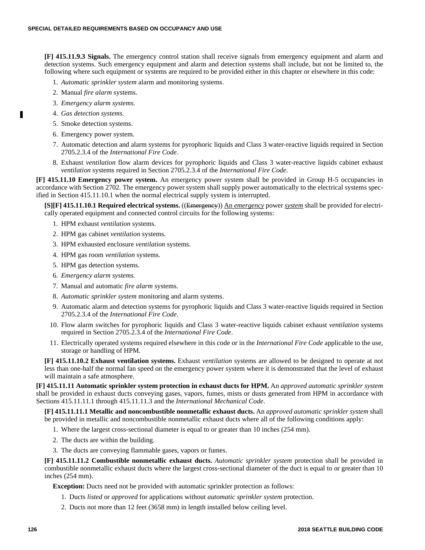**[F] 415.11.9.3 Signals.** The emergency control station shall receive signals from emergency equipment and alarm and detection systems. Such emergency equipment and alarm and detection systems shall include, but not be limited to, the following where such equipment or systems are required to be provided either in this chapter or elsewhere in this code:

- 1. *Automatic sprinkler system* alarm and monitoring systems.
- 2. Manual *fire alarm* systems.
- 3. *Emergency alarm systems.*
- 4. *Gas detection systems.*

H

- 5. Smoke detection systems.
- 6. Emergency power system.
- 7. Automatic detection and alarm systems for pyrophoric liquids and Class 3 water-reactive liquids required in Section 2705.2.3.4 of the *International Fire Code*.
- 8. Exhaust *ventilation* flow alarm devices for pyrophoric liquids and Class 3 water-reactive liquids cabinet exhaust *ventilation* systems required in Section 2705.2.3.4 of the *International Fire Code*.

**[F] 415.11.10 Emergency power system.** An emergency power system shall be provided in Group H-5 occupancies in accordance with Section 2702. The emergency power system shall supply power automatically to the electrical systems specified in Section 415.11.10.1 when the normal electrical supply system is interrupted.

**[S][F] 415.11.10.1 Required electrical systems.** ((Emergency)) An *emergency* power *system* shall be provided for electrically operated equipment and connected control circuits for the following systems:

- 1. HPM exhaust *ventilation* systems.
- 2. HPM gas cabinet *ventilation* systems.
- 3. HPM exhausted enclosure *ventilation* systems.
- 4. HPM gas room *ventilation* systems.
- 5. HPM gas detection systems.
- 6. *Emergency alarm systems.*
- 7. Manual and automatic *fire alarm* systems.
- 8. *Automatic sprinkler system* monitoring and alarm systems.
- 9. Automatic alarm and detection systems for pyrophoric liquids and Class 3 water-reactive liquids required in Section 2705.2.3.4 of the *International Fire Code*.
- 10. Flow alarm switches for pyrophoric liquids and Class 3 water-reactive liquids cabinet exhaust *ventilation* systems required in Section 2705.2.3.4 of the *International Fire Code*.
- 11. Electrically operated systems required elsewhere in this code or in the *International Fire Code* applicable to the use, storage or handling of HPM.

**[F] 415.11.10.2 Exhaust ventilation systems.** Exhaust *ventilation* systems are allowed to be designed to operate at not less than one-half the normal fan speed on the emergency power system where it is demonstrated that the level of exhaust will maintain a safe atmosphere.

**[F] 415.11.11 Automatic sprinkler system protection in exhaust ducts for HPM.** An *approved automatic sprinkler system* shall be provided in exhaust ducts conveying gases, vapors, fumes, mists or dusts generated from HPM in accordance with Sections 415.11.11.1 through 415.11.11.3 and the *International Mechanical Code*.

**[F] 415.11.11.1 Metallic and noncombustible nonmetallic exhaust ducts.** An *approved automatic sprinkler system* shall be provided in metallic and noncombustible nonmetallic exhaust ducts where all of the following conditions apply:

- 1. Where the largest cross-sectional diameter is equal to or greater than 10 inches (254 mm).
- 2. The ducts are within the building.
- 3. The ducts are conveying flammable gases, vapors or fumes.

**[F] 415.11.11.2 Combustible nonmetallic exhaust ducts.** *Automatic sprinkler system* protection shall be provided in combustible nonmetallic exhaust ducts where the largest cross-sectional diameter of the duct is equal to or greater than 10 inches (254 mm).

**Exception:** Ducts need not be provided with automatic sprinkler protection as follows:

- 1. Ducts *listed* or *approved* for applications without *automatic sprinkler system* protection.
- 2. Ducts not more than 12 feet (3658 mm) in length installed below ceiling level.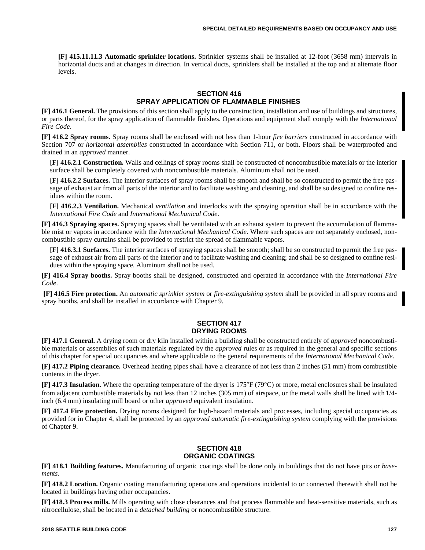**[F] 415.11.11.3 Automatic sprinkler locations.** Sprinkler systems shall be installed at 12-foot (3658 mm) intervals in horizontal ducts and at changes in direction. In vertical ducts, sprinklers shall be installed at the top and at alternate floor levels.

## **SECTION 416 SPRAY APPLICATION OF FLAMMABLE FINISHES**

**[F] 416.1 General.** The provisions of this section shall apply to the construction, installation and use of buildings and structures, or parts thereof, for the spray application of flammable finishes. Operations and equipment shall comply with the *International Fire Code*.

**[F] 416.2 Spray rooms.** Spray rooms shall be enclosed with not less than 1-hour *fire barriers* constructed in accordance with Section 707 or *horizontal assemblies* constructed in accordance with Section 711, or both. Floors shall be waterproofed and drained in an *approved* manner.

**[F] 416.2.1 Construction.** Walls and ceilings of spray rooms shall be constructed of noncombustible materials or the interior surface shall be completely covered with noncombustible materials. Aluminum shall not be used.

**[F] 416.2.2 Surfaces.** The interior surfaces of spray rooms shall be smooth and shall be so constructed to permit the free passage of exhaust air from all parts of the interior and to facilitate washing and cleaning, and shall be so designed to confine residues within the room.

**[F] 416.2.3 Ventilation.** Mechanical *ventilation* and interlocks with the spraying operation shall be in accordance with the *International Fire Code* and *International Mechanical Code*.

**[F] 416.3 Spraying spaces.** Spraying spaces shall be ventilated with an exhaust system to prevent the accumulation of flammable mist or vapors in accordance with the *International Mechanical Code*. Where such spaces are not separately enclosed, noncombustible spray curtains shall be provided to restrict the spread of flammable vapors.

**[F] 416.3.1 Surfaces.** The interior surfaces of spraying spaces shall be smooth; shall be so constructed to permit the free passage of exhaust air from all parts of the interior and to facilitate washing and cleaning; and shall be so designed to confine residues within the spraying space. Aluminum shall not be used.

**[F] 416.4 Spray booths.** Spray booths shall be designed, constructed and operated in accordance with the *International Fire Code*.

 **[F] 416.5 Fire protection.** An *automatic sprinkler system* or *fire-extinguishing system* shall be provided in all spray rooms and spray booths, and shall be installed in accordance with Chapter 9.

# **SECTION 417 DRYING ROOMS**

**[F] 417.1 General.** A drying room or dry kiln installed within a building shall be constructed entirely of *approved* noncombustible materials or assemblies of such materials regulated by the *approved* rules or as required in the general and specific sections of this chapter for special occupancies and where applicable to the general requirements of the *International Mechanical Code*.

**[F] 417.2 Piping clearance.** Overhead heating pipes shall have a clearance of not less than 2 inches (51 mm) from combustible contents in the dryer.

**[F] 417.3 Insulation.** Where the operating temperature of the dryer is 175°F (79°C) or more, metal enclosures shall be insulated from adjacent combustible materials by not less than 12 inches (305 mm) of airspace, or the metal walls shall be lined with 1/4 inch (6.4 mm) insulating mill board or other *approved* equivalent insulation.

**[F] 417.4 Fire protection.** Drying rooms designed for high-hazard materials and processes, including special occupancies as provided for in Chapter 4, shall be protected by an *approved automatic fire-extinguishing system* complying with the provisions of Chapter 9.

# **SECTION 418 ORGANIC COATINGS**

**[F] 418.1 Building features.** Manufacturing of organic coatings shall be done only in buildings that do not have pits or *basements.*

**[F] 418.2 Location.** Organic coating manufacturing operations and operations incidental to or connected therewith shall not be located in buildings having other occupancies.

**[F] 418.3 Process mills.** Mills operating with close clearances and that process flammable and heat-sensitive materials, such as nitrocellulose, shall be located in a *detached building* or noncombustible structure.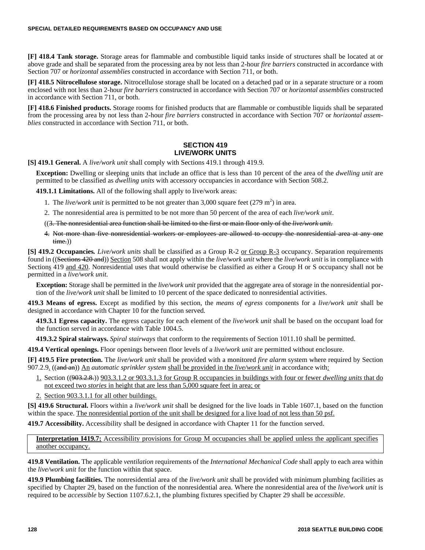**[F] 418.4 Tank storage.** Storage areas for flammable and combustible liquid tanks inside of structures shall be located at or above grade and shall be separated from the processing area by not less than 2-hour *fire barriers* constructed in accordance with Section 707 or *horizontal assemblies* constructed in accordance with Section 711, or both.

**[F] 418.5 Nitrocellulose storage.** Nitrocellulose storage shall be located on a detached pad or in a separate structure or a room enclosed with not less than 2-hour *fire barriers* constructed in accordance with Section 707 or *horizontal assemblies* constructed in accordance with Section 711, or both.

**[F] 418.6 Finished products.** Storage rooms for finished products that are flammable or combustible liquids shall be separated from the processing area by not less than 2-hour *fire barriers* constructed in accordance with Section 707 or *horizontal assemblies* constructed in accordance with Section 711, or both.

# **SECTION 419 LIVE/WORK UNITS**

**[S] 419.1 General.** A *live/work unit* shall comply with Sections 419.1 through 419.9.

**Exception:** Dwelling or sleeping units that include an office that is less than 10 percent of the area of the *dwelling unit* are permitted to be classified as *dwelling units* with accessory occupancies in accordance with Section 508.2.

**419.1.1 Limitations.** All of the following shall apply to live/work areas:

- 1. The *live/work unit* is permitted to be not greater than  $3,000$  square feet (279 m<sup>2</sup>) in area.
- 2. The nonresidential area is permitted to be not more than 50 percent of the area of each *live/work unit*.
- ((3. The nonresidential area function shall be limited to the first or main floor only of the *live/work unit*.
- 4. Not more than five nonresidential workers or employees are allowed to occupy the nonresidential area at any one time.))

**[S] 419.2 Occupancies***. Live/work units* shall be classified as a Group R-2 or Group R-3 occupancy. Separation requirements found in ((Sections 420 and)) Section 508 shall not apply within the *live/work unit* where the *live/work unit* is in compliance with Sections 419 and 420. Nonresidential uses that would otherwise be classified as either a Group H or S occupancy shall not be permitted in a *live/work unit*.

**Exception:** Storage shall be permitted in the *live/work unit* provided that the aggregate area of storage in the nonresidential portion of the *live/work unit* shall be limited to 10 percent of the space dedicated to nonresidential activities.

**419.3 Means of egress.** Except as modified by this section, the *means of egress* components for a *live/work unit* shall be designed in accordance with Chapter 10 for the function served.

**419.3.1 Egress capacity.** The egress capacity for each element of the *live/work unit* shall be based on the occupant load for the function served in accordance with Table 1004.5.

**419.3.2 Spiral stairways.** *Spiral stairways* that conform to the requirements of Section 1011.10 shall be permitted.

**419.4 Vertical openings.** Floor openings between floor levels of a *live/work unit* are permitted without enclosure.

**[F] 419.5 Fire protection.** The *live/work unit* shall be provided with a monitored *fire alarm* system where required by Section 907.2.9. ((and an)) An *automatic sprinkler system* shall be provided in the *live/work unit* in accordance with:

- 1. Section ((903.2.8.)) 903.3.1.2 or 903.3.1.3 for Group R occupancies in buildings with four or fewer *dwelling units* that do not exceed two *stories* in height that are less than 5,000 square feet in area; or
- 2. Section 903.3.1.1 for all other buildings.

**[S] 419.6 Structural.** Floors within a *live/work unit* shall be designed for the live loads in Table 1607.1, based on the function within the space. The nonresidential portion of the unit shall be designed for a live load of not less than 50 psf.

**419.7 Accessibility.** Accessibility shall be designed in accordance with Chapter 11 for the function served.

**Interpretation I419.7:** Accessibility provisions for Group M occupancies shall be applied unless the applicant specifies another occupancy.

**419.8 Ventilation.** The applicable *ventilation* requirements of the *International Mechanical Code* shall apply to each area within the *live/work unit* for the function within that space.

**419.9 Plumbing facilities.** The nonresidential area of the *live/work unit* shall be provided with minimum plumbing facilities as specified by Chapter 29, based on the function of the nonresidential area. Where the nonresidential area of the *live/work unit* is required to be *accessible* by Section 1107.6.2.1, the plumbing fixtures specified by Chapter 29 shall be *accessible*.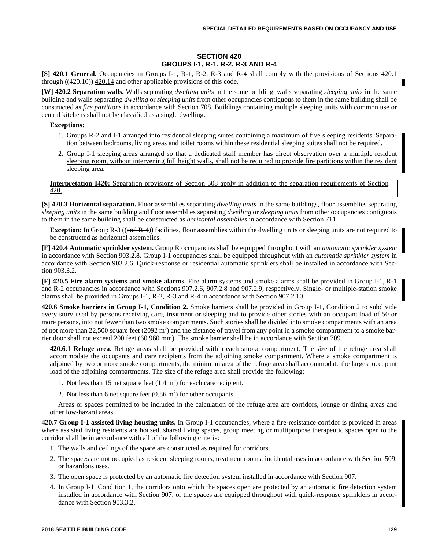# **SECTION 420 GROUPS I-1, R-1, R-2, R-3 AND R-4**

**[S] 420.1 General.** Occupancies in Groups I-1, R-1, R-2, R-3 and R-4 shall comply with the provisions of Sections 420.1 through  $((420.10))$  420.14 and other applicable provisions of this code.

**[W] 420.2 Separation walls.** Walls separating *dwelling units* in the same building, walls separating *sleeping units* in the same building and walls separating *dwelling* or *sleeping units* from other occupancies contiguous to them in the same building shall be constructed as *fire partitions* in accordance with Section 708. Buildings containing multiple sleeping units with common use or central kitchens shall not be classified as a single dwelling.

### **Exceptions:**

- 1. Groups R-2 and I-1 arranged into residential sleeping suites containing a maximum of five sleeping residents. Separation between bedrooms, living areas and toilet rooms within these residential sleeping suites shall not be required.
- 2. Group I-1 sleeping areas arranged so that a dedicated staff member has direct observation over a multiple resident sleeping room, without intervening full height walls, shall not be required to provide fire partitions within the resident sleeping area.

**Interpretation I420:** Separation provisions of Section 508 apply in addition to the separation requirements of Section 420.

**[S] 420.3 Horizontal separation.** Floor assemblies separating *dwelling units* in the same buildings, floor assemblies separating *sleeping units* in the same building and floor assemblies separating *dwelling* or *sleeping units* from other occupancies contiguous to them in the same building shall be constructed as *horizontal assemblies* in accordance with Section 711.

**Exception:** In Group R-3 ((and R-4)) facilities, floor assemblies within the dwelling units or sleeping units are not required to be constructed as horizontal assemblies.

**[F] 420.4 Automatic sprinkler system.** Group R occupancies shall be equipped throughout with an *automatic sprinkler system* in accordance with Section 903.2.8. Group I-1 occupancies shall be equipped throughout with an *automatic sprinkler system* in accordance with Section 903.2.6. Quick-response or residential automatic sprinklers shall be installed in accordance with Section 903.3.2.

**[F] 420.5 Fire alarm systems and smoke alarms.** Fire alarm systems and smoke alarms shall be provided in Group I-1, R-1 and R-2 occupancies in accordance with Sections 907.2.6, 907.2.8 and 907.2.9, respectively. Single- or multiple-station smoke alarms shall be provided in Groups I-1, R-2, R-3 and R-4 in accordance with Section 907.2.10.

**420.6 Smoke barriers in Group I-1, Condition 2.** Smoke barriers shall be provided in Group I-1, Condition 2 to subdivide every story used by persons receiving care, treatment or sleeping and to provide other stories with an occupant load of 50 or more persons, into not fewer than two smoke compartments. Such stories shall be divided into smoke compartments with an area of not more than  $22,500$  square feet  $(2092 \text{ m}^2)$  and the distance of travel from any point in a smoke compartment to a smoke barrier door shall not exceed 200 feet (60 960 mm). The smoke barrier shall be in accordance with Section 709.

**420.6.1 Refuge area.** Refuge areas shall be provided within each smoke compartment. The size of the refuge area shall accommodate the occupants and care recipients from the adjoining smoke compartment. Where a smoke compartment is adjoined by two or more smoke compartments, the minimum area of the refuge area shall accommodate the largest occupant load of the adjoining compartments. The size of the refuge area shall provide the following:

- 1. Not less than 15 net square feet  $(1.4 \text{ m}^2)$  for each care recipient.
- 2. Not less than 6 net square feet  $(0.56 \text{ m}^2)$  for other occupants.

Areas or spaces permitted to be included in the calculation of the refuge area are corridors, lounge or dining areas and other low-hazard areas.

**420.7 Group I-1 assisted living housing units.** In Group I-1 occupancies, where a fire-resistance corridor is provided in areas where assisted living residents are housed, shared living spaces, group meeting or multipurpose therapeutic spaces open to the corridor shall be in accordance with all of the following criteria:

- 1. The walls and ceilings of the space are constructed as required for corridors.
- 2. The spaces are not occupied as resident sleeping rooms, treatment rooms, incidental uses in accordance with Section 509, or hazardous uses.
- 3. The open space is protected by an automatic fire detection system installed in accordance with Section 907.
- 4. In Group I-1, Condition 1, the corridors onto which the spaces open are protected by an automatic fire detection system installed in accordance with Section 907, or the spaces are equipped throughout with quick-response sprinklers in accordance with Section 903.3.2.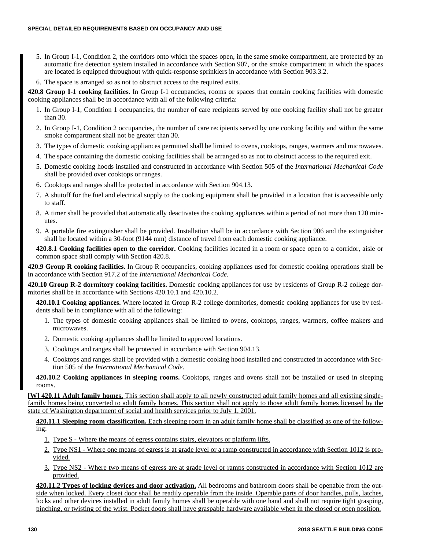- 5. In Group I-1, Condition 2, the corridors onto which the spaces open, in the same smoke compartment, are protected by an automatic fire detection system installed in accordance with Section 907, or the smoke compartment in which the spaces are located is equipped throughout with quick-response sprinklers in accordance with Section 903.3.2.
- 6. The space is arranged so as not to obstruct access to the required exits.

**420.8 Group I-1 cooking facilities.** In Group I-1 occupancies, rooms or spaces that contain cooking facilities with domestic cooking appliances shall be in accordance with all of the following criteria:

- 1. In Group I-1, Condition 1 occupancies, the number of care recipients served by one cooking facility shall not be greater than 30.
- 2. In Group I-1, Condition 2 occupancies, the number of care recipients served by one cooking facility and within the same smoke compartment shall not be greater than 30.
- 3. The types of domestic cooking appliances permitted shall be limited to ovens, cooktops, ranges, warmers and microwaves.
- 4. The space containing the domestic cooking facilities shall be arranged so as not to obstruct access to the required exit.
- 5. Domestic cooking hoods installed and constructed in accordance with Section 505 of the *International Mechanical Code* shall be provided over cooktops or ranges.
- 6. Cooktops and ranges shall be protected in accordance with Section 904.13.
- 7. A shutoff for the fuel and electrical supply to the cooking equipment shall be provided in a location that is accessible only to staff.
- 8. A timer shall be provided that automatically deactivates the cooking appliances within a period of not more than 120 minutes.
- 9. A portable fire extinguisher shall be provided. Installation shall be in accordance with Section 906 and the extinguisher shall be located within a 30-foot (9144 mm) distance of travel from each domestic cooking appliance.

**420.8.1 Cooking facilities open to the corridor.** Cooking facilities located in a room or space open to a corridor, aisle or common space shall comply with Section 420.8.

**420.9 Group R cooking facilities.** In Group R occupancies, cooking appliances used for domestic cooking operations shall be in accordance with Section 917.2 of the *International Mechanical Code.*

**420.10 Group R-2 dormitory cooking facilities.** Domestic cooking appliances for use by residents of Group R-2 college dormitories shall be in accordance with Sections 420.10.1 and 420.10.2.

**420.10.1 Cooking appliances.** Where located in Group R-2 college dormitories, domestic cooking appliances for use by residents shall be in compliance with all of the following:

- 1. The types of domestic cooking appliances shall be limited to ovens, cooktops, ranges, warmers, coffee makers and microwaves.
- 2. Domestic cooking appliances shall be limited to approved locations.
- 3. Cooktops and ranges shall be protected in accordance with Section 904.13.
- 4. Cooktops and ranges shall be provided with a domestic cooking hood installed and constructed in accordance with Section 505 of the *International Mechanical Code*.

**420.10.2 Cooking appliances in sleeping rooms.** Cooktops, ranges and ovens shall not be installed or used in sleeping rooms.

**[W] 420.11 Adult family homes.** This section shall apply to all newly constructed adult family homes and all existing singlefamily homes being converted to adult family homes. This section shall not apply to those adult family homes licensed by the state of Washington department of social and health services prior to July 1, 2001.

**420.11.1 Sleeping room classification.** Each sleeping room in an adult family home shall be classified as one of the following:

- 1. Type S Where the means of egress contains stairs, elevators or platform lifts.
- 2. Type NS1 Where one means of egress is at grade level or a ramp constructed in accordance with Section 1012 is provided.
- 3. Type NS2 Where two means of egress are at grade level or ramps constructed in accordance with Section 1012 are provided.

**420.11.2 Types of locking devices and door activation.** All bedrooms and bathroom doors shall be openable from the outside when locked. Every closet door shall be readily openable from the inside. Operable parts of door handles, pulls, latches, locks and other devices installed in adult family homes shall be operable with one hand and shall not require tight grasping, pinching, or twisting of the wrist. Pocket doors shall have graspable hardware available when in the closed or open position.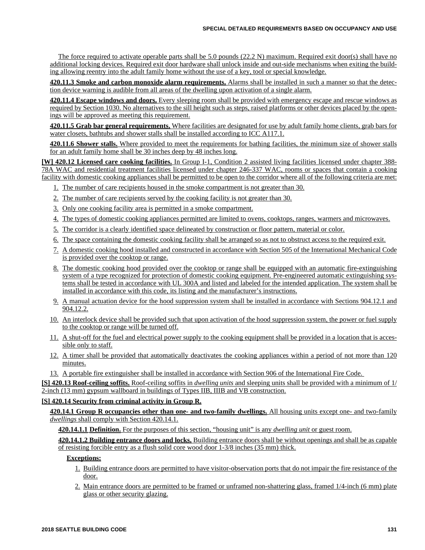The force required to activate operable parts shall be 5.0 pounds (22.2 N) maximum. Required exit door(s) shall have no additional locking devices. Required exit door hardware shall unlock inside and out-side mechanisms when exiting the building allowing reentry into the adult family home without the use of a key, tool or special knowledge.

**420.11.3 Smoke and carbon monoxide alarm requirements.** Alarms shall be installed in such a manner so that the detection device warning is audible from all areas of the dwelling upon activation of a single alarm.

**420.11.4 Escape windows and doors.** Every sleeping room shall be provided with emergency escape and rescue windows as required by Section 1030. No alternatives to the sill height such as steps, raised platforms or other devices placed by the openings will be approved as meeting this requirement.

**420.11.5 Grab bar general requirements.** Where facilities are designated for use by adult family home clients, grab bars for water closets, bathtubs and shower stalls shall be installed according to ICC A117.1.

**420.11.6 Shower stalls.** Where provided to meet the requirements for bathing facilities, the minimum size of shower stalls for an adult family home shall be 30 inches deep by 48 inches long.

**[W] 420.12 Licensed care cooking facilities.** In Group I-1, Condition 2 assisted living facilities licensed under chapter 388- 78A WAC and residential treatment facilities licensed under chapter 246-337 WAC, rooms or spaces that contain a cooking facility with domestic cooking appliances shall be permitted to be open to the corridor where all of the following criteria are met:

- 1. The number of care recipients housed in the smoke compartment is not greater than 30.
- 2. The number of care recipients served by the cooking facility is not greater than 30.
- 3. Only one cooking facility area is permitted in a smoke compartment.
- 4. The types of domestic cooking appliances permitted are limited to ovens, cooktops, ranges, warmers and microwaves.
- 5. The corridor is a clearly identified space delineated by construction or floor pattern, material or color.
- 6. The space containing the domestic cooking facility shall be arranged so as not to obstruct access to the required exit.
- 7. A domestic cooking hood installed and constructed in accordance with Section 505 of the International Mechanical Code is provided over the cooktop or range.
- 8. The domestic cooking hood provided over the cooktop or range shall be equipped with an automatic fire-extinguishing system of a type recognized for protection of domestic cooking equipment. Pre-engineered automatic extinguishing systems shall be tested in accordance with UL 300A and listed and labeled for the intended application. The system shall be installed in accordance with this code, its listing and the manufacturer's instructions.
- 9. A manual actuation device for the hood suppression system shall be installed in accordance with Sections 904.12.1 and 904.12.2.
- 10. An interlock device shall be provided such that upon activation of the hood suppression system, the power or fuel supply to the cooktop or range will be turned off.
- 11. A shut-off for the fuel and electrical power supply to the cooking equipment shall be provided in a location that is accessible only to staff.
- 12. A timer shall be provided that automatically deactivates the cooking appliances within a period of not more than 120 minutes.
- 13. A portable fire extinguisher shall be installed in accordance with Section 906 of the International Fire Code.

**[S] 420.13 Roof-ceiling soffits.** Roof-ceiling soffits in *dwelling units* and sleeping units shall be provided with a minimum of 1/ 2-inch (13 mm) gypsum wallboard in buildings of Types IIB, IIIB and VB construction.

#### **[S] 420.14 Security from criminal activity in Group R.**

**420.14.1 Group R occupancies other than one- and two-family dwellings.** All housing units except one- and two-family *dwellings* shall comply with Section 420.14.1.

**420.14.1.1 Definition.** For the purposes of this section, "housing unit" is any *dwelling unit* or guest room.

**420.14.1.2 Building entrance doors and locks.** Building entrance doors shall be without openings and shall be as capable of resisting forcible entry as a flush solid core wood door 1-3/8 inches (35 mm) thick.

# **Exceptions:**

- 1. Building entrance doors are permitted to have visitor-observation ports that do not impair the fire resistance of the door.
- 2. Main entrance doors are permitted to be framed or unframed non-shattering glass, framed 1/4-inch (6 mm) plate glass or other security glazing.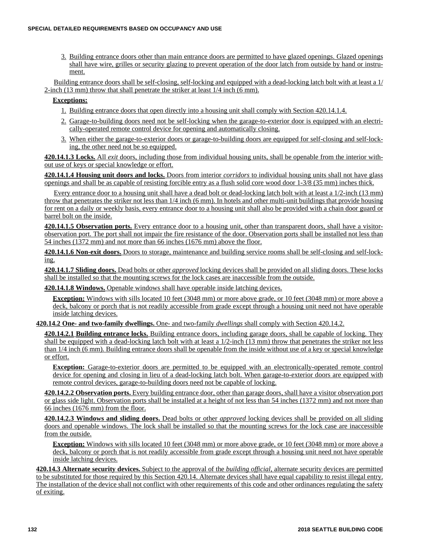3. Building entrance doors other than main entrance doors are permitted to have glazed openings. Glazed openings shall have wire, grilles or security glazing to prevent operation of the door latch from outside by hand or instrument.

Building entrance doors shall be self-closing, self-locking and equipped with a dead-locking latch bolt with at least a 1/ 2-inch (13 mm) throw that shall penetrate the striker at least 1/4 inch (6 mm).

# **Exceptions:**

- 1. Building entrance doors that open directly into a housing unit shall comply with Section 420.14.1.4.
- 2. Garage-to-building doors need not be self-locking when the garage-to-exterior door is equipped with an electrically-operated remote control device for opening and automatically closing.
- 3. When either the garage-to-exterior doors or garage-to-building doors are equipped for self-closing and self-locking, the other need not be so equipped.

**420.14.1.3 Locks.** All *exit* doors, including those from individual housing units, shall be openable from the interior without use of keys or special knowledge or effort.

**420.14.1.4 Housing unit doors and locks.** Doors from interior *corridors* to individual housing units shall not have glass openings and shall be as capable of resisting forcible entry as a flush solid core wood door 1-3/8 (35 mm) inches thick.

Every entrance door to a housing unit shall have a dead bolt or dead-locking latch bolt with at least a 1/2-inch (13 mm) throw that penetrates the striker not less than 1/4 inch (6 mm). In hotels and other multi-unit buildings that provide housing for rent on a daily or weekly basis, every entrance door to a housing unit shall also be provided with a chain door guard or barrel bolt on the inside.

**420.14.1.5 Observation ports.** Every entrance door to a housing unit, other than transparent doors, shall have a visitorobservation port. The port shall not impair the fire resistance of the door. Observation ports shall be installed not less than 54 inches (1372 mm) and not more than 66 inches (1676 mm) above the floor.

**420.14.1.6 Non-exit doors.** Doors to storage, maintenance and building service rooms shall be self-closing and self-locking.

**420.14.1.7 Sliding doors.** Dead bolts or other *approved* locking devices shall be provided on all sliding doors. These locks shall be installed so that the mounting screws for the lock cases are inaccessible from the outside.

**420.14.1.8 Windows.** Openable windows shall have operable inside latching devices.

**Exception:** Windows with sills located 10 feet (3048 mm) or more above grade, or 10 feet (3048 mm) or more above a deck, balcony or porch that is not readily accessible from grade except through a housing unit need not have operable inside latching devices.

**420.14.2 One- and two-family dwellings.** One- and two-family *dwellings* shall comply with Section 420.14.2.

**420.14.2.1 Building entrance locks.** Building entrance doors, including garage doors, shall be capable of locking. They shall be equipped with a dead-locking latch bolt with at least a  $1/2$ -inch  $(13 \text{ mm})$  throw that penetrates the striker not less than 1/4 inch (6 mm). Building entrance doors shall be openable from the inside without use of a key or special knowledge or effort.

**Exception:** Garage-to-exterior doors are permitted to be equipped with an electronically-operated remote control device for opening and closing in lieu of a dead-locking latch bolt. When garage-to-exterior doors are equipped with remote control devices, garage-to-building doors need not be capable of locking.

**420.14.2.2 Observation ports.** Every building entrance door, other than garage doors, shall have a visitor observation port or glass side light. Observation ports shall be installed at a height of not less than 54 inches (1372 mm) and not more than 66 inches (1676 mm) from the floor.

**420.14.2.3 Windows and sliding doors.** Dead bolts or other *approved* locking devices shall be provided on all sliding doors and openable windows. The lock shall be installed so that the mounting screws for the lock case are inaccessible from the outside.

**Exception:** Windows with sills located 10 feet (3048 mm) or more above grade, or 10 feet (3048 mm) or more above a deck, balcony or porch that is not readily accessible from grade except through a housing unit need not have operable inside latching devices.

**420.14.3 Alternate security devices.** Subject to the approval of the *building official*, alternate security devices are permitted to be substituted for those required by this Section 420.14. Alternate devices shall have equal capability to resist illegal entry. The installation of the device shall not conflict with other requirements of this code and other ordinances regulating the safety of exiting.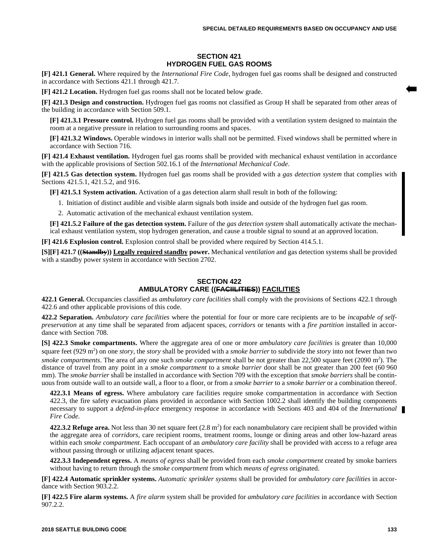# **SECTION 421 HYDROGEN FUEL GAS ROOMS**

**[F] 421.1 General.** Where required by the *International Fire Code*, hydrogen fuel gas rooms shall be designed and constructed in accordance with Sections 421.1 through 421.7.

**[F] 421.2 Location.** Hydrogen fuel gas rooms shall not be located below grade.

**[F] 421.3 Design and construction.** Hydrogen fuel gas rooms not classified as Group H shall be separated from other areas of the building in accordance with Section 509.1.

**[F] 421.3.1 Pressure control.** Hydrogen fuel gas rooms shall be provided with a ventilation system designed to maintain the room at a negative pressure in relation to surrounding rooms and spaces.

**[F] 421.3.2 Windows.** Operable windows in interior walls shall not be permitted. Fixed windows shall be permitted where in accordance with Section 716.

**[F] 421.4 Exhaust ventilation.** Hydrogen fuel gas rooms shall be provided with mechanical exhaust ventilation in accordance with the applicable provisions of Section 502.16.1 of the *International Mechanical Code*.

**[F] 421.5 Gas detection system.** Hydrogen fuel gas rooms shall be provided with a *gas detection system* that complies with Sections 421.5.1, 421.5.2, and 916.

**[F] 421.5.1 System activation.** Activation of a gas detection alarm shall result in both of the following:

1. Initiation of distinct audible and visible alarm signals both inside and outside of the hydrogen fuel gas room.

2. Automatic activation of the mechanical exhaust ventilation system.

**[F] 421.5.2 Failure of the gas detection system.** Failure of the *gas detection system* shall automatically activate the mechanical exhaust ventilation system, stop hydrogen generation, and cause a trouble signal to sound at an approved location.

**[F] 421.6 Explosion control.** Explosion control shall be provided where required by Section 414.5.1.

**[S][F] 421.7 ((Standby)) Legally required standby power.** Mechanical *ventilation* and gas detection systems shall be provided with a standby power system in accordance with Section 2702.

# **SECTION 422 AMBULATORY CARE ((FACIILITIES)) FACILITIES**

**422.1 General.** Occupancies classified as *ambulatory care facilities* shall comply with the provisions of Sections 422.1 through 422.6 and other applicable provisions of this code.

**422.2 Separation.** *Ambulatory care facilities* where the potential for four or more care recipients are to be *incapable of selfpreservation* at any time shall be separated from adjacent spaces, *corridors* or tenants with a *fire partition* installed in accordance with Section 708.

**[S] 422.3 Smoke compartments.** Where the aggregate area of one or more *ambulatory care facilities* is greater than 10,000 square feet (929 m<sup>2</sup>) on one *story*, the *story* shall be provided with a *smoke barrier* to subdivide the *story* into not fewer than two smoke compartments. The area of any one such *smoke compartment* shall be not greater than 22,500 square feet (2090 m<sup>2</sup>). The distance of travel from any point in a *smoke compartment* to a *smoke barrier* door shall be not greater than 200 feet (60 960 mm). The *smoke barrier* shall be installed in accordance with Section 709 with the exception that *smoke barriers* shall be continuous from outside wall to an outside wall, a floor to a floor, or from a *smoke barrier* to a *smoke barrier* or a combination thereof.

**422.3.1 Means of egress.** Where ambulatory care facilities require smoke compartmentation in accordance with Section 422.3, the fire safety evacuation plans provided in accordance with Section 1002.2 shall identify the building components necessary to support a *defend-in-place* emergency response in accordance with Sections 403 and 404 of the *International Fire Code.*

422.3.2 Refuge area. Not less than 30 net square feet (2.8 m<sup>2</sup>) for each nonambulatory care recipient shall be provided within the aggregate area of *corridors,* care recipient rooms, treatment rooms, lounge or dining areas and other low-hazard areas within each *smoke compartment.* Each occupant of an *ambulatory care facility* shall be provided with access to a refuge area without passing through or utilizing adjacent tenant spaces.

**422.3.3 Independent egress.** A *means of egress* shall be provided from each *smoke compartment* created by smoke barriers without having to return through the *smoke compartment* from which *means of egress* originated.

**[F] 422.4 Automatic sprinkler systems.** *Automatic sprinkler systems* shall be provided for *ambulatory care facilities* in accordance with Section 903.2.2.

**[F] 422.5 Fire alarm systems.** A *fire alarm* system shall be provided for *ambulatory care facilities* in accordance with Section 907.2.2.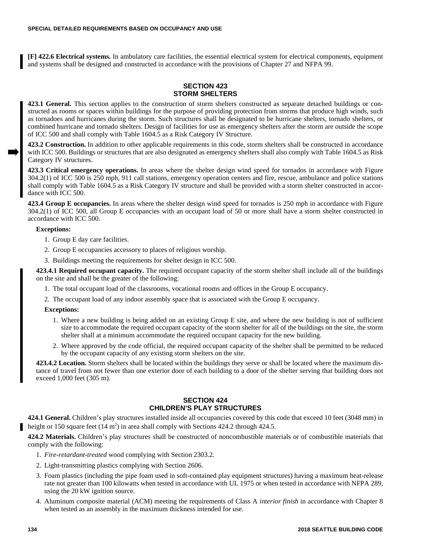**[F] 422.6 Electrical systems.** In ambulatory care facilities, the essential electrical system for electrical components, equipment and systems shall be designed and constructed in accordance with the provisions of Chapter 27 and NFPA 99.

# **SECTION 423 STORM SHELTERS**

**423.1 General.** This section applies to the construction of storm shelters constructed as separate detached buildings or constructed as rooms or spaces within buildings for the purpose of providing protection from storms that produce high winds, such as tornadoes and hurricanes during the storm. Such structures shall be designated to be hurricane shelters, tornado shelters, or combined hurricane and tornado shelters. Design of facilities for use as emergency shelters after the storm are outside the scope of ICC 500 and shall comply with Table 1604.5 as a Risk Category IV Structure.

**423.2 Construction.** In addition to other applicable requirements in this code, storm shelters shall be constructed in accordance with ICC 500. Buildings or structures that are also designated as emergency shelters shall also comply with Table 1604.5 as Risk Category IV structures.

**423.3 Critical emergency operations.** In areas where the shelter design wind speed for tornados in accordance with Figure 304.2(1) of ICC 500 is 250 mph, 911 call stations, emergency operation centers and fire, rescue, ambulance and police stations shall comply with Table 1604.5 as a Risk Category IV structure and shall be provided with a storm shelter constructed in accordance with ICC 500.

**423.4 Group E occupancies.** In areas where the shelter design wind speed for tornados is 250 mph in accordance with Figure 304.2(1) of ICC 500, all Group E occupancies with an occupant load of 50 or more shall have a storm shelter constructed in accordance with ICC 500.

#### **Exceptions:**

- 1. Group E day care facilities.
- 2. Group E occupancies accessory to places of religious worship.
- 3. Buildings meeting the requirements for shelter design in ICC 500.

**423.4.1 Required occupant capacity.** The required occupant capacity of the storm shelter shall include all of the buildings on the site and shall be the greater of the following:

- 1. The total occupant load of the classrooms, vocational rooms and offices in the Group E occupancy.
- 2. The occupant load of any indoor assembly space that is associated with the Group E occupancy.

#### **Exceptions:**

- 1. Where a new building is being added on an existing Group E site, and where the new building is not of sufficient size to accommodate the required occupant capacity of the storm shelter for all of the buildings on the site, the storm shelter shall at a minimum accommodate the required occupant capacity for the new building.
- 2. Where approved by the code official, the required occupant capacity of the shelter shall be permitted to be reduced by the occupant capacity of any existing storm shelters on the site.

**423.4.2 Location.** Storm shelters shall be located within the buildings they serve or shall be located where the maximum distance of travel from not fewer than one exterior door of each building to a door of the shelter serving that building does not exceed 1,000 feet (305 m).

# **SECTION 424 CHILDREN'S PLAY STRUCTURES**

**424.1 General.** Children's play structures installed inside all occupancies covered by this code that exceed 10 feet (3048 mm) in height or 150 square feet  $(14 \text{ m}^2)$  in area shall comply with Sections 424.2 through 424.5.

**424.2 Materials.** Children's play structures shall be constructed of noncombustible materials or of combustible materials that comply with the following:

- 1. *Fire-retardant-treated* wood complying with Section 2303.2.
- 2. Light-transmitting plastics complying with Section 2606.
- 3. Foam plastics (including the pipe foam used in soft-contained play equipment structures) having a maximum heat-release rate not greater than 100 kilowatts when tested in accordance with UL 1975 or when tested in accordance with NFPA 289, using the 20 kW ignition source.
- 4. Aluminum composite material (ACM) meeting the requirements of Class A *interior finish* in accordance with Chapter 8 when tested as an assembly in the maximum thickness intended for use.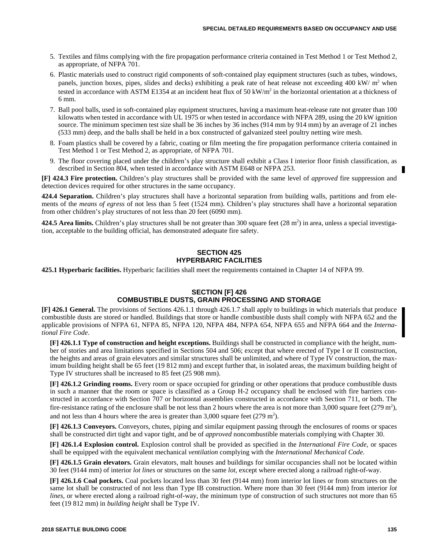- 5. Textiles and films complying with the fire propagation performance criteria contained in Test Method 1 or Test Method 2, as appropriate, of NFPA 701.
- 6. Plastic materials used to construct rigid components of soft-contained play equipment structures (such as tubes, windows, panels, junction boxes, pipes, slides and decks) exhibiting a peak rate of heat release not exceeding 400 kW/ $m^2$  when tested in accordance with ASTM E1354 at an incident heat flux of 50 kW/m<sup>2</sup> in the horizontal orientation at a thickness of 6 mm.
- 7. Ball pool balls, used in soft-contained play equipment structures, having a maximum heat-release rate not greater than 100 kilowatts when tested in accordance with UL 1975 or when tested in accordance with NFPA 289, using the 20 kW ignition source. The minimum specimen test size shall be 36 inches by 36 inches (914 mm by 914 mm) by an average of 21 inches (533 mm) deep, and the balls shall be held in a box constructed of galvanized steel poultry netting wire mesh.
- 8. Foam plastics shall be covered by a fabric, coating or film meeting the fire propagation performance criteria contained in Test Method 1 or Test Method 2, as appropriate, of NFPA 701.
- 9. The floor covering placed under the children's play structure shall exhibit a Class I interior floor finish classification, as described in Section 804, when tested in accordance with ASTM E648 or NFPA 253.

**[F] 424.3 Fire protection.** Children's play structures shall be provided with the same level of *approved* fire suppression and detection devices required for other structures in the same occupancy.

**424.4 Separation.** Children's play structures shall have a horizontal separation from building walls, partitions and from elements of the *means of egress* of not less than 5 feet (1524 mm). Children's play structures shall have a horizontal separation from other children's play structures of not less than 20 feet (6090 mm).

**424.5 Area limits.** Children's play structures shall be not greater than 300 square feet (28 m<sup>2</sup>) in area, unless a special investigation, acceptable to the building official, has demonstrated adequate fire safety.

## **SECTION 425 HYPERBARIC FACILITIES**

**425.1 Hyperbaric facilities.** Hyperbaric facilities shall meet the requirements contained in Chapter 14 of NFPA 99.

# **SECTION [F] 426 COMBUSTIBLE DUSTS, GRAIN PROCESSING AND STORAGE**

**[F] 426.1 General.** The provisions of Sections 426.1.1 through 426.1.7 shall apply to buildings in which materials that produce combustible dusts are stored or handled. Buildings that store or handle combustible dusts shall comply with NFPA 652 and the applicable provisions of NFPA 61, NFPA 85, NFPA 120, NFPA 484, NFPA 654, NFPA 655 and NFPA 664 and the *International Fire Code*.

**[F] 426.1.1 Type of construction and height exceptions.** Buildings shall be constructed in compliance with the height, number of stories and area limitations specified in Sections 504 and 506; except that where erected of Type I or II construction, the heights and areas of grain elevators and similar structures shall be unlimited, and where of Type IV construction, the maximum building height shall be 65 feet (19 812 mm) and except further that, in isolated areas, the maximum building height of Type IV structures shall be increased to 85 feet (25 908 mm).

**[F] 426.1.2 Grinding rooms.** Every room or space occupied for grinding or other operations that produce combustible dusts in such a manner that the room or space is classified as a Group H-2 occupancy shall be enclosed with fire barriers constructed in accordance with Section 707 or horizontal assemblies constructed in accordance with Section 711, or both. The fire-resistance rating of the enclosure shall be not less than 2 hours where the area is not more than  $3,000$  square feet  $(279 \text{ m}^2)$ , and not less than 4 hours where the area is greater than  $3,000$  square feet (279 m<sup>2</sup>).

**[F] 426.1.3 Conveyors.** Conveyors, chutes, piping and similar equipment passing through the enclosures of rooms or spaces shall be constructed dirt tight and vapor tight, and be of *approved* noncombustible materials complying with Chapter 30.

**[F] 426.1.4 Explosion control.** Explosion control shall be provided as specified in the *International Fire Code,* or spaces shall be equipped with the equivalent mechanical *ventilation* complying with the *International Mechanical Code*.

**[F] 426.1.5 Grain elevators.** Grain elevators, malt houses and buildings for similar occupancies shall not be located within 30 feet (9144 mm) of interior *lot lines* or structures on the same *lot*, except where erected along a railroad right-of-way.

**[F] 426.1.6 Coal pockets.** Coal pockets located less than 30 feet (9144 mm) from interior lot lines or from structures on the same lot shall be constructed of not less than Type IB construction. Where more than 30 feet (9144 mm) from interior *lot lines*, or where erected along a railroad right-of-way, the minimum type of construction of such structures not more than 65 feet (19 812 mm) in *building height* shall be Type IV.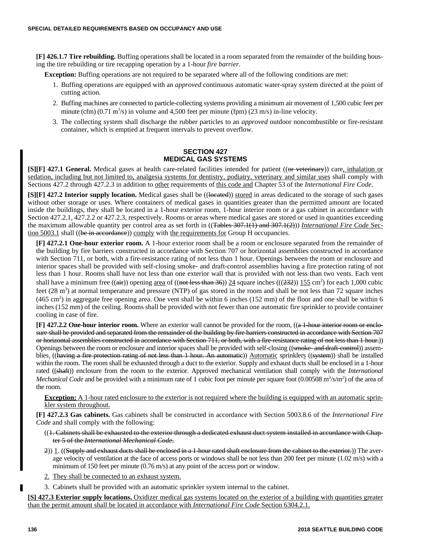**[F] 426.1.7 Tire rebuilding.** Buffing operations shall be located in a room separated from the remainder of the building housing the tire rebuilding or tire recapping operation by a 1-hour *fire barrier*.

**Exception:** Buffing operations are not required to be separated where all of the following conditions are met:

- 1. Buffing operations are equipped with an *approved* continuous automatic water-spray system directed at the point of cutting action.
- 2. Buffing machines are connected to particle-collecting systems providing a minimum air movement of 1,500 cubic feet per minute (cfm)  $(0.71 \text{ m}^3/\text{s})$  in volume and 4,500 feet per minute (fpm)  $(23 \text{ m/s})$  in-line velocity.
- 3. The collecting system shall discharge the rubber particles to an *approved* outdoor noncombustible or fire-resistant container, which is emptied at frequent intervals to prevent overflow.

#### **SECTION 427 MEDICAL GAS SYSTEMS**

**[S][F] 427.1 General.** Medical gases at health care-related facilities intended for patient ((or veterinary)) care, inhalation or sedation, including but not limited to, analgesia systems for dentistry, podiatry, veterinary and similar uses shall comply with Sections 427.2 through 427.2.3 in addition to other requirements of this code and Chapter 53 of the *International Fire Code*.

[S][F] 427.2 Interior supply location. Medical gases shall be ((located)) stored in areas dedicated to the storage of such gases without other storage or uses. Where containers of medical gases in quantities greater than the permitted amount are located inside the buildings, they shall be located in a 1-hour exterior room, 1-hour interior room or a gas cabinet in accordance with Section 427.2.1, 427.2.2 or 427.2.3, respectively. Rooms or areas where medical gases are stored or used in quantities exceeding the maximum allowable quantity per control area as set forth in ((Tables 307.1(1) and 307.1(2))) *International Fire Code* Section 5003.1 shall ((be in accordance)) comply with the requirements for Group H occupancies.

**[F] 427.2.1 One-hour exterior room.** A 1-hour exterior room shall be a room or enclosure separated from the remainder of the building by fire barriers constructed in accordance with Section 707 or horizontal assemblies constructed in accordance with Section 711, or both, with a fire-resistance rating of not less than 1 hour. Openings between the room or enclosure and interior spaces shall be provided with self-closing smoke- and draft-control assemblies having a fire protection rating of not less than 1 hour. Rooms shall have not less than one exterior wall that is provided with not less than two vents. Each vent shall have a minimum free  $((\text{air}))$  opening area of  $((\text{not less than } 36))$  24 square inches  $(((232))$  155 cm<sup>2</sup>) for each 1,000 cubic feet  $(28 \text{ m}^3)$  at normal temperature and pressure (NTP) of gas stored in the room and shall be not less than 72 square inches  $(465 \text{ cm}^2)$  in aggregate free opening area. One vent shall be within 6 inches  $(152 \text{ mm})$  of the floor and one shall be within 6 inches (152 mm) of the ceiling. Rooms shall be provided with not fewer than one automatic fire sprinkler to provide container cooling in case of fire.

**[F] 427.2.2 One-hour interior room.** Where an exterior wall cannot be provided for the room, ((a 1-hour interior room or enclosure shall be provided and separated from the remainder of the building by fire barriers constructed in accordance with Section 707 or horizontal assemblies constructed in accordance with Section 711, or both, with a fire-resistance rating of not less than 1 hour.)) Openings between the room or enclosure and interior spaces shall be provided with self-closing ((smoke- and draft-control)) assemblies. ((having a fire protection rating of not less than 1 hour. An automatic)) Automatic sprinklers ((system)) shall be installed within the room. The room shall be exhausted through a duct to the exterior. Supply and exhaust ducts shall be enclosed in a 1-hour rated ((shaft)) enclosure from the room to the exterior. Approved mechanical ventilation shall comply with the *International Mechanical Code* and be provided with a minimum rate of 1 cubic foot per minute per square foot  $(0.00508 \text{ m}^3/\text{s/m}^2)$  of the area of the room.

**Exception:** A 1-hour rated enclosure to the exterior is not required where the building is equipped with an automatic sprinkler system throughout.

**[F] 427.2.3 Gas cabinets.** Gas cabinets shall be constructed in accordance with Section 5003.8.6 of the *International Fire Code* and shall comply with the following:

- ((1. Cabinets shall be exhausted to the exterior through a dedicated exhaust duct system installed in accordance with Chapter 5 of the *International Mechanical Code*.
- $2)$ )  $1.$  ((Supply and exhaust ducts shall be enclosed in a 1-hour rated shaft enclosure from the cabinet to the exterior.)) The average velocity of ventilation at the face of access ports or windows shall be not less than 200 feet per minute (1.02 m/s) with a minimum of 150 feet per minute (0.76 m/s) at any point of the access port or window.
- 2. They shall be connected to an exhaust system.
- 3. Cabinets shall be provided with an automatic sprinkler system internal to the cabinet.

**[S] 427.3 Exterior supply locations.** Oxidizer medical gas systems located on the exterior of a building with quantities greater than the permit amount shall be located in accordance with *International Fire Code* Section 6304.2.1.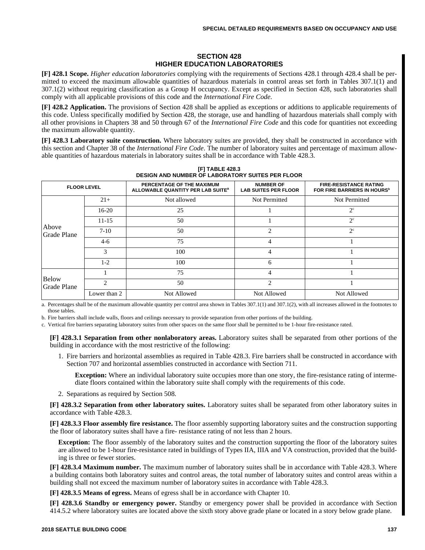## **SECTION 428 HIGHER EDUCATION LABORATORIES**

**[F] 428.1 Scope.** *Higher education laboratories* complying with the requirements of Sections 428.1 through 428.4 shall be permitted to exceed the maximum allowable quantities of hazardous materials in control areas set forth in Tables 307.1(1) and 307.1(2) without requiring classification as a Group H occupancy. Except as specified in Section 428, such laboratories shall comply with all applicable provisions of this code and the *International Fire Code*.

**[F] 428.2 Application.** The provisions of Section 428 shall be applied as exceptions or additions to applicable requirements of this code. Unless specifically modified by Section 428, the storage, use and handling of hazardous materials shall comply with all other provisions in Chapters 38 and 50 through 67 of the *International Fire Code* and this code for quantities not exceeding the maximum allowable quantity.

**[F] 428.3 Laboratory suite construction.** Where laboratory suites are provided, they shall be constructed in accordance with this section and Chapter 38 of the *International Fire Code*. The number of laboratory suites and percentage of maximum allowable quantities of hazardous materials in laboratory suites shall be in accordance with Table 428.3.

| <b>FLOOR LEVEL</b>          |               | PERCENTAGE OF THE MAXIMUM<br>ALLOWABLE QUANTITY PER LAB SUITE <sup>a</sup> | <b>NUMBER OF</b><br><b>LAB SUITES PER FLOOR</b> | <b>FIRE-RESISTANCE RATING</b><br>FOR FIRE BARRIERS IN HOURS <sup>b</sup> |
|-----------------------------|---------------|----------------------------------------------------------------------------|-------------------------------------------------|--------------------------------------------------------------------------|
| Above<br><b>Grade Plane</b> | $21+$         | Not allowed                                                                | Not Permitted                                   | Not Permitted                                                            |
|                             | $16-20$       | 25                                                                         |                                                 | $2^{\circ}$                                                              |
|                             | $11 - 15$     | 50                                                                         |                                                 | $2^{\circ}$                                                              |
|                             | $7-10$        | 50                                                                         | 2                                               | $2^{\circ}$                                                              |
|                             | $4-6$         | 75                                                                         | 4                                               |                                                                          |
|                             | 3             | 100                                                                        | 4                                               |                                                                          |
|                             | $1-2$         | 100                                                                        | 6                                               |                                                                          |
| <b>Below</b><br>Grade Plane |               | 75                                                                         | 4                                               |                                                                          |
|                             | $\mathcal{D}$ | 50                                                                         | $\mathfrak{D}$                                  |                                                                          |
|                             | Lower than 2  | Not Allowed                                                                | Not Allowed                                     | Not Allowed                                                              |

**[F] TABLE 428.3 DESIGN AND NUMBER OF LABORATORY SUITES PER FLOOR**

a. Percentages shall be of the maximum allowable quantity per control area shown in Tables 307.1(1) and 307.1(2), with all increases allowed in the footnotes to those tables.

b. Fire barriers shall include walls, floors and ceilings necessary to provide separation from other portions of the building.

c. Vertical fire barriers separating laboratory suites from other spaces on the same floor shall be permitted to be 1-hour fire-resistance rated.

**[F] 428.3.1 Separation from other nonlaboratory areas.** Laboratory suites shall be separated from other portions of the building in accordance with the most restrictive of the following:

1. Fire barriers and horizontal assemblies as required in Table 428.3. Fire barriers shall be constructed in accordance with Section 707 and horizontal assemblies constructed in accordance with Section 711.

**Exception:** Where an individual laboratory suite occupies more than one story, the fire-resistance rating of intermediate floors contained within the laboratory suite shall comply with the requirements of this code.

2. Separations as required by Section 508.

**[F] 428.3.2 Separation from other laboratory suites.** Laboratory suites shall be separated from other laboratory suites in accordance with Table 428.3.

**[F] 428.3.3 Floor assembly fire resistance.** The floor assembly supporting laboratory suites and the construction supporting the floor of laboratory suites shall have a fire- resistance rating of not less than 2 hours.

**Exception:** The floor assembly of the laboratory suites and the construction supporting the floor of the laboratory suites are allowed to be 1-hour fire-resistance rated in buildings of Types IIA, IIIA and VA construction, provided that the building is three or fewer stories.

**[F] 428.3.4 Maximum number.** The maximum number of laboratory suites shall be in accordance with Table 428.3. Where a building contains both laboratory suites and control areas, the total number of laboratory suites and control areas within a building shall not exceed the maximum number of laboratory suites in accordance with Table 428.3.

**[F] 428.3.5 Means of egress.** Means of egress shall be in accordance with Chapter 10.

**[F] 428.3.6 Standby or emergency power.** Standby or emergency power shall be provided in accordance with Section 414.5.2 where laboratory suites are located above the sixth story above grade plane or located in a story below grade plane.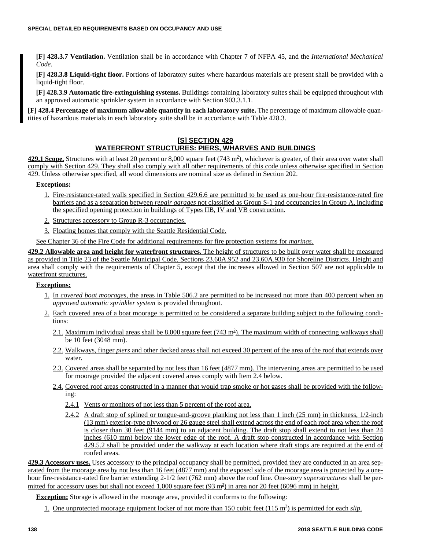**[F] 428.3.7 Ventilation.** Ventilation shall be in accordance with Chapter 7 of NFPA 45, and the *International Mechanical Code*.

**[F] 428.3.8 Liquid-tight floor.** Portions of laboratory suites where hazardous materials are present shall be provided with a liquid-tight floor.

**[F] 428.3.9 Automatic fire-extinguishing systems.** Buildings containing laboratory suites shall be equipped throughout with an approved automatic sprinkler system in accordance with Section 903.3.1.1.

**[F] 428.4 Percentage of maximum allowable quantity in each laboratory suite.** The percentage of maximum allowable quantities of hazardous materials in each laboratory suite shall be in accordance with Table 428.3.

## **[S] SECTION 429 WATERFRONT STRUCTURES: PIERS, WHARVES AND BUILDINGS**

429.1 Scope. Structures with at least 20 percent or 8,000 square feet (743 m<sup>2</sup>), whichever is greater, of their area over water shall comply with Section 429. They shall also comply with all other requirements of this code unless otherwise specified in Section 429. Unless otherwise specified, all wood dimensions are nominal size as defined in Section 202.

#### **Exceptions:**

- 1. Fire-resistance-rated walls specified in Section 429.6.6 are permitted to be used as one-hour fire-resistance-rated fire barriers and as a separation between *repair garages* not classified as Group S-1 and occupancies in Group A, including the specified opening protection in buildings of Types IIB, IV and VB construction.
- 2. Structures accessory to Group R-3 occupancies.
- 3. Floating homes that comply with the Seattle Residential Code.

See Chapter 36 of the Fire Code for additional requirements for fire protection systems for *marinas*.

**429.2 Allowable area and height for waterfront structures.** The height of structures to be built over water shall be measured as provided in Title 23 of the Seattle Municipal Code, Sections 23.60A.952 and 23.60A.930 for Shoreline Districts. Height and area shall comply with the requirements of Chapter 5, except that the increases allowed in Section 507 are not applicable to waterfront structures.

## **Exceptions:**

- 1. In *covered boat moorages*, the areas in Table 506.2 are permitted to be increased not more than 400 percent when an *approved automatic sprinkler system* is provided throughout.
- 2. Each covered area of a boat moorage is permitted to be considered a separate building subject to the following conditions:
	- 2.1. Maximum individual areas shall be 8,000 square feet (743 m<sup>2</sup>). The maximum width of connecting walkways shall be 10 feet (3048 mm).
	- 2.2. Walkways, finger *piers* and other decked areas shall not exceed 30 percent of the area of the roof that extends over water.
	- 2.3. Covered areas shall be separated by not less than 16 feet (4877 mm). The intervening areas are permitted to be used for moorage provided the adjacent covered areas comply with Item 2.4 below.
	- 2.4. Covered roof areas constructed in a manner that would trap smoke or hot gases shall be provided with the following:
		- 2.4.1 Vents or monitors of not less than 5 percent of the roof area.
		- 2.4.2 A draft stop of splined or tongue-and-groove planking not less than 1 inch (25 mm) in thickness, 1/2-inch (13 mm) exterior-type plywood or 26 gauge steel shall extend across the end of each roof area when the roof is closer than 30 feet (9144 mm) to an adjacent building. The draft stop shall extend to not less than 24 inches (610 mm) below the lower edge of the roof. A draft stop constructed in accordance with Section 429.5.2 shall be provided under the walkway at each location where draft stops are required at the end of roofed areas.

**429.3 Accessory uses.** Uses accessory to the principal occupancy shall be permitted, provided they are conducted in an area separated from the moorage area by not less than 16 feet (4877 mm) and the exposed side of the moorage area is protected by a onehour fire-resistance-rated fire barrier extending 2-1/2 feet (762 mm) above the roof line. One-*story superstructures* shall be permitted for accessory uses but shall not exceed 1,000 square feet  $(93 \text{ m}^2)$  in area nor 20 feet  $(6096 \text{ mm})$  in height.

**Exception:** Storage is allowed in the moorage area, provided it conforms to the following:

1. One unprotected moorage equipment locker of not more than 150 cubic feet (115 m<sup>3</sup>) is permitted for each *slip*.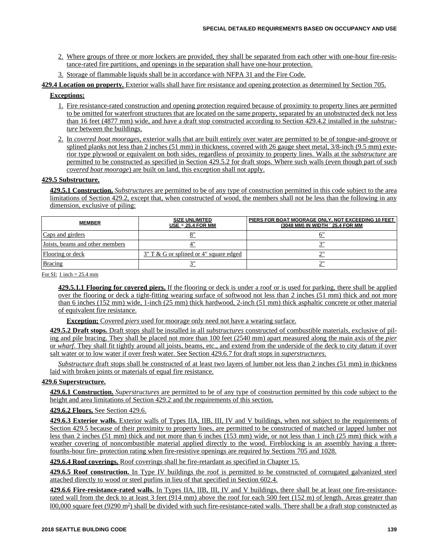- 2. Where groups of three or more lockers are provided, they shall be separated from each other with one-hour fire-resistance-rated fire partitions, and openings in the separation shall have one-hour protection.
- 3. Storage of flammable liquids shall be in accordance with NFPA 31 and the Fire Code.

**429.4 Location on property.** Exterior walls shall have fire resistance and opening protection as determined by Section 705.

## **Exceptions:**

- 1. Fire resistance-rated construction and opening protection required because of proximity to property lines are permitted to be omitted for waterfront structures that are located on the same property, separated by an unobstructed deck not less than 16 feet (4877 mm) wide, and have a draft stop constructed according to Section 429.4.2 installed in the *substructure* between the buildings.
- 2. In *covered boat moorages*, exterior walls that are built entirely over water are permitted to be of tongue-and-groove or splined planks not less than 2 inches (51 mm) in thickness, covered with 26 gauge sheet metal,  $3/8$ -inch (9.5 mm) exterior type plywood or equivalent on both sides, regardless of proximity to property lines. Walls at the *substructure* are permitted to be constructed as specified in Section 429.5.2 for draft stops. Where such walls (even though part of such *covered boat moorage*) are built on land, this exception shall not apply.

# **429.5 Substructure.**

**429.5.1 Construction.** *Substructures* are permitted to be of any type of construction permitted in this code subject to the area limitations of Section 429.2, except that, when constructed of wood, the members shall not be less than the following in any dimension, exclusive of piling:

| <b>MEMBER</b>                   | <b>SIZE UNLIMITED</b><br>USE $\times$ 25.4 FOR MM | PIERS FOR BOAT MOORAGE ONLY. NOT EXCEEDING 10 FEET<br>(3048 MM) IN WIDTH ' 25.4 FOR MM |
|---------------------------------|---------------------------------------------------|----------------------------------------------------------------------------------------|
| Caps and girders                |                                                   |                                                                                        |
| Joists, beams and other members |                                                   | יי ר                                                                                   |
| Flooring or deck                | $3"$ T & G or splined or 4" square edged          | $^{\sim}$                                                                              |
| Bracing                         |                                                   | $\sim$                                                                                 |

For SI:  $1$  inch = 25.4 mm

**429.5.1.1 Flooring for covered piers.** If the flooring or deck is under a roof or is used for parking, there shall be applied over the flooring or deck a tight-fitting wearing surface of softwood not less than 2 inches (51 mm) thick and not more than 6 inches (152 mm) wide, 1-inch (25 mm) thick hardwood, 2-inch (51 mm) thick asphaltic concrete or other material of equivalent fire resistance.

**Exception:** Covered *piers* used for moorage only need not have a wearing surface.

**429.5.2 Draft stops.** Draft stops shall be installed in all *substructures* constructed of combustible materials, exclusive of piling and pile bracing. They shall be placed not more than 100 feet (2540 mm) apart measured along the main axis of the *pier* or *wharf*. They shall fit tightly around all joists, beams, etc., and extend from the underside of the deck to city datum if over salt water or to low water if over fresh water. See Section 429.6.7 for draft stops in *superstructures*.

*Substructure* draft stops shall be constructed of at least two layers of lumber not less than 2 inches (51 mm) in thickness laid with broken joints or materials of equal fire resistance.

# **429.6 Superstructure.**

**429.6.1 Construction.** *Superstructures* are permitted to be of any type of construction permitted by this code subject to the height and area limitations of Section 429.2 and the requirements of this section.

**429.6.2 Floors.** See Section 429.6.

**429.6.3 Exterior walls.** Exterior walls of Types IIA, IIB, III, IV and V buildings, when not subject to the requirements of Section 429.5 because of their proximity to property lines, are permitted to be constructed of matched or lapped lumber not less than 2 inches (51 mm) thick and not more than 6 inches (153 mm) wide, or not less than 1 inch (25 mm) thick with a weather covering of noncombustible material applied directly to the wood. Fireblocking is an assembly having a threefourths-hour fire- protection rating when fire-resistive openings are required by Sections 705 and 1028.

**429.6.4 Roof coverings.** Roof coverings shall be fire-retardant as specified in Chapter 15.

**429.6.5 Roof construction.** In Type IV buildings the roof is permitted to be constructed of corrugated galvanized steel attached directly to wood or steel purlins in lieu of that specified in Section 602.4.

**429.6.6 Fire-resistance-rated walls.** In Types IIA, IIB, III, IV and V buildings, there shall be at least one fire-resistancerated wall from the deck to at least 3 feet (914 mm) above the roof for each 500 feet (152 m) of length. Areas greater than l00,000 square feet (9290 m<sup>2</sup>) shall be divided with such fire-resistance-rated walls. There shall be a draft stop constructed as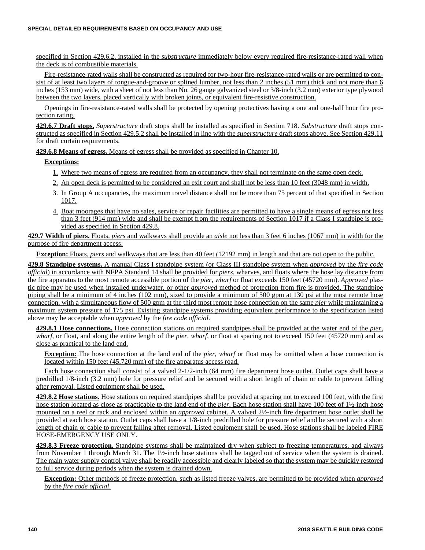specified in Section 429.6.2, installed in the *substructure* immediately below every required fire-resistance-rated wall when the deck is of combustible materials.

Fire-resistance-rated walls shall be constructed as required for two-hour fire-resistance-rated walls or are permitted to consist of at least two layers of tongue-and-groove or splined lumber, not less than 2 inches (51 mm) thick and not more than 6 inches (153 mm) wide, with a sheet of not less than No. 26 gauge galvanized steel or 3/8-inch (3.2 mm) exterior type plywood between the two layers, placed vertically with broken joints, or equivalent fire-resistive construction.

Openings in fire-resistance-rated walls shall be protected by opening protectives having a one and one-half hour fire protection rating.

**429.6.7 Draft stops.** *Superstructure* draft stops shall be installed as specified in Section 718. *Substructure* draft stops constructed as specified in Section 429.5.2 shall be installed in line with the *superstructure* draft stops above. See Section 429.11 for draft curtain requirements.

**429.6.8 Means of egress.** Means of egress shall be provided as specified in Chapter 10.

## **Exceptions:**

- 1. Where two means of egress are required from an occupancy, they shall not terminate on the same open deck.
- 2. An open deck is permitted to be considered an exit court and shall not be less than 10 feet (3048 mm) in width.
- 3. In Group A occupancies, the maximum travel distance shall not be more than 75 percent of that specified in Section 1017.
- 4. Boat moorages that have no sales, service or repair facilities are permitted to have a single means of egress not less than 3 feet (914 mm) wide and shall be exempt from the requirements of Section 1017 if a Class I standpipe is provided as specified in Section 429.8.

**429.7 Width of piers.** Floats, *piers* and walkways shall provide an *aisle* not less than 3 feet 6 inches (1067 mm) in width for the purpose of fire department access.

**Exception:** Floats, *piers* and walkways that are less than 40 feet (12192 mm) in length and that are not open to the public.

**429.8 Standpipe systems.** A manual Class I standpipe system (or Class III standpipe system when *approved* by the *fire code official*) in accordance with NFPA Standard 14 shall be provided for *piers*, wharves, and floats where the hose lay distance from the fire apparatus to the most remote accessible portion of the *pier*, *wharf* or float exceeds 150 feet (45720 mm). *Approved* plastic pipe may be used when installed underwater, or other *approved* method of protection from fire is provided. The standpipe piping shall be a minimum of 4 inches (102 mm), sized to provide a minimum of 500 gpm at 130 psi at the most remote hose connection, with a simultaneous flow of 500 gpm at the third most remote hose connection on the same *pier* while maintaining a maximum system pressure of 175 psi. Existing standpipe systems providing equivalent performance to the specification listed above may be acceptable when *approved* by the *fire code official*.

**429.8.1 Hose connections.** Hose connection stations on required standpipes shall be provided at the water end of the *pier*, *wharf*, or float, and along the entire length of the *pier*, *wharf*, or float at spacing not to exceed 150 feet (45720 mm) and as close as practical to the land end.

**Exception:** The hose connection at the land end of the *pier*, *wharf* or float may be omitted when a hose connection is located within 150 feet (45,720 mm) of the fire apparatus access road.

Each hose connection shall consist of a valved 2-1/2-inch (64 mm) fire department hose outlet. Outlet caps shall have a predrilled 1/8-inch (3.2 mm) hole for pressure relief and be secured with a short length of chain or cable to prevent falling after removal. Listed equipment shall be used.

**429.8.2 Hose stations.** Hose stations on required standpipes shall be provided at spacing not to exceed 100 feet, with the first hose station located as close as practicable to the land end of the *pier*. Each hose station shall have 100 feet of 1½-inch hose mounted on a reel or rack and enclosed within an *approved* cabinet. A valved 2½-inch fire department hose outlet shall be provided at each hose station. Outlet caps shall have a 1/8-inch predrilled hole for pressure relief and be secured with a short length of chain or cable to prevent falling after removal. Listed equipment shall be used. Hose stations shall be labeled FIRE HOSE-EMERGENCY USE ONLY.

**429.8.3 Freeze protection.** Standpipe systems shall be maintained dry when subject to freezing temperatures, and always from November 1 through March 31. The 1½-inch hose stations shall be tagged out of service when the system is drained. The main water supply control valve shall be readily accessible and clearly labeled so that the system may be quickly restored to full service during periods when the system is drained down.

**Exception:** Other methods of freeze protection, such as listed freeze valves, are permitted to be provided when *approved* by the *fire code official*.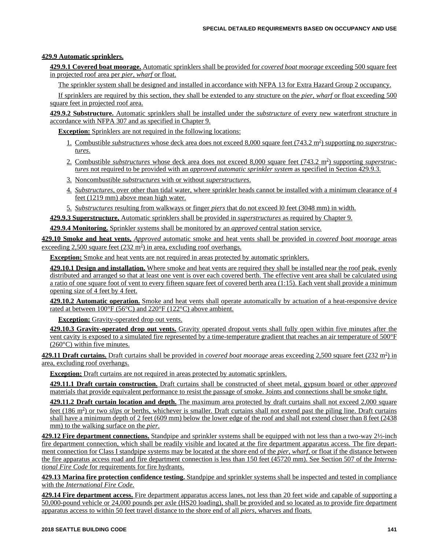## **429.9 Automatic sprinklers.**

**429.9.1 Covered boat moorage.** Automatic sprinklers shall be provided for *covered boat moorage* exceeding 500 square feet in projected roof area per *pier*, *wharf* or float.

The sprinkler system shall be designed and installed in accordance with NFPA 13 for Extra Hazard Group 2 occupancy.

If sprinklers are required by this section, they shall be extended to any structure on the *pier*, *wharf* or float exceeding 500 square feet in projected roof area.

**429.9.2 Substructure.** Automatic sprinklers shall be installed under the *substructure* of every new waterfront structure in accordance with NFPA 307 and as specified in Chapter 9.

**Exception:** Sprinklers are not required in the following locations:

- 1. Combustible *substructures* whose deck area does not exceed 8,000 square feet (743.2 m<sup>2</sup>) supporting no *superstructures*.
- 2. Combustible *substructures* whose deck area does not exceed 8,000 square feet (743.2 m<sup>2</sup>) supporting *superstructures* not required to be provided with an *approved automatic sprinkler system* as specified in Section 429.9.3.
- 3. Noncombustible *substructures* with or without *superstructures*.
- 4. *Substructures*, over other than tidal water, where sprinkler heads cannot be installed with a minimum clearance of 4 feet (1219 mm) above mean high water.
- 5. *Substructures* resulting from walkways or finger *piers* that do not exceed l0 feet (3048 mm) in width.

**429.9.3 Superstructure.** Automatic sprinklers shall be provided in *superstructures* as required by Chapter 9.

**429.9.4 Monitoring.** Sprinkler systems shall be monitored by an *approved* central station service.

**429.10 Smoke and heat vents.** *Approved* automatic smoke and heat vents shall be provided in *covered boat moorage* areas exceeding 2,500 square feet  $(232 \text{ m}^2)$  in area, excluding roof overhangs.

**Exception:** Smoke and heat vents are not required in areas protected by automatic sprinklers.

**429.10.1 Design and installation.** Where smoke and heat vents are required they shall be installed near the roof peak, evenly distributed and arranged so that at least one vent is over each covered berth. The effective vent area shall be calculated using a ratio of one square foot of vent to every fifteen square feet of covered berth area (1:15). Each vent shall provide a minimum opening size of 4 feet by 4 feet.

**429.10.2 Automatic operation.** Smoke and heat vents shall operate automatically by actuation of a heat-responsive device rated at between  $100^{\circ}F(56^{\circ}C)$  and  $220^{\circ}F(122^{\circ}C)$  above ambient.

**Exception:** Gravity-operated drop out vents.

**429.10.3 Gravity-operated drop out vents.** Gravity operated dropout vents shall fully open within five minutes after the vent cavity is exposed to a simulated fire represented by a time-temperature gradient that reaches an air temperature of 500°F (260°C) within five minutes.

429.11 Draft curtains. Draft curtains shall be provided in *covered boat moorage* areas exceeding 2,500 square feet (232 m<sup>2</sup>) in area, excluding roof overhangs.

**Exception:** Draft curtains are not required in areas protected by automatic sprinklers.

**429.11.1 Draft curtain construction.** Draft curtains shall be constructed of sheet metal, gypsum board or other *approved* materials that provide equivalent performance to resist the passage of smoke. Joints and connections shall be smoke tight.

**429.11.2 Draft curtain location and depth.** The maximum area protected by draft curtains shall not exceed 2,000 square feet (186 m<sup>2</sup>) or two *slips* or berths, whichever is smaller. Draft curtains shall not extend past the piling line. Draft curtains shall have a minimum depth of 2 feet (609 mm) below the lower edge of the roof and shall not extend closer than 8 feet (2438 mm) to the walking surface on the *pier*.

**429.12 Fire department connections.** Standpipe and sprinkler systems shall be equipped with not less than a two-way 2½-inch fire department connection, which shall be readily visible and located at the fire department apparatus access. The fire department connection for Class I standpipe systems may be located at the shore end of the *pier*, *wharf*, or float if the distance between the fire apparatus access road and fire department connection is less than 150 feet (45720 mm). See Section 507 of the *International Fire Code* for requirements for fire hydrants.

**429.13 Marina fire protection confidence testing.** Standpipe and sprinkler systems shall be inspected and tested in compliance with the *International Fire Code*.

**429.14 Fire department access.** Fire department apparatus access lanes, not less than 20 feet wide and capable of supporting a 50,000-pound vehicle or 24,000 pounds per axle (HS20 loading), shall be provided and so located as to provide fire department apparatus access to within 50 feet travel distance to the shore end of all *piers*, wharves and floats.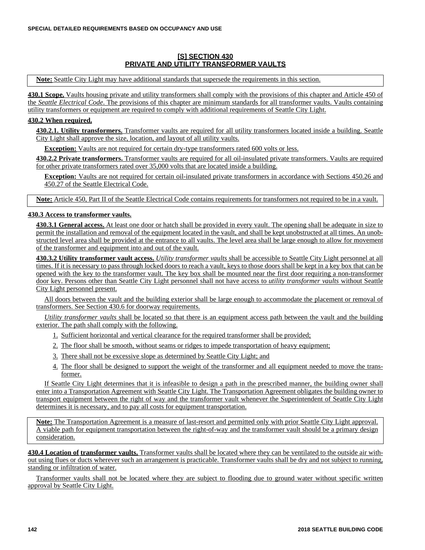# **[S] SECTION 430 PRIVATE AND UTILITY TRANSFORMER VAULTS**

**Note:** Seattle City Light may have additional standards that supersede the requirements in this section.

**430.1 Scope.** Vaults housing private and utility transformers shall comply with the provisions of this chapter and Article 450 of the *Seattle Electrical Code*. The provisions of this chapter are minimum standards for all transformer vaults. Vaults containing utility transformers or equipment are required to comply with additional requirements of Seattle City Light.

## **430.2 When required.**

**430.2.1. Utility transformers.** Transformer vaults are required for all utility transformers located inside a building. Seattle City Light shall approve the size, location, and layout of all utility vaults.

**Exception:** Vaults are not required for certain dry-type transformers rated 600 volts or less.

**430.2.2 Private transformers.** Transformer vaults are required for all oil-insulated private transformers. Vaults are required for other private transformers rated over 35,000 volts that are located inside a building.

**Exception:** Vaults are not required for certain oil-insulated private transformers in accordance with Sections 450.26 and 450.27 of the Seattle Electrical Code.

**Note:** Article 450, Part II of the Seattle Electrical Code contains requirements for transformers not required to be in a vault.

# **430.3 Access to transformer vaults.**

**430.3.1 General access.** At least one door or hatch shall be provided in every vault. The opening shall be adequate in size to permit the installation and removal of the equipment located in the vault, and shall be kept unobstructed at all times. An unobstructed level area shall be provided at the entrance to all vaults. The level area shall be large enough to allow for movement of the transformer and equipment into and out of the vault.

**430.3.2 Utility transformer vault access.** *Utility transformer vaults* shall be accessible to Seattle City Light personnel at all times. If it is necessary to pass through locked doors to reach a vault, keys to those doors shall be kept in a key box that can be opened with the key to the transformer vault. The key box shall be mounted near the first door requiring a non-transformer door key. Persons other than Seattle City Light personnel shall not have access to *utility transformer vaults* without Seattle City Light personnel present.

All doors between the vault and the building exterior shall be large enough to accommodate the placement or removal of transformers. See Section 430.6 for doorway requirements.

*Utility transformer vaults* shall be located so that there is an equipment access path between the vault and the building exterior. The path shall comply with the following.

- 1. Sufficient horizontal and vertical clearance for the required transformer shall be provided;
- 2. The floor shall be smooth, without seams or ridges to impede transportation of heavy equipment;
- 3. There shall not be excessive slope as determined by Seattle City Light; and
- 4. The floor shall be designed to support the weight of the transformer and all equipment needed to move the transformer.

If Seattle City Light determines that it is infeasible to design a path in the prescribed manner, the building owner shall enter into a Transportation Agreement with Seattle City Light. The Transportation Agreement obligates the building owner to transport equipment between the right of way and the transformer vault whenever the Superintendent of Seattle City Light determines it is necessary, and to pay all costs for equipment transportation.

**Note:** The Transportation Agreement is a measure of last-resort and permitted only with prior Seattle City Light approval. A viable path for equipment transportation between the right-of-way and the transformer vault should be a primary design consideration.

**430.4 Location of transformer vaults.** Transformer vaults shall be located where they can be ventilated to the outside air without using flues or ducts wherever such an arrangement is practicable. Transformer vaults shall be dry and not subject to running, standing or infiltration of water.

Transformer vaults shall not be located where they are subject to flooding due to ground water without specific written approval by Seattle City Light.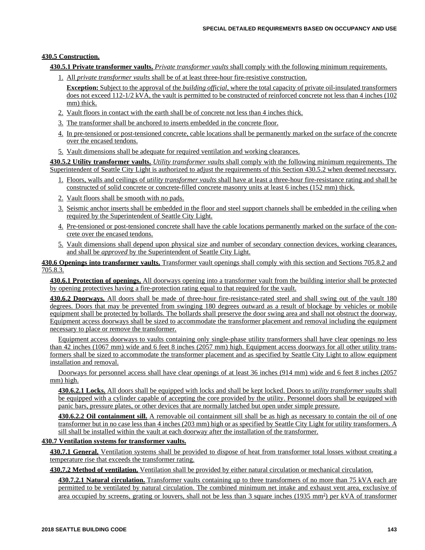## **430.5 Construction.**

- **430.5.1 Private transformer vaults.** *Private transformer vaults* shall comply with the following minimum requirements.
	- 1. All *private transformer vaults* shall be of at least three-hour fire-resistive construction.

**Exception:** Subject to the approval of the *building official*, where the total capacity of private oil-insulated transformers does not exceed 112-1/2 kVA, the vault is permitted to be constructed of reinforced concrete not less than 4 inches (102) mm) thick.

- 2. Vault floors in contact with the earth shall be of concrete not less than 4 inches thick.
- 3. The transformer shall be anchored to inserts embedded in the concrete floor.
- 4. In pre-tensioned or post-tensioned concrete, cable locations shall be permanently marked on the surface of the concrete over the encased tendons.
- 5. Vault dimensions shall be adequate for required ventilation and working clearances.

**430.5.2 Utility transformer vaults.** *Utility transformer vaults* shall comply with the following minimum requirements. The Superintendent of Seattle City Light is authorized to adjust the requirements of this Section 430.5.2 when deemed necessary.

- 1. Floors, walls and ceilings of *utility transformer vaults* shall have at least a three-hour fire-resistance rating and shall be constructed of solid concrete or concrete-filled concrete masonry units at least 6 inches (152 mm) thick.
- 2. Vault floors shall be smooth with no pads.
- 3. Seismic anchor inserts shall be embedded in the floor and steel support channels shall be embedded in the ceiling when required by the Superintendent of Seattle City Light.
- 4. Pre-tensioned or post-tensioned concrete shall have the cable locations permanently marked on the surface of the concrete over the encased tendons.
- 5. Vault dimensions shall depend upon physical size and number of secondary connection devices, working clearances, and shall be *approved* by the Superintendent of Seattle City Light.

**430.6 Openings into transformer vaults.** Transformer vault openings shall comply with this section and Sections 705.8.2 and 705.8.3.

**430.6.1 Protection of openings.** All doorways opening into a transformer vault from the building interior shall be protected by opening protectives having a fire-protection rating equal to that required for the vault.

**430.6.2 Doorways.** All doors shall be made of three-hour fire-resistance-rated steel and shall swing out of the vault 180 degrees. Doors that may be prevented from swinging 180 degrees outward as a result of blockage by vehicles or mobile equipment shall be protected by bollards. The bollards shall preserve the door swing area and shall not obstruct the doorway. Equipment access doorways shall be sized to accommodate the transformer placement and removal including the equipment necessary to place or remove the transformer.

Equipment access doorways to vaults containing only single-phase utility transformers shall have clear openings no less than 42 inches (1067 mm) wide and 6 feet 8 inches (2057 mm) high. Equipment access doorways for all other utility transformers shall be sized to accommodate the transformer placement and as specified by Seattle City Light to allow equipment installation and removal.

Doorways for personnel access shall have clear openings of at least 36 inches (914 mm) wide and 6 feet 8 inches (2057 mm) high.

**430.6.2.1 Locks.** All doors shall be equipped with locks and shall be kept locked. Doors to *utility transformer vaults* shall be equipped with a cylinder capable of accepting the core provided by the utility. Personnel doors shall be equipped with panic bars, pressure plates, or other devices that are normally latched but open under simple pressure.

**430.6.2.2 Oil containment sill.** A removable oil containment sill shall be as high as necessary to contain the oil of one transformer but in no case less than 4 inches (203 mm) high or as specified by Seattle City Light for utility transformers. A sill shall be installed within the vault at each doorway after the installation of the transformer.

#### **430.7 Ventilation systems for transformer vaults.**

**430.7.1 General.** Ventilation systems shall be provided to dispose of heat from transformer total losses without creating a temperature rise that exceeds the transformer rating.

**430.7.2 Method of ventilation.** Ventilation shall be provided by either natural circulation or mechanical circulation.

**430.7.2.1 Natural circulation.** Transformer vaults containing up to three transformers of no more than 75 kVA each are permitted to be ventilated by natural circulation. The combined minimum net intake and exhaust vent area, exclusive of area occupied by screens, grating or louvers, shall not be less than 3 square inches (1935 mm<sup>2</sup>) per kVA of transformer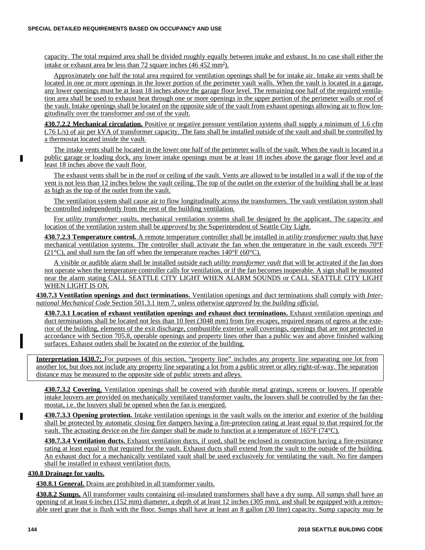capacity. The total required area shall be divided roughly equally between intake and exhaust. In no case shall either the intake or exhaust area be less than  $72$  square inches  $(46 452 \text{ mm}^2)$ .

Approximately one half the total area required for ventilation openings shall be for intake air. Intake air vents shall be located in one or more openings in the lower portion of the perimeter vault walls. When the vault is located in a garage, any lower openings must be at least 18 inches above the garage floor level. The remaining one half of the required ventilation area shall be used to exhaust heat through one or more openings in the upper portion of the perimeter walls or roof of the vault. Intake openings shall be located on the opposite side of the vault from exhaust openings allowing air to flow longitudinally over the transformer and out of the vault.

**430.7.2.2 Mechanical circulation.** Positive or negative pressure ventilation systems shall supply a minimum of 1.6 cfm (.76 L/s) of air per kVA of transformer capacity. The fans shall be installed outside of the vault and shall be controlled by a thermostat located inside the vault.

The intake vents shall be located in the lower one half of the perimeter walls of the vault. When the vault is located in a public garage or loading dock, any lower intake openings must be at least 18 inches above the garage floor level and at least 18 inches above the vault floor.

The exhaust vents shall be in the roof or ceiling of the vault. Vents are allowed to be installed in a wall if the top of the vent is not less than 12 inches below the vault ceiling. The top of the outlet on the exterior of the building shall be at least as high as the top of the outlet from the vault.

The ventilation system shall cause air to flow longitudinally across the transformers. The vault ventilation system shall be controlled independently from the rest of the building ventilation.

For *utility transformer vaults*, mechanical ventilation systems shall be designed by the applicant. The capacity and location of the ventilation system shall be *approved* by the Superintendent of Seattle City Light.

**430.7.2.3 Temperature control.** A remote temperature controller shall be installed in *utility transformer vaults* that have mechanical ventilation systems. The controller shall activate the fan when the temperature in the vault exceeds 70°F (21 $^{\circ}$ C), and shall turn the fan off when the temperature reaches 140 $^{\circ}$ F (60 $^{\circ}$ C).

A visible or audible alarm shall be installed outside each *utility transformer vault* that will be activated if the fan does not operate when the temperature controller calls for ventilation, or if the fan becomes inoperable. A sign shall be mounted near the alarm stating CALL SEATTLE CITY LIGHT WHEN ALARM SOUNDS or CALL SEATTLE CITY LIGHT WHEN LIGHT IS ON.

**430.7.3 Ventilation openings and duct terminations.** Ventilation openings and duct terminations shall comply with *International Mechanical Code* Section 501.3.1 item 7, unless otherwise *approved* by the *building official*.

**430.7.3.1 Location of exhaust ventilation openings and exhaust duct terminations.** Exhaust ventilation openings and duct terminations shall be located not less than 10 feet (3048 mm) from fire escapes, required means of egress at the exterior of the building, elements of the exit discharge, combustible exterior wall coverings, openings that are not protected in accordance with Section 705.8, operable openings and property lines other than a public way and above finished walking surfaces. Exhaust outlets shall be located on the exterior of the building.

**Interpretation I430.7:** For purposes of this section, "property line" includes any property line separating one lot from another lot, but does not include any property line separating a lot from a public street or alley right-of-way. The separation distance may be measured to the opposite side of public streets and alleys.

**430.7.3.2 Covering.** Ventilation openings shall be covered with durable metal gratings, screens or louvers. If operable intake louvers are provided on mechanically ventilated transformer vaults, the louvers shall be controlled by the fan thermostat, i.e. the louvers shall be opened when the fan is energized.

**430.7.3.3 Opening protection.** Intake ventilation openings in the vault walls on the interior and exterior of the building shall be protected by automatic closing fire dampers having a fire-protection rating at least equal to that required for the vault. The actuating device on the fire damper shall be made to function at a temperature of 165°F (74°C).

**430.7.3.4 Ventilation ducts.** Exhaust ventilation ducts, if used, shall be enclosed in construction having a fire-resistance rating at least equal to that required for the vault. Exhaust ducts shall extend from the vault to the outside of the building. An exhaust duct for a mechanically ventilated vault shall be used exclusively for ventilating the vault. No fire dampers shall be installed in exhaust ventilation ducts.

# **430.8 Drainage for vaults.**

**430.8.1 General.** Drains are prohibited in all transformer vaults.

**430.8.2 Sumps.** All transformer vaults containing oil-insulated transformers shall have a dry sump. All sumps shall have an opening of at least 6 inches (152 mm) diameter, a depth of at least 12 inches (305 mm), and shall be equipped with a removable steel grate that is flush with the floor. Sumps shall have at least an 8 gallon (30 liter) capacity. Sump capacity may be

 $\blacksquare$ 

П